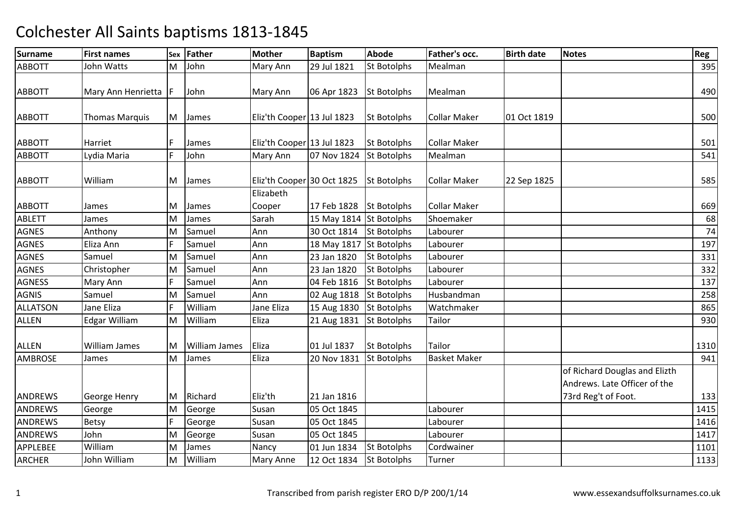| <b>Surname</b>  | <b>First names</b>     |   | Sex Father           | <b>Mother</b>              | <b>Baptism</b>          | <b>Abode</b>       | Father's occ.       | <b>Birth date</b> | <b>Notes</b>                                                  | Reg  |
|-----------------|------------------------|---|----------------------|----------------------------|-------------------------|--------------------|---------------------|-------------------|---------------------------------------------------------------|------|
| <b>ABBOTT</b>   | John Watts             | M | John                 | Mary Ann                   | 29 Jul 1821             | <b>St Botolphs</b> | Mealman             |                   |                                                               | 395  |
| <b>ABBOTT</b>   | Mary Ann Henrietta   F |   | John                 | <b>Mary Ann</b>            | 06 Apr 1823             | <b>St Botolphs</b> | Mealman             |                   |                                                               | 490  |
| <b>ABBOTT</b>   | <b>Thomas Marquis</b>  |   | M James              | Eliz'th Cooper 13 Jul 1823 |                         | <b>St Botolphs</b> | <b>Collar Maker</b> | 01 Oct 1819       |                                                               | 500  |
| <b>ABBOTT</b>   | Harriet                | F | James                | Eliz'th Cooper 13 Jul 1823 |                         | <b>St Botolphs</b> | <b>Collar Maker</b> |                   |                                                               | 501  |
| <b>ABBOTT</b>   | Lydia Maria            | F | John                 | Mary Ann                   | 07 Nov 1824             | <b>St Botolphs</b> | Mealman             |                   |                                                               | 541  |
| <b>ABBOTT</b>   | William                | M | James                | Eliz'th Cooper 30 Oct 1825 |                         | <b>St Botolphs</b> | <b>Collar Maker</b> | 22 Sep 1825       |                                                               | 585  |
| <b>ABBOTT</b>   | James                  | М | James                | Elizabeth<br>Cooper        | 17 Feb 1828             | St Botolphs        | <b>Collar Maker</b> |                   |                                                               | 669  |
| ABLETT          | James                  | M | James                | Sarah                      | 15 May 1814 St Botolphs |                    | Shoemaker           |                   |                                                               | 68   |
| <b>AGNES</b>    | Anthony                | M | Samuel               | Ann                        | 30 Oct 1814             | <b>St Botolphs</b> | Labourer            |                   |                                                               | 74   |
| <b>AGNES</b>    | Eliza Ann              | F | Samuel               | Ann                        | 18 May 1817 St Botolphs |                    | Labourer            |                   |                                                               | 197  |
| <b>AGNES</b>    | Samuel                 | M | Samuel               | Ann                        | 23 Jan 1820             | <b>St Botolphs</b> | Labourer            |                   |                                                               | 331  |
| <b>AGNES</b>    | Christopher            | M | Samuel               | Ann                        | 23 Jan 1820             | <b>St Botolphs</b> | Labourer            |                   |                                                               | 332  |
| <b>AGNESS</b>   | Mary Ann               | F | Samuel               | Ann                        | 04 Feb 1816             | <b>St Botolphs</b> | Labourer            |                   |                                                               | 137  |
| <b>AGNIS</b>    | Samuel                 | M | Samuel               | Ann                        | 02 Aug 1818             | <b>St Botolphs</b> | Husbandman          |                   |                                                               | 258  |
| <b>ALLATSON</b> | Jane Eliza             | F | William              | Jane Eliza                 | 15 Aug 1830             | <b>St Botolphs</b> | Watchmaker          |                   |                                                               | 865  |
| <b>ALLEN</b>    | <b>Edgar William</b>   | M | William              | Eliza                      | 21 Aug 1831             | <b>St Botolphs</b> | Tailor              |                   |                                                               | 930  |
| <b>ALLEN</b>    | William James          | M | <b>William James</b> | Eliza                      | 01 Jul 1837             | <b>St Botolphs</b> | Tailor              |                   |                                                               | 1310 |
| <b>AMBROSE</b>  | James                  | M | James                | Eliza                      | 20 Nov 1831             | <b>St Botolphs</b> | <b>Basket Maker</b> |                   |                                                               | 941  |
|                 |                        |   |                      |                            |                         |                    |                     |                   | of Richard Douglas and Elizth<br>Andrews. Late Officer of the |      |
| ANDREWS         | George Henry           |   | M Richard            | Eliz'th                    | 21 Jan 1816             |                    |                     |                   | 73rd Reg't of Foot.                                           | 133  |
| ANDREWS         | George                 | M | George               | Susan                      | 05 Oct 1845             |                    | Labourer            |                   |                                                               | 1415 |
| ANDREWS         | <b>Betsy</b>           | F | George               | Susan                      | 05 Oct 1845             |                    | Labourer            |                   |                                                               | 1416 |
| ANDREWS         | John                   | M | George               | Susan                      | 05 Oct 1845             |                    | Labourer            |                   |                                                               | 1417 |
| APPLEBEE        | William                | M | James                | Nancy                      | 01 Jun 1834             | <b>St Botolphs</b> | Cordwainer          |                   |                                                               | 1101 |
| <b>ARCHER</b>   | John William           | M | William              | <b>Mary Anne</b>           | 12 Oct 1834             | <b>St Botolphs</b> | Turner              |                   |                                                               | 1133 |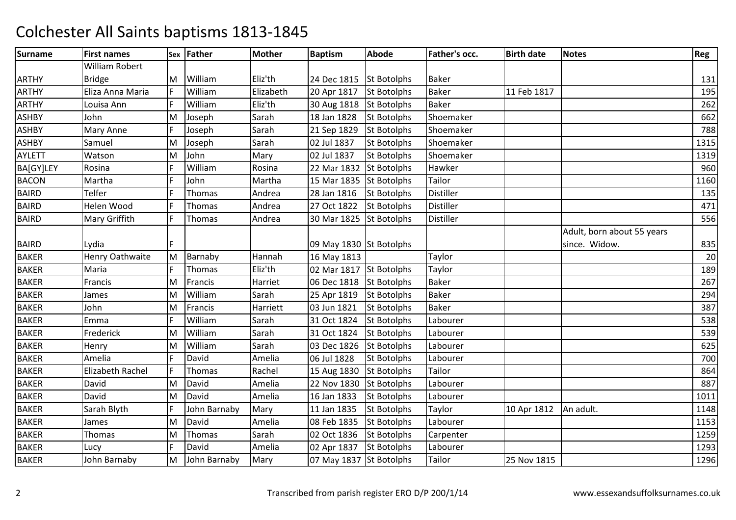| <b>Surname</b> | <b>First names</b>      |     | Sex Father   | <b>Mother</b> | <b>Baptism</b>          | <b>Abode</b>       | Father's occ.    | <b>Birth date</b> | <b>Notes</b>               | Reg    |
|----------------|-------------------------|-----|--------------|---------------|-------------------------|--------------------|------------------|-------------------|----------------------------|--------|
|                | William Robert          |     |              |               |                         |                    |                  |                   |                            |        |
| <b>ARTHY</b>   | <b>Bridge</b>           | IM. | William      | Eliz'th       | 24 Dec 1815 St Botolphs |                    | <b>Baker</b>     |                   |                            | 131    |
| <b>ARTHY</b>   | Eliza Anna Maria        | F   | William      | Elizabeth     | 20 Apr 1817             | <b>St Botolphs</b> | <b>Baker</b>     | 11 Feb 1817       |                            | 195    |
| <b>ARTHY</b>   | Louisa Ann              |     | William      | Eliz'th       | 30 Aug 1818 St Botolphs |                    | <b>Baker</b>     |                   |                            | 262    |
| <b>ASHBY</b>   | John                    | M   | Joseph       | Sarah         | 18 Jan 1828             | <b>St Botolphs</b> | Shoemaker        |                   |                            | 662    |
| <b>ASHBY</b>   | Mary Anne               | F   | Joseph       | Sarah         | 21 Sep 1829             | <b>St Botolphs</b> | Shoemaker        |                   |                            | 788    |
| ASHBY          | Samuel                  | M   | Joseph       | Sarah         | 02 Jul 1837             | <b>St Botolphs</b> | Shoemaker        |                   |                            | 1315   |
| <b>AYLETT</b>  | Watson                  | M   | John         | Mary          | 02 Jul 1837             | St Botolphs        | Shoemaker        |                   |                            | 1319   |
| BA[GY]LEY      | Rosina                  | F   | William      | Rosina        | 22 Mar 1832             | <b>St Botolphs</b> | Hawker           |                   |                            | 960    |
| <b>BACON</b>   | Martha                  | F   | John         | Martha        | 15 Mar 1835 St Botolphs |                    | Tailor           |                   |                            | 1160   |
| <b>BAIRD</b>   | Telfer                  | F   | Thomas       | Andrea        | 28 Jan 1816             | <b>St Botolphs</b> | Distiller        |                   |                            | 135    |
| <b>BAIRD</b>   | Helen Wood              | F   | Thomas       | Andrea        | 27 Oct 1822             | <b>St Botolphs</b> | <b>Distiller</b> |                   |                            | 471    |
| <b>BAIRD</b>   | Mary Griffith           | F   | Thomas       | Andrea        | 30 Mar 1825             | <b>St Botolphs</b> | <b>Distiller</b> |                   |                            | 556    |
|                |                         |     |              |               |                         |                    |                  |                   | Adult, born about 55 years |        |
| <b>BAIRD</b>   | Lydia                   | Ē   |              |               | 09 May 1830 St Botolphs |                    |                  |                   | since. Widow.              | 835    |
| <b>BAKER</b>   | Henry Oathwaite         | M   | Barnaby      | Hannah        | 16 May 1813             |                    | Taylor           |                   |                            | $20\,$ |
| <b>BAKER</b>   | Maria                   | F   | Thomas       | Eliz'th       | 02 Mar 1817 St Botolphs |                    | Taylor           |                   |                            | 189    |
| <b>BAKER</b>   | Francis                 | M   | Francis      | Harriet       | 06 Dec 1818 St Botolphs |                    | <b>Baker</b>     |                   |                            | 267    |
| <b>BAKER</b>   | James                   | M   | William      | Sarah         | 25 Apr 1819             | <b>St Botolphs</b> | <b>Baker</b>     |                   |                            | 294    |
| <b>BAKER</b>   | John                    | M   | Francis      | Harriett      | 03 Jun 1821             | <b>St Botolphs</b> | <b>Baker</b>     |                   |                            | 387    |
| <b>BAKER</b>   | Emma                    | F   | William      | Sarah         | 31 Oct 1824             | <b>St Botolphs</b> | Labourer         |                   |                            | 538    |
| <b>BAKER</b>   | Frederick               | M   | William      | Sarah         | 31 Oct 1824             | <b>St Botolphs</b> | Labourer         |                   |                            | 539    |
| <b>BAKER</b>   | Henry                   | M   | William      | Sarah         | 03 Dec 1826             | <b>St Botolphs</b> | Labourer         |                   |                            | 625    |
| <b>BAKER</b>   | Amelia                  | F   | David        | Amelia        | 06 Jul 1828             | <b>St Botolphs</b> | Labourer         |                   |                            | 700    |
| <b>BAKER</b>   | <b>Elizabeth Rachel</b> | F   | Thomas       | Rachel        | 15 Aug 1830             | <b>St Botolphs</b> | Tailor           |                   |                            | 864    |
| <b>BAKER</b>   | David                   | M   | David        | Amelia        | 22 Nov 1830             | <b>St Botolphs</b> | Labourer         |                   |                            | 887    |
| <b>BAKER</b>   | David                   | M   | David        | Amelia        | 16 Jan 1833             | <b>St Botolphs</b> | Labourer         |                   |                            | 1011   |
| <b>BAKER</b>   | Sarah Blyth             | F   | John Barnaby | Mary          | 11 Jan 1835             | <b>St Botolphs</b> | Taylor           | 10 Apr 1812       | An adult.                  | 1148   |
| <b>BAKER</b>   | James                   | M   | David        | Amelia        | 08 Feb 1835             | <b>St Botolphs</b> | Labourer         |                   |                            | 1153   |
| <b>BAKER</b>   | Thomas                  | M   | Thomas       | Sarah         | 02 Oct 1836             | <b>St Botolphs</b> | Carpenter        |                   |                            | 1259   |
| <b>BAKER</b>   | Lucy                    | F   | David        | Amelia        | 02 Apr 1837             | <b>St Botolphs</b> | Labourer         |                   |                            | 1293   |
| <b>BAKER</b>   | John Barnaby            | M   | John Barnaby | Mary          | 07 May 1837 St Botolphs |                    | Tailor           | 25 Nov 1815       |                            | 1296   |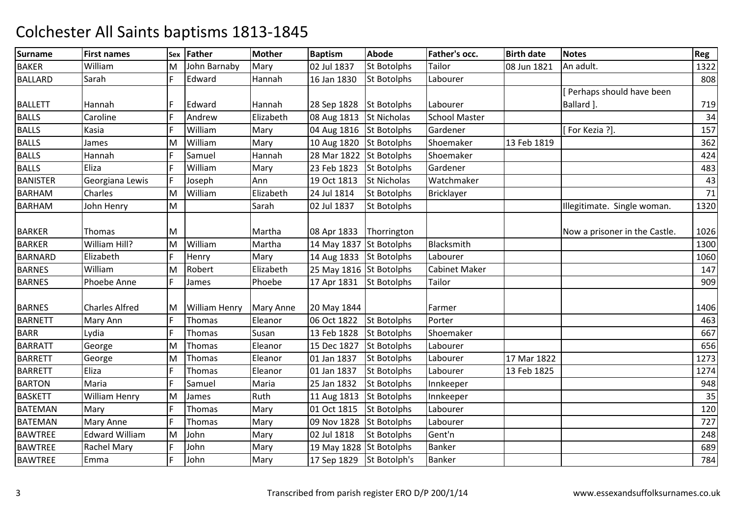| <b>Surname</b>  | <b>First names</b>    | Sex | Father               | <b>Mother</b>    | <b>Baptism</b>           | <b>Abode</b>       | Father's occ.        | <b>Birth date</b> | <b>Notes</b>                  | Reg  |
|-----------------|-----------------------|-----|----------------------|------------------|--------------------------|--------------------|----------------------|-------------------|-------------------------------|------|
| <b>BAKER</b>    | William               | м   | John Barnaby         | Mary             | 02 Jul 1837              | <b>St Botolphs</b> | Tailor               | 08 Jun 1821       | An adult.                     | 1322 |
| <b>BALLARD</b>  | Sarah                 | E   | Edward               | Hannah           | 16 Jan 1830              | St Botolphs        | Labourer             |                   |                               | 808  |
|                 |                       |     |                      |                  |                          |                    |                      |                   | Perhaps should have been      |      |
| <b>BALLETT</b>  | Hannah                |     | Edward               | Hannah           | 28 Sep 1828              | <b>St Botolphs</b> | Labourer             |                   | Ballard ].                    | 719  |
| <b>BALLS</b>    | Caroline              | F   | Andrew               | Elizabeth        | 08 Aug 1813              | <b>St Nicholas</b> | <b>School Master</b> |                   |                               | 34   |
| <b>BALLS</b>    | Kasia                 | F   | William              | Mary             | 04 Aug 1816 St Botolphs  |                    | Gardener             |                   | [For Kezia ?].                | 157  |
| <b>BALLS</b>    | James                 | M   | William              | Mary             | 10 Aug 1820              | <b>St Botolphs</b> | Shoemaker            | 13 Feb 1819       |                               | 362  |
| <b>BALLS</b>    | Hannah                |     | Samuel               | Hannah           | 28 Mar 1822              | <b>St Botolphs</b> | Shoemaker            |                   |                               | 424  |
| <b>BALLS</b>    | Eliza                 | F   | William              | Mary             | 23 Feb 1823              | <b>St Botolphs</b> | Gardener             |                   |                               | 483  |
| <b>BANISTER</b> | Georgiana Lewis       | F   | Joseph               | Ann              | 19 Oct 1813              | St Nicholas        | Watchmaker           |                   |                               | 43   |
| <b>BARHAM</b>   | Charles               | M   | William              | Elizabeth        | 24 Jul 1814              | St Botolphs        | <b>Bricklayer</b>    |                   |                               | 71   |
| <b>BARHAM</b>   | John Henry            | M   |                      | Sarah            | 02 Jul 1837              | St Botolphs        |                      |                   | Illegitimate. Single woman.   | 1320 |
| <b>BARKER</b>   | Thomas                | M   |                      | Martha           | 08 Apr 1833              | Thorrington        |                      |                   | Now a prisoner in the Castle. | 1026 |
| <b>BARKER</b>   | William Hill?         | M   | William              | Martha           | 14 May 1837 St Botolphs  |                    | Blacksmith           |                   |                               | 1300 |
| <b>BARNARD</b>  | Elizabeth             | F   | Henry                | Mary             | 14 Aug 1833 St Botolphs  |                    | Labourer             |                   |                               | 1060 |
| <b>BARNES</b>   | William               | M   | Robert               | Elizabeth        | 25 May 1816 St Botolphs  |                    | <b>Cabinet Maker</b> |                   |                               | 147  |
| <b>BARNES</b>   | Phoebe Anne           | E   | James                | Phoebe           | 17 Apr 1831              | <b>St Botolphs</b> | Tailor               |                   |                               | 909  |
| <b>BARNES</b>   | <b>Charles Alfred</b> | М   | <b>William Henry</b> | <b>Mary Anne</b> | 20 May 1844              |                    | Farmer               |                   |                               | 1406 |
| <b>BARNETT</b>  | Mary Ann              | F   | Thomas               | Eleanor          | 06 Oct 1822              | <b>St Botolphs</b> | Porter               |                   |                               | 463  |
| <b>BARR</b>     | Lydia                 | F   | Thomas               | Susan            | 13 Feb 1828              | <b>St Botolphs</b> | Shoemaker            |                   |                               | 667  |
| <b>BARRATT</b>  | George                | M   | Thomas               | Eleanor          | 15 Dec 1827              | <b>St Botolphs</b> | Labourer             |                   |                               | 656  |
| <b>BARRETT</b>  | George                | M   | Thomas               | Eleanor          | 01 Jan 1837              | <b>St Botolphs</b> | Labourer             | 17 Mar 1822       |                               | 1273 |
| <b>BARRETT</b>  | Eliza                 | E   | Thomas               | Eleanor          | 01 Jan 1837              | <b>St Botolphs</b> | Labourer             | 13 Feb 1825       |                               | 1274 |
| <b>BARTON</b>   | Maria                 | F   | Samuel               | Maria            | 25 Jan 1832              | <b>St Botolphs</b> | Innkeeper            |                   |                               | 948  |
| <b>BASKETT</b>  | William Henry         | M   | James                | Ruth             | 11 Aug 1813              | <b>St Botolphs</b> | Innkeeper            |                   |                               | 35   |
| <b>BATEMAN</b>  | Mary                  | F   | Thomas               | Mary             | 01 Oct 1815              | <b>St Botolphs</b> | Labourer             |                   |                               | 120  |
| <b>BATEMAN</b>  | <b>Mary Anne</b>      | F   | Thomas               | Mary             | 09 Nov 1828              | <b>St Botolphs</b> | Labourer             |                   |                               | 727  |
| <b>BAWTREE</b>  | <b>Edward William</b> | M   | John                 | Mary             | 02 Jul 1818              | <b>St Botolphs</b> | Gent'n               |                   |                               | 248  |
| <b>BAWTREE</b>  | Rachel Mary           | F   | John                 | Mary             | 19 May 1828 St Botolphs  |                    | <b>Banker</b>        |                   |                               | 689  |
| <b>BAWTREE</b>  | Emma                  | F   | John                 | Mary             | 17 Sep 1829 St Botolph's |                    | <b>Banker</b>        |                   |                               | 784  |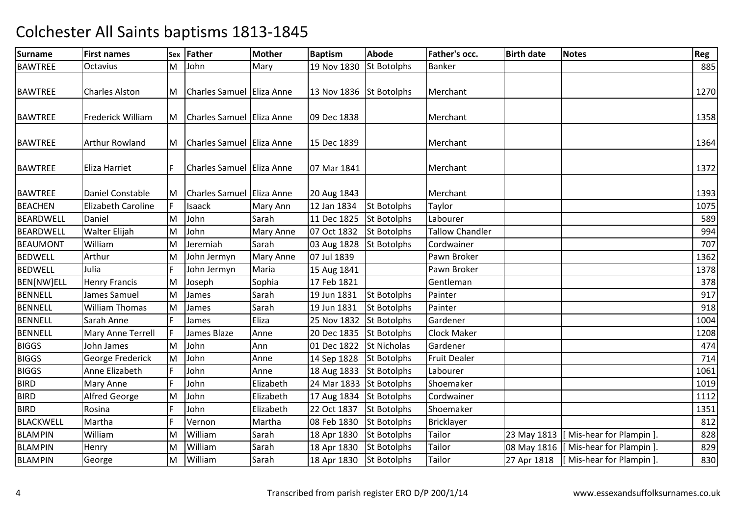| <b>Surname</b>   | <b>First names</b>        |    | Sex Father                  | <b>Mother</b>    | <b>Baptism</b>          | <b>Abode</b>       | Father's occ.          | <b>Birth date</b> | <b>Notes</b>                           | Reg  |
|------------------|---------------------------|----|-----------------------------|------------------|-------------------------|--------------------|------------------------|-------------------|----------------------------------------|------|
| <b>BAWTREE</b>   | Octavius                  | M  | John                        | Mary             | 19 Nov 1830             | <b>St Botolphs</b> | <b>Banker</b>          |                   |                                        | 885  |
| <b>BAWTREE</b>   | <b>Charles Alston</b>     |    | M Charles Samuel Eliza Anne |                  | 13 Nov 1836 St Botolphs |                    | Merchant               |                   |                                        | 1270 |
| <b>BAWTREE</b>   | Frederick William         |    | M Charles Samuel Eliza Anne |                  | 09 Dec 1838             |                    | Merchant               |                   |                                        | 1358 |
| <b>BAWTREE</b>   | <b>Arthur Rowland</b>     |    | M Charles Samuel Eliza Anne |                  | 15 Dec 1839             |                    | Merchant               |                   |                                        | 1364 |
| <b>BAWTREE</b>   | Eliza Harriet             | F  | Charles Samuel Eliza Anne   |                  | 07 Mar 1841             |                    | Merchant               |                   |                                        | 1372 |
| <b>BAWTREE</b>   | Daniel Constable          | M  | Charles Samuel Eliza Anne   |                  | 20 Aug 1843             |                    | Merchant               |                   |                                        | 1393 |
| <b>BEACHEN</b>   | <b>Elizabeth Caroline</b> | F  | Isaack                      | Mary Ann         | 12 Jan 1834             | <b>St Botolphs</b> | Taylor                 |                   |                                        | 1075 |
| <b>BEARDWELL</b> | Daniel                    | M  | John                        | Sarah            | 11 Dec 1825             | <b>St Botolphs</b> | Labourer               |                   |                                        | 589  |
| <b>BEARDWELL</b> | Walter Elijah             | M  | John                        | <b>Mary Anne</b> | 07 Oct 1832             | <b>St Botolphs</b> | <b>Tallow Chandler</b> |                   |                                        | 994  |
| <b>BEAUMONT</b>  | William                   | M  | Jeremiah                    | Sarah            | 03 Aug 1828             | <b>St Botolphs</b> | Cordwainer             |                   |                                        | 707  |
| <b>BEDWELL</b>   | Arthur                    | M  | John Jermyn                 | <b>Mary Anne</b> | 07 Jul 1839             |                    | Pawn Broker            |                   |                                        | 1362 |
| <b>BEDWELL</b>   | Julia                     | F  | John Jermyn                 | Maria            | 15 Aug 1841             |                    | Pawn Broker            |                   |                                        | 1378 |
| BEN[NW]ELL       | <b>Henry Francis</b>      | M  | Joseph                      | Sophia           | 17 Feb 1821             |                    | Gentleman              |                   |                                        | 378  |
| <b>BENNELL</b>   | James Samuel              | M  | James                       | Sarah            | 19 Jun 1831             | <b>St Botolphs</b> | Painter                |                   |                                        | 917  |
| <b>BENNELL</b>   | <b>William Thomas</b>     | M  | James                       | Sarah            | 19 Jun 1831             | <b>St Botolphs</b> | Painter                |                   |                                        | 918  |
| <b>BENNELL</b>   | Sarah Anne                |    | James                       | Eliza            | 25 Nov 1832             | <b>St Botolphs</b> | Gardener               |                   |                                        | 1004 |
| <b>BENNELL</b>   | Mary Anne Terrell         | IF | James Blaze                 | Anne             | 20 Dec 1835             | <b>St Botolphs</b> | <b>Clock Maker</b>     |                   |                                        | 1208 |
| <b>BIGGS</b>     | John James                | M  | John                        | Ann              | 01 Dec 1822             | <b>St Nicholas</b> | Gardener               |                   |                                        | 474  |
| <b>BIGGS</b>     | George Frederick          | M  | John                        | Anne             | 14 Sep 1828             | <b>St Botolphs</b> | <b>Fruit Dealer</b>    |                   |                                        | 714  |
| <b>BIGGS</b>     | Anne Elizabeth            | F  | John                        | Anne             | 18 Aug 1833             | <b>St Botolphs</b> | Labourer               |                   |                                        | 1061 |
| <b>BIRD</b>      | Mary Anne                 | F  | John                        | Elizabeth        | 24 Mar 1833 St Botolphs |                    | Shoemaker              |                   |                                        | 1019 |
| <b>BIRD</b>      | Alfred George             | M  | John                        | Elizabeth        | 17 Aug 1834             | <b>St Botolphs</b> | Cordwainer             |                   |                                        | 1112 |
| <b>BIRD</b>      | Rosina                    | F  | John                        | Elizabeth        | 22 Oct 1837             | <b>St Botolphs</b> | Shoemaker              |                   |                                        | 1351 |
| <b>BLACKWELL</b> | Martha                    |    | Vernon                      | Martha           | 08 Feb 1830             | <b>St Botolphs</b> | Bricklayer             |                   |                                        | 812  |
| <b>BLAMPIN</b>   | William                   | M  | William                     | Sarah            | 18 Apr 1830             | <b>St Botolphs</b> | Tailor                 |                   | 23 May 1813  [ Mis-hear for Plampin ]. | 828  |
| <b>BLAMPIN</b>   | Henry                     | M  | William                     | Sarah            | 18 Apr 1830             | <b>St Botolphs</b> | Tailor                 |                   | 08 May 1816   [Mis-hear for Plampin ]. | 829  |
| <b>BLAMPIN</b>   | George                    | M  | William                     | Sarah            | 18 Apr 1830             | <b>St Botolphs</b> | <b>Tailor</b>          |                   | 27 Apr 1818   [Mis-hear for Plampin ]. | 830  |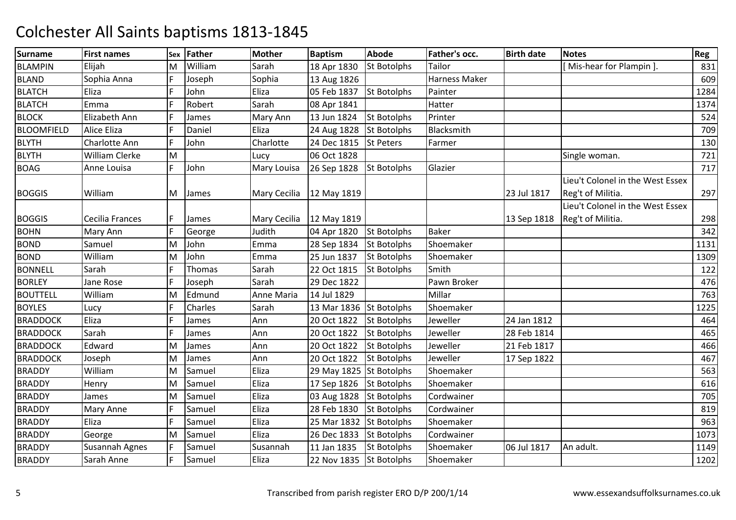| <b>Surname</b>    | <b>First names</b> | <b>Sex</b> | Father        | Mother              | <b>Baptism</b>          | <b>Abode</b>       | Father's occ. | <b>Birth date</b> | <b>Notes</b>                     | <b>Reg</b> |
|-------------------|--------------------|------------|---------------|---------------------|-------------------------|--------------------|---------------|-------------------|----------------------------------|------------|
| <b>BLAMPIN</b>    | Elijah             | ΙM         | William       | Sarah               | 18 Apr 1830             | St Botolphs        | Tailor        |                   | [Mis-hear for Plampin].          | 831        |
| <b>BLAND</b>      | Sophia Anna        | E          | Joseph        | Sophia              | 13 Aug 1826             |                    | Harness Maker |                   |                                  | 609        |
| <b>BLATCH</b>     | Eliza              | F          | John          | Eliza               | 05 Feb 1837             | <b>St Botolphs</b> | Painter       |                   |                                  | 1284       |
| <b>BLATCH</b>     | Emma               |            | Robert        | Sarah               | 08 Apr 1841             |                    | Hatter        |                   |                                  | 1374       |
| <b>BLOCK</b>      | Elizabeth Ann      | IF         | James         | Mary Ann            | 13 Jun 1824             | <b>St Botolphs</b> | Printer       |                   |                                  | 524        |
| <b>BLOOMFIELD</b> | Alice Eliza        | ١F         | Daniel        | Eliza               | 24 Aug 1828             | St Botolphs        | Blacksmith    |                   |                                  | 709        |
| <b>BLYTH</b>      | Charlotte Ann      | IF         | John          | Charlotte           | 24 Dec 1815             | <b>St Peters</b>   | Farmer        |                   |                                  | 130        |
| <b>BLYTH</b>      | William Clerke     | M          |               | Lucy                | 06 Oct 1828             |                    |               |                   | Single woman.                    | 721        |
| <b>BOAG</b>       | Anne Louisa        | E          | John          | Mary Louisa         | 26 Sep 1828             | <b>St Botolphs</b> | Glazier       |                   |                                  | 717        |
|                   |                    |            |               |                     |                         |                    |               |                   | Lieu't Colonel in the West Essex |            |
| <b>BOGGIS</b>     | William            | M          | James         | Mary Cecilia        | 12 May 1819             |                    |               | 23 Jul 1817       | Reg't of Militia.                | 297        |
|                   |                    |            |               |                     |                         |                    |               |                   | Lieu't Colonel in the West Essex |            |
| <b>BOGGIS</b>     | Cecilia Frances    | IF         | James         | <b>Mary Cecilia</b> | 12 May 1819             |                    |               | 13 Sep 1818       | Reg't of Militia.                | 298        |
| <b>BOHN</b>       | Mary Ann           | l۴.        | George        | Judith              | 04 Apr 1820             | <b>St Botolphs</b> | <b>Baker</b>  |                   |                                  | 342        |
| <b>BOND</b>       | Samuel             | M          | John          | Emma                | 28 Sep 1834             | <b>St Botolphs</b> | Shoemaker     |                   |                                  | 1131       |
| <b>BOND</b>       | William            | M          | John          | Emma                | 25 Jun 1837             | <b>St Botolphs</b> | Shoemaker     |                   |                                  | 1309       |
| <b>BONNELL</b>    | Sarah              | lF.        | <b>Thomas</b> | Sarah               | 22 Oct 1815             | <b>St Botolphs</b> | Smith         |                   |                                  | 122        |
| <b>BORLEY</b>     | Jane Rose          | F          | Joseph        | Sarah               | 29 Dec 1822             |                    | Pawn Broker   |                   |                                  | 476        |
| <b>BOUTTELL</b>   | William            | M          | Edmund        | Anne Maria          | 14 Jul 1829             |                    | Millar        |                   |                                  | 763        |
| <b>BOYLES</b>     | Lucy               | F          | Charles       | Sarah               | 13 Mar 1836             | <b>St Botolphs</b> | Shoemaker     |                   |                                  | 1225       |
| <b>BRADDOCK</b>   | Eliza              | F          | James         | Ann                 | 20 Oct 1822             | <b>St Botolphs</b> | Jeweller      | 24 Jan 1812       |                                  | 464        |
| <b>BRADDOCK</b>   | Sarah              | F          | James         | Ann                 | 20 Oct 1822             | <b>St Botolphs</b> | Jeweller      | 28 Feb 1814       |                                  | 465        |
| <b>BRADDOCK</b>   | Edward             | M          | James         | Ann                 | 20 Oct 1822             | <b>St Botolphs</b> | Jeweller      | 21 Feb 1817       |                                  | 466        |
| <b>BRADDOCK</b>   | Joseph             | M          | James         | Ann                 | 20 Oct 1822             | <b>St Botolphs</b> | Jeweller      | 17 Sep 1822       |                                  | 467        |
| <b>BRADDY</b>     | William            | M          | Samuel        | Eliza               | 29 May 1825 St Botolphs |                    | Shoemaker     |                   |                                  | 563        |
| <b>BRADDY</b>     | Henry              | M          | Samuel        | Eliza               | 17 Sep 1826             | <b>St Botolphs</b> | Shoemaker     |                   |                                  | 616        |
| <b>BRADDY</b>     | James              | M          | Samuel        | Eliza               | 03 Aug 1828             | <b>St Botolphs</b> | Cordwainer    |                   |                                  | 705        |
| <b>BRADDY</b>     | <b>Mary Anne</b>   | F          | Samuel        | Eliza               | 28 Feb 1830             | <b>St Botolphs</b> | Cordwainer    |                   |                                  | 819        |
| <b>BRADDY</b>     | Eliza              | F          | Samuel        | Eliza               | 25 Mar 1832             | <b>St Botolphs</b> | Shoemaker     |                   |                                  | 963        |
| <b>BRADDY</b>     | George             | M          | Samuel        | Eliza               | 26 Dec 1833             | <b>St Botolphs</b> | Cordwainer    |                   |                                  | 1073       |
| <b>BRADDY</b>     | Susannah Agnes     | IF.        | Samuel        | Susannah            | 11 Jan 1835             | <b>St Botolphs</b> | Shoemaker     | 06 Jul 1817       | An adult.                        | 1149       |
| <b>BRADDY</b>     | Sarah Anne         | lF.        | Samuel        | Eliza               | 22 Nov 1835 St Botolphs |                    | Shoemaker     |                   |                                  | 1202       |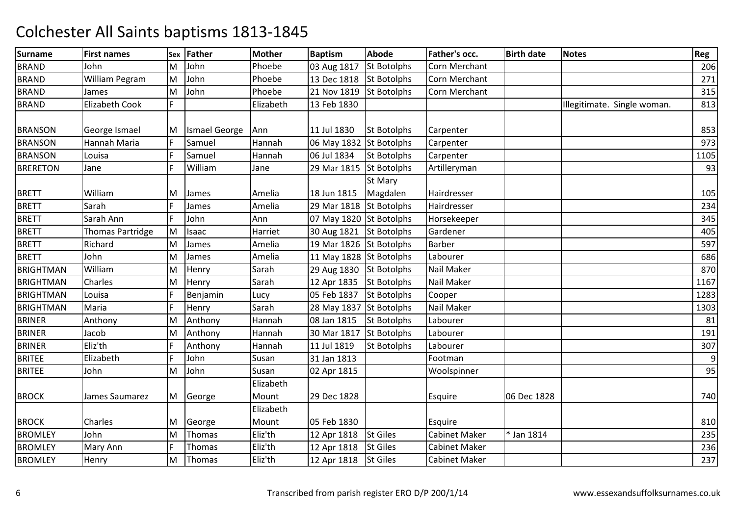| <b>Surname</b>   | <b>First names</b>      | Sex | <b>Father</b>        | <b>Mother</b> | <b>Baptism</b>          | <b>Abode</b>       | Father's occ.        | <b>Birth date</b> | <b>Notes</b>                | Reg            |
|------------------|-------------------------|-----|----------------------|---------------|-------------------------|--------------------|----------------------|-------------------|-----------------------------|----------------|
| <b>BRAND</b>     | John                    | M   | John                 | Phoebe        | 03 Aug 1817             | <b>St Botolphs</b> | Corn Merchant        |                   |                             | 206            |
| <b>BRAND</b>     | William Pegram          | M   | John                 | Phoebe        | 13 Dec 1818             | <b>St Botolphs</b> | Corn Merchant        |                   |                             | 271            |
| <b>BRAND</b>     | James                   | M   | John                 | Phoebe        | 21 Nov 1819             | <b>St Botolphs</b> | Corn Merchant        |                   |                             | 315            |
| <b>BRAND</b>     | <b>Elizabeth Cook</b>   | F   |                      | Elizabeth     | 13 Feb 1830             |                    |                      |                   | Illegitimate. Single woman. | 813            |
|                  |                         |     |                      |               |                         |                    |                      |                   |                             |                |
| <b>BRANSON</b>   | George Ismael           | M   | <b>Ismael George</b> | Ann           | 11 Jul 1830             | <b>St Botolphs</b> | Carpenter            |                   |                             | 853            |
| <b>BRANSON</b>   | Hannah Maria            | F   | Samuel               | Hannah        | 06 May 1832 St Botolphs |                    | Carpenter            |                   |                             | 973            |
| <b>BRANSON</b>   | Louisa                  | F   | Samuel               | Hannah        | 06 Jul 1834             | St Botolphs        | Carpenter            |                   |                             | 1105           |
| <b>BRERETON</b>  | Jane                    | F   | William              | Jane          | 29 Mar 1815             | <b>St Botolphs</b> | Artilleryman         |                   |                             | 93             |
|                  |                         |     |                      |               |                         | St Mary            |                      |                   |                             |                |
| <b>BRETT</b>     | William                 | M   | James                | Amelia        | 18 Jun 1815             | Magdalen           | Hairdresser          |                   |                             | 105            |
| <b>BRETT</b>     | Sarah                   | F   | James                | Amelia        | 29 Mar 1818             | <b>St Botolphs</b> | Hairdresser          |                   |                             | 234            |
| <b>BRETT</b>     | Sarah Ann               | F   | John                 | Ann           | 07 May 1820 St Botolphs |                    | Horsekeeper          |                   |                             | 345            |
| <b>BRETT</b>     | <b>Thomas Partridge</b> | M   | Isaac                | Harriet       | 30 Aug 1821 St Botolphs |                    | Gardener             |                   |                             | 405            |
| <b>BRETT</b>     | Richard                 | M   | James                | Amelia        | 19 Mar 1826             | St Botolphs        | Barber               |                   |                             | 597            |
| <b>BRETT</b>     | John                    | M   | James                | Amelia        | 11 May 1828 St Botolphs |                    | Labourer             |                   |                             | 686            |
| <b>BRIGHTMAN</b> | William                 | M   | Henry                | Sarah         | 29 Aug 1830             | St Botolphs        | Nail Maker           |                   |                             | 870            |
| <b>BRIGHTMAN</b> | Charles                 | M   | Henry                | Sarah         | 12 Apr 1835             | <b>St Botolphs</b> | Nail Maker           |                   |                             | 1167           |
| <b>BRIGHTMAN</b> | Louisa                  | F   | Benjamin             | Lucy          | 05 Feb 1837             | <b>St Botolphs</b> | Cooper               |                   |                             | 1283           |
| <b>BRIGHTMAN</b> | Maria                   | F   | Henry                | Sarah         | 28 May 1837 St Botolphs |                    | Nail Maker           |                   |                             | 1303           |
| <b>BRINER</b>    | Anthony                 | M   | Anthony              | Hannah        | 08 Jan 1815             | <b>St Botolphs</b> | Labourer             |                   |                             | 81             |
| <b>BRINER</b>    | Jacob                   | M   | Anthony              | Hannah        | 30 Mar 1817             | <b>St Botolphs</b> | Labourer             |                   |                             | 191            |
| <b>BRINER</b>    | Eliz'th                 | F   | Anthony              | Hannah        | 11 Jul 1819             | <b>St Botolphs</b> | Labourer             |                   |                             | 307            |
| <b>BRITEE</b>    | Elizabeth               | F   | John                 | Susan         | 31 Jan 1813             |                    | Footman              |                   |                             | $\overline{9}$ |
| <b>BRITEE</b>    | John                    | M   | John                 | Susan         | 02 Apr 1815             |                    | Woolspinner          |                   |                             | 95             |
|                  |                         |     |                      | Elizabeth     |                         |                    |                      |                   |                             |                |
| <b>BROCK</b>     | James Saumarez          |     | M George             | Mount         | 29 Dec 1828             |                    | Esquire              | 06 Dec 1828       |                             | 740            |
|                  |                         |     |                      | Elizabeth     |                         |                    |                      |                   |                             |                |
| <b>BROCK</b>     | Charles                 | M   | George               | Mount         | 05 Feb 1830             |                    | Esquire              |                   |                             | 810            |
| <b>BROMLEY</b>   | John                    | M   | Thomas               | Eliz'th       | 12 Apr 1818             | <b>St Giles</b>    | <b>Cabinet Maker</b> | * Jan 1814        |                             | 235            |
| <b>BROMLEY</b>   | Mary Ann                | F   | Thomas               | Eliz'th       | 12 Apr 1818             | <b>St Giles</b>    | Cabinet Maker        |                   |                             | 236            |
| <b>BROMLEY</b>   | Henry                   | M   | Thomas               | Eliz'th       | 12 Apr 1818             | <b>St Giles</b>    | <b>Cabinet Maker</b> |                   |                             | 237            |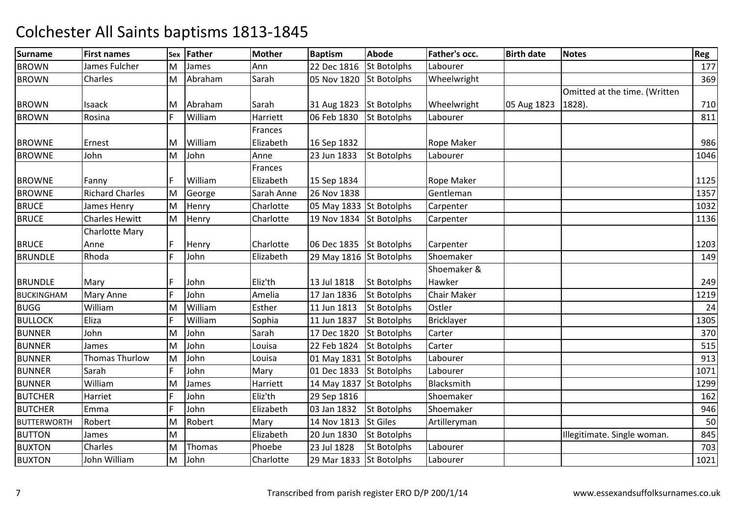| <b>Surname</b>     | <b>First names</b>     |              | Sex Father | <b>Mother</b> | <b>Baptism</b>          | <b>Abode</b>       | Father's occ.      | <b>Birth date</b> | <b>Notes</b>                  | Reg  |
|--------------------|------------------------|--------------|------------|---------------|-------------------------|--------------------|--------------------|-------------------|-------------------------------|------|
| <b>BROWN</b>       | James Fulcher          | М            | James      | Ann           | 22 Dec 1816             | <b>St Botolphs</b> | Labourer           |                   |                               | 177  |
| <b>BROWN</b>       | Charles                | M            | Abraham    | Sarah         | 05 Nov 1820             | <b>St Botolphs</b> | Wheelwright        |                   |                               | 369  |
|                    |                        |              |            |               |                         |                    |                    |                   | Omitted at the time. (Written |      |
| <b>BROWN</b>       | Isaack                 | M            | Abraham    | Sarah         | 31 Aug 1823 St Botolphs |                    | Wheelwright        | 05 Aug 1823       | 1828).                        | 710  |
| <b>BROWN</b>       | Rosina                 | F            | William    | Harriett      | 06 Feb 1830             | <b>St Botolphs</b> | Labourer           |                   |                               | 811  |
|                    |                        |              |            | Frances       |                         |                    |                    |                   |                               |      |
| <b>BROWNE</b>      | Ernest                 | M            | William    | Elizabeth     | 16 Sep 1832             |                    | Rope Maker         |                   |                               | 986  |
| <b>BROWNE</b>      | John                   | M            | John       | Anne          | 23 Jun 1833             | <b>St Botolphs</b> | Labourer           |                   |                               | 1046 |
|                    |                        |              |            | Frances       |                         |                    |                    |                   |                               |      |
| <b>BROWNE</b>      | Fanny                  | F            | William    | Elizabeth     | 15 Sep 1834             |                    | Rope Maker         |                   |                               | 1125 |
| <b>BROWNE</b>      | <b>Richard Charles</b> | M            | George     | Sarah Anne    | 26 Nov 1838             |                    | Gentleman          |                   |                               | 1357 |
| <b>BRUCE</b>       | James Henry            | M            | Henry      | Charlotte     | 05 May 1833 St Botolphs |                    | Carpenter          |                   |                               | 1032 |
| <b>BRUCE</b>       | <b>Charles Hewitt</b>  | M            | Henry      | Charlotte     | 19 Nov 1834             | <b>St Botolphs</b> | Carpenter          |                   |                               | 1136 |
|                    | <b>Charlotte Mary</b>  |              |            |               |                         |                    |                    |                   |                               |      |
| <b>BRUCE</b>       | Anne                   | $\mathsf{F}$ | Henry      | Charlotte     | 06 Dec 1835             | <b>St Botolphs</b> | Carpenter          |                   |                               | 1203 |
| <b>BRUNDLE</b>     | Rhoda                  | F            | John       | Elizabeth     | 29 May 1816 St Botolphs |                    | Shoemaker          |                   |                               | 149  |
|                    |                        |              |            |               |                         |                    | Shoemaker &        |                   |                               |      |
| <b>BRUNDLE</b>     | Mary                   | F            | John       | Eliz'th       | 13 Jul 1818             | <b>St Botolphs</b> | Hawker             |                   |                               | 249  |
| <b>BUCKINGHAM</b>  | Mary Anne              | F            | John       | Amelia        | 17 Jan 1836             | <b>St Botolphs</b> | <b>Chair Maker</b> |                   |                               | 1219 |
| <b>BUGG</b>        | William                | M            | William    | Esther        | 11 Jun 1813             | <b>St Botolphs</b> | Ostler             |                   |                               | 24   |
| <b>BULLOCK</b>     | Eliza                  | F            | William    | Sophia        | 11 Jun 1837             | <b>St Botolphs</b> | Bricklayer         |                   |                               | 1305 |
| <b>BUNNER</b>      | John                   | M            | John       | Sarah         | 17 Dec 1820             | <b>St Botolphs</b> | Carter             |                   |                               | 370  |
| <b>BUNNER</b>      | James                  | M            | John       | Louisa        | 22 Feb 1824             | <b>St Botolphs</b> | Carter             |                   |                               | 515  |
| <b>BUNNER</b>      | <b>Thomas Thurlow</b>  | M            | John       | Louisa        | 01 May 1831 St Botolphs |                    | Labourer           |                   |                               | 913  |
| <b>BUNNER</b>      | Sarah                  | F            | John       | Mary          | 01 Dec 1833             | St Botolphs        | Labourer           |                   |                               | 1071 |
| <b>BUNNER</b>      | William                | M            | James      | Harriett      | 14 May 1837 St Botolphs |                    | Blacksmith         |                   |                               | 1299 |
| <b>BUTCHER</b>     | Harriet                | F            | John       | Eliz'th       | 29 Sep 1816             |                    | Shoemaker          |                   |                               | 162  |
| <b>BUTCHER</b>     | Emma                   | F            | John       | Elizabeth     | 03 Jan 1832             | <b>St Botolphs</b> | Shoemaker          |                   |                               | 946  |
| <b>BUTTERWORTH</b> | Robert                 | M            | Robert     | Mary          | 14 Nov 1813             | <b>St Giles</b>    | Artilleryman       |                   |                               | 50   |
| <b>BUTTON</b>      | James                  | M            |            | Elizabeth     | 20 Jun 1830             | St Botolphs        |                    |                   | Illegitimate. Single woman.   | 845  |
| <b>BUXTON</b>      | Charles                | M            | Thomas     | Phoebe        | 23 Jul 1828             | St Botolphs        | Labourer           |                   |                               | 703  |
| <b>BUXTON</b>      | John William           | M            | John       | Charlotte     | 29 Mar 1833             | <b>St Botolphs</b> | Labourer           |                   |                               | 1021 |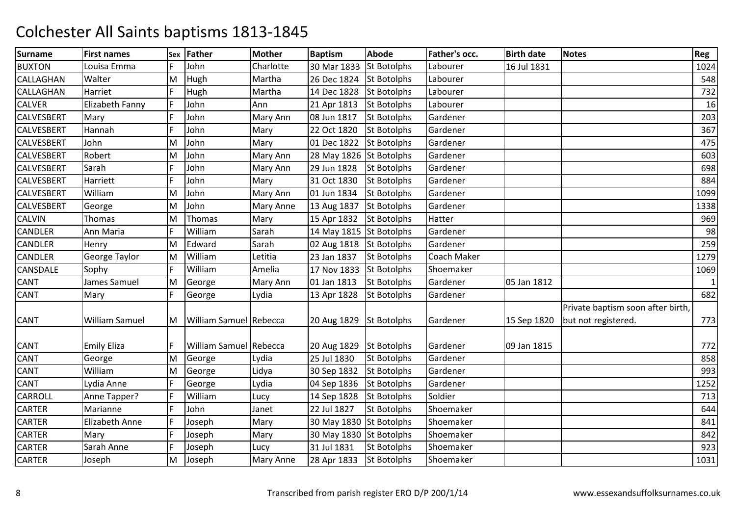| <b>Surname</b>    | <b>First names</b>    | Sex | Father                     | <b>Mother</b>    | <b>Baptism</b>          | <b>Abode</b>       | Father's occ. | <b>Birth date</b> | <b>Notes</b>                                             | Reg          |
|-------------------|-----------------------|-----|----------------------------|------------------|-------------------------|--------------------|---------------|-------------------|----------------------------------------------------------|--------------|
| <b>BUXTON</b>     | Louisa Emma           |     | John                       | Charlotte        | 30 Mar 1833             | <b>St Botolphs</b> | Labourer      | 16 Jul 1831       |                                                          | 1024         |
| <b>CALLAGHAN</b>  | Walter                | M   | Hugh                       | Martha           | 26 Dec 1824             | <b>St Botolphs</b> | Labourer      |                   |                                                          | 548          |
| <b>CALLAGHAN</b>  | Harriet               | F   | Hugh                       | Martha           | 14 Dec 1828             | <b>St Botolphs</b> | Labourer      |                   |                                                          | 732          |
| <b>CALVER</b>     | Elizabeth Fanny       | F   | John                       | Ann              | 21 Apr 1813             | <b>St Botolphs</b> | Labourer      |                   |                                                          | 16           |
| <b>CALVESBERT</b> | Mary                  | F   | John                       | Mary Ann         | 08 Jun 1817             | St Botolphs        | Gardener      |                   |                                                          | 203          |
| <b>CALVESBERT</b> | Hannah                | E   | John                       | Mary             | 22 Oct 1820             | <b>St Botolphs</b> | Gardener      |                   |                                                          | 367          |
| <b>CALVESBERT</b> | John                  | M   | John                       | Mary             | 01 Dec 1822             | <b>St Botolphs</b> | Gardener      |                   |                                                          | 475          |
| <b>CALVESBERT</b> | Robert                | M   | John                       | Mary Ann         | 28 May 1826 St Botolphs |                    | Gardener      |                   |                                                          | 603          |
| <b>CALVESBERT</b> | Sarah                 | F   | John                       | Mary Ann         | 29 Jun 1828             | <b>St Botolphs</b> | Gardener      |                   |                                                          | 698          |
| <b>CALVESBERT</b> | Harriett              | E   | John                       | Mary             | 31 Oct 1830             | <b>St Botolphs</b> | Gardener      |                   |                                                          | 884          |
| <b>CALVESBERT</b> | William               | M   | John                       | Mary Ann         | 01 Jun 1834             | <b>St Botolphs</b> | Gardener      |                   |                                                          | 1099         |
| <b>CALVESBERT</b> | George                | M   | John                       | <b>Mary Anne</b> | 13 Aug 1837             | <b>St Botolphs</b> | Gardener      |                   |                                                          | 1338         |
| <b>CALVIN</b>     | Thomas                | M   | Thomas                     | Mary             | 15 Apr 1832             | <b>St Botolphs</b> | Hatter        |                   |                                                          | 969          |
| <b>CANDLER</b>    | Ann Maria             | F   | William                    | Sarah            | 14 May 1815 St Botolphs |                    | Gardener      |                   |                                                          | 98           |
| <b>CANDLER</b>    | Henry                 | M   | Edward                     | Sarah            | 02 Aug 1818             | <b>St Botolphs</b> | Gardener      |                   |                                                          | 259          |
| <b>CANDLER</b>    | George Taylor         | M   | William                    | Letitia          | 23 Jan 1837             | <b>St Botolphs</b> | Coach Maker   |                   |                                                          | 1279         |
| <b>CANSDALE</b>   | Sophy                 | F   | William                    | Amelia           | 17 Nov 1833             | <b>St Botolphs</b> | Shoemaker     |                   |                                                          | 1069         |
| <b>CANT</b>       | James Samuel          | M   | George                     | Mary Ann         | 01 Jan 1813             | <b>St Botolphs</b> | Gardener      | 05 Jan 1812       |                                                          | $\mathbf{1}$ |
| <b>CANT</b>       | Mary                  | F   | George                     | Lydia            | 13 Apr 1828             | <b>St Botolphs</b> | Gardener      |                   |                                                          | 682          |
| <b>CANT</b>       | William Samuel        |     | M   William Samuel Rebecca |                  | 20 Aug 1829             | <b>St Botolphs</b> | Gardener      | 15 Sep 1820       | Private baptism soon after birth,<br>but not registered. | 773          |
| <b>CANT</b>       | <b>Emily Eliza</b>    | F   | William Samuel Rebecca     |                  | 20 Aug 1829             | <b>St Botolphs</b> | Gardener      | 09 Jan 1815       |                                                          | 772          |
| <b>CANT</b>       | George                | M   | George                     | Lydia            | 25 Jul 1830             | <b>St Botolphs</b> | Gardener      |                   |                                                          | 858          |
| <b>CANT</b>       | William               | M   | George                     | Lidya            | 30 Sep 1832             | <b>St Botolphs</b> | Gardener      |                   |                                                          | 993          |
| <b>CANT</b>       | Lydia Anne            | F   | George                     | Lydia            | 04 Sep 1836             | <b>St Botolphs</b> | Gardener      |                   |                                                          | 1252         |
| <b>CARROLL</b>    | Anne Tapper?          | F   | William                    | Lucy             | 14 Sep 1828             | <b>St Botolphs</b> | Soldier       |                   |                                                          | 713          |
| <b>CARTER</b>     | Marianne              | F   | John                       | Janet            | 22 Jul 1827             | <b>St Botolphs</b> | Shoemaker     |                   |                                                          | 644          |
| <b>CARTER</b>     | <b>Elizabeth Anne</b> | F   | Joseph                     | Mary             | 30 May 1830 St Botolphs |                    | Shoemaker     |                   |                                                          | 841          |
| <b>CARTER</b>     | Mary                  | F   | Joseph                     | Mary             | 30 May 1830 St Botolphs |                    | Shoemaker     |                   |                                                          | 842          |
| <b>CARTER</b>     | Sarah Anne            | F   | Joseph                     | Lucy             | 31 Jul 1831             | <b>St Botolphs</b> | Shoemaker     |                   |                                                          | 923          |
| <b>CARTER</b>     | Joseph                | M   | Joseph                     | <b>Mary Anne</b> | 28 Apr 1833             | <b>St Botolphs</b> | Shoemaker     |                   |                                                          | 1031         |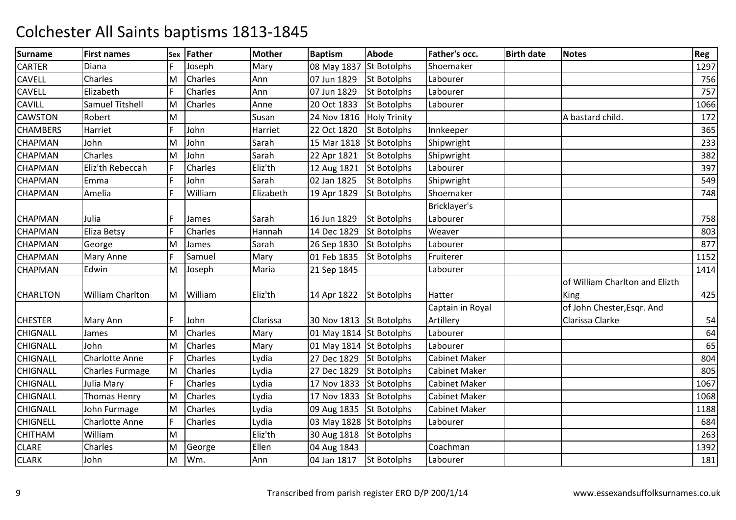| <b>Surname</b>  | <b>First names</b>      | Sex | Father         | <b>Mother</b> | <b>Baptism</b>          | <b>Abode</b>        | Father's occ.        | <b>Birth date</b> | <b>Notes</b>                   | Reg  |
|-----------------|-------------------------|-----|----------------|---------------|-------------------------|---------------------|----------------------|-------------------|--------------------------------|------|
| CARTER          | Diana                   |     | Joseph         | Mary          | 08 May 1837             | <b>St Botolphs</b>  | Shoemaker            |                   |                                | 1297 |
| <b>CAVELL</b>   | Charles                 | M   | Charles        | Ann           | 07 Jun 1829             | <b>St Botolphs</b>  | Labourer             |                   |                                | 756  |
| <b>CAVELL</b>   | Elizabeth               | F   | Charles        | Ann           | 07 Jun 1829             | <b>St Botolphs</b>  | Labourer             |                   |                                | 757  |
| <b>CAVILL</b>   | Samuel Titshell         | M   | Charles        | Anne          | 20 Oct 1833             | <b>St Botolphs</b>  | Labourer             |                   |                                | 1066 |
| <b>CAWSTON</b>  | Robert                  | M   |                | Susan         | 24 Nov 1816             | <b>Holy Trinity</b> |                      |                   | A bastard child.               | 172  |
| <b>CHAMBERS</b> | Harriet                 | E   | John           | Harriet       | 22 Oct 1820             | <b>St Botolphs</b>  | Innkeeper            |                   |                                | 365  |
| <b>CHAPMAN</b>  | John                    | M   | John           | Sarah         | 15 Mar 1818             | <b>St Botolphs</b>  | Shipwright           |                   |                                | 233  |
| <b>CHAPMAN</b>  | Charles                 | M   | John           | Sarah         | 22 Apr 1821             | <b>St Botolphs</b>  | Shipwright           |                   |                                | 382  |
| <b>CHAPMAN</b>  | Eliz'th Rebeccah        | F   | Charles        | Eliz'th       | 12 Aug 1821             | <b>St Botolphs</b>  | Labourer             |                   |                                | 397  |
| <b>CHAPMAN</b>  | Emma                    | F   | John           | Sarah         | 02 Jan 1825             | <b>St Botolphs</b>  | Shipwright           |                   |                                | 549  |
| <b>CHAPMAN</b>  | Amelia                  | F   | William        | Elizabeth     | 19 Apr 1829             | <b>St Botolphs</b>  | Shoemaker            |                   |                                | 748  |
|                 |                         |     |                |               |                         |                     | Bricklayer's         |                   |                                |      |
| <b>CHAPMAN</b>  | Julia                   | F   | James          | Sarah         | 16 Jun 1829             | <b>St Botolphs</b>  | Labourer             |                   |                                | 758  |
| <b>CHAPMAN</b>  | Eliza Betsy             | F   | Charles        | Hannah        | 14 Dec 1829             | <b>St Botolphs</b>  | Weaver               |                   |                                | 803  |
| <b>CHAPMAN</b>  | George                  | M   | James          | Sarah         | 26 Sep 1830             | <b>St Botolphs</b>  | Labourer             |                   |                                | 877  |
| <b>CHAPMAN</b>  | Mary Anne               | F   | Samuel         | Mary          | 01 Feb 1835             | <b>St Botolphs</b>  | Fruiterer            |                   |                                | 1152 |
| <b>CHAPMAN</b>  | Edwin                   | M   | Joseph         | Maria         | 21 Sep 1845             |                     | Labourer             |                   |                                | 1414 |
|                 |                         |     |                |               |                         |                     |                      |                   | of William Charlton and Elizth |      |
| <b>CHARLTON</b> | <b>William Charlton</b> |     | M William      | Eliz'th       | 14 Apr 1822             | <b>St Botolphs</b>  | Hatter               |                   | King                           | 425  |
|                 |                         |     |                |               |                         |                     | Captain in Royal     |                   | of John Chester, Esqr. And     |      |
| <b>CHESTER</b>  | Mary Ann                | Е   | John           | Clarissa      | 30 Nov 1813 St Botolphs |                     | Artillery            |                   | Clarissa Clarke                | 54   |
| <b>CHIGNALL</b> | James                   | M   | Charles        | Mary          | 01 May 1814 St Botolphs |                     | Labourer             |                   |                                | 64   |
| <b>CHIGNALL</b> | John                    | M   | <b>Charles</b> | Mary          | 01 May 1814 St Botolphs |                     | Labourer             |                   |                                | 65   |
| <b>CHIGNALL</b> | <b>Charlotte Anne</b>   | F   | Charles        | Lydia         | 27 Dec 1829             | <b>St Botolphs</b>  | <b>Cabinet Maker</b> |                   |                                | 804  |
| <b>CHIGNALL</b> | Charles Furmage         | M   | Charles        | Lydia         | 27 Dec 1829             | <b>St Botolphs</b>  | <b>Cabinet Maker</b> |                   |                                | 805  |
| <b>CHIGNALL</b> | Julia Mary              | F   | Charles        | Lydia         | 17 Nov 1833             | <b>St Botolphs</b>  | <b>Cabinet Maker</b> |                   |                                | 1067 |
| <b>CHIGNALL</b> | Thomas Henry            | M   | Charles        | Lydia         | 17 Nov 1833             | <b>St Botolphs</b>  | <b>Cabinet Maker</b> |                   |                                | 1068 |
| <b>CHIGNALL</b> | John Furmage            | M   | <b>Charles</b> | Lydia         | 09 Aug 1835 St Botolphs |                     | <b>Cabinet Maker</b> |                   |                                | 1188 |
| <b>CHIGNELL</b> | <b>Charlotte Anne</b>   | F   | Charles        | Lydia         | 03 May 1828 St Botolphs |                     | Labourer             |                   |                                | 684  |
| <b>CHITHAM</b>  | William                 | M   |                | Eliz'th       | 30 Aug 1818 St Botolphs |                     |                      |                   |                                | 263  |
| <b>CLARE</b>    | Charles                 | M   | George         | Ellen         | 04 Aug 1843             |                     | Coachman             |                   |                                | 1392 |
| <b>CLARK</b>    | John                    | M   | Wm.            | Ann           | 04 Jan 1817             | <b>St Botolphs</b>  | Labourer             |                   |                                | 181  |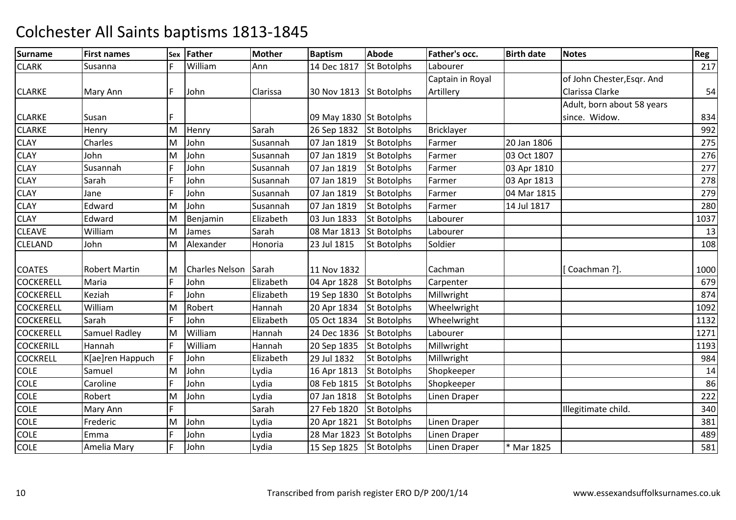| <b>Surname</b>   | <b>First names</b>   | Sex | Father                | <b>Mother</b> | <b>Baptism</b>          | <b>Abode</b>       | Father's occ.     | <b>Birth date</b> | <b>Notes</b>               | Reg  |
|------------------|----------------------|-----|-----------------------|---------------|-------------------------|--------------------|-------------------|-------------------|----------------------------|------|
| <b>CLARK</b>     | Susanna              | F   | William               | Ann           | 14 Dec 1817             | <b>St Botolphs</b> | Labourer          |                   |                            | 217  |
|                  |                      |     |                       |               |                         |                    | Captain in Royal  |                   | of John Chester, Esgr. And |      |
| <b>CLARKE</b>    | Mary Ann             | F   | John                  | Clarissa      | 30 Nov 1813             | <b>St Botolphs</b> | Artillery         |                   | Clarissa Clarke            | 54   |
|                  |                      |     |                       |               |                         |                    |                   |                   | Adult, born about 58 years |      |
| <b>CLARKE</b>    | Susan                | F   |                       |               | 09 May 1830 St Botolphs |                    |                   |                   | since. Widow.              | 834  |
| <b>CLARKE</b>    | Henry                | M   | Henry                 | Sarah         | 26 Sep 1832             | <b>St Botolphs</b> | <b>Bricklayer</b> |                   |                            | 992  |
| <b>CLAY</b>      | Charles              | M   | John                  | Susannah      | 07 Jan 1819             | <b>St Botolphs</b> | Farmer            | 20 Jan 1806       |                            | 275  |
| <b>CLAY</b>      | John                 | M   | John                  | Susannah      | 07 Jan 1819             | <b>St Botolphs</b> | Farmer            | 03 Oct 1807       |                            | 276  |
| <b>CLAY</b>      | Susannah             |     | John                  | Susannah      | 07 Jan 1819             | <b>St Botolphs</b> | Farmer            | 03 Apr 1810       |                            | 277  |
| <b>CLAY</b>      | Sarah                | F   | John                  | Susannah      | 07 Jan 1819             | <b>St Botolphs</b> | Farmer            | 03 Apr 1813       |                            | 278  |
| <b>CLAY</b>      | Jane                 | F   | John                  | Susannah      | 07 Jan 1819             | <b>St Botolphs</b> | Farmer            | 04 Mar 1815       |                            | 279  |
| <b>CLAY</b>      | Edward               | м   | John                  | Susannah      | 07 Jan 1819             | <b>St Botolphs</b> | Farmer            | 14 Jul 1817       |                            | 280  |
| <b>CLAY</b>      | Edward               | M   | Benjamin              | Elizabeth     | 03 Jun 1833             | <b>St Botolphs</b> | Labourer          |                   |                            | 1037 |
| <b>CLEAVE</b>    | William              | M   | James                 | Sarah         | 08 Mar 1813             | <b>St Botolphs</b> | Labourer          |                   |                            | 13   |
| <b>CLELAND</b>   | John                 | M   | Alexander             | Honoria       | 23 Jul 1815             | <b>St Botolphs</b> | Soldier           |                   |                            | 108  |
|                  |                      |     |                       |               |                         |                    |                   |                   |                            |      |
| <b>COATES</b>    | <b>Robert Martin</b> | M   | <b>Charles Nelson</b> | Sarah         | 11 Nov 1832             |                    | Cachman           |                   | [Coachman ?].              | 1000 |
| <b>COCKERELL</b> | Maria                | F   | John                  | Elizabeth     | 04 Apr 1828             | <b>St Botolphs</b> | Carpenter         |                   |                            | 679  |
| <b>COCKERELL</b> | Keziah               | F   | John                  | Elizabeth     | 19 Sep 1830             | <b>St Botolphs</b> | Millwright        |                   |                            | 874  |
| <b>COCKERELL</b> | William              | M   | Robert                | Hannah        | 20 Apr 1834             | <b>St Botolphs</b> | Wheelwright       |                   |                            | 1092 |
| <b>COCKERELL</b> | Sarah                | F   | John                  | Elizabeth     | 05 Oct 1834             | <b>St Botolphs</b> | Wheelwright       |                   |                            | 1132 |
| <b>COCKERELL</b> | Samuel Radley        | M   | William               | Hannah        | 24 Dec 1836             | <b>St Botolphs</b> | Labourer          |                   |                            | 1271 |
| <b>COCKERILL</b> | Hannah               | F   | William               | Hannah        | 20 Sep 1835             | <b>St Botolphs</b> | Millwright        |                   |                            | 1193 |
| <b>COCKRELL</b>  | K[ae]ren Happuch     | F   | John                  | Elizabeth     | 29 Jul 1832             | <b>St Botolphs</b> | Millwright        |                   |                            | 984  |
| <b>COLE</b>      | Samuel               | M   | John                  | Lydia         | 16 Apr 1813             | <b>St Botolphs</b> | Shopkeeper        |                   |                            | 14   |
| <b>COLE</b>      | Caroline             | F   | John                  | Lydia         | 08 Feb 1815             | <b>St Botolphs</b> | Shopkeeper        |                   |                            | 86   |
| <b>COLE</b>      | Robert               | М   | John                  | Lydia         | 07 Jan 1818             | <b>St Botolphs</b> | Linen Draper      |                   |                            | 222  |
| <b>COLE</b>      | Mary Ann             | F   |                       | Sarah         | 27 Feb 1820             | <b>St Botolphs</b> |                   |                   | Illegitimate child.        | 340  |
| <b>COLE</b>      | Frederic             | M   | John                  | Lydia         | 20 Apr 1821             | <b>St Botolphs</b> | Linen Draper      |                   |                            | 381  |
| <b>COLE</b>      | Emma                 |     | John                  | Lydia         | 28 Mar 1823             | <b>St Botolphs</b> | Linen Draper      |                   |                            | 489  |
| <b>COLE</b>      | Amelia Mary          | F   | John                  | Lydia         | 15 Sep 1825 St Botolphs |                    | Linen Draper      | * Mar 1825        |                            | 581  |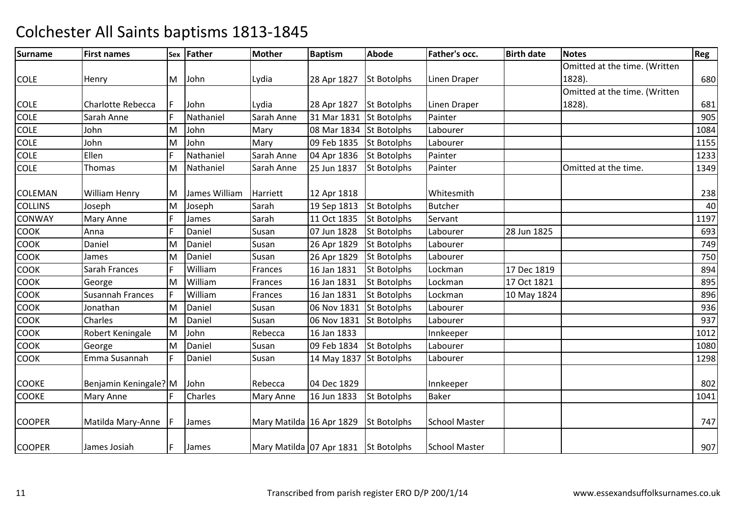| <b>Surname</b> | <b>First names</b>       |     | Sex Father    | <b>Mother</b>                        | <b>Baptism</b>          | Abode              | Father's occ.        | <b>Birth date</b> | <b>Notes</b>                  | Reg  |
|----------------|--------------------------|-----|---------------|--------------------------------------|-------------------------|--------------------|----------------------|-------------------|-------------------------------|------|
|                |                          |     |               |                                      |                         |                    |                      |                   | Omitted at the time. (Written |      |
| <b>COLE</b>    | Henry                    | M   | John          | Lydia                                | 28 Apr 1827             | <b>St Botolphs</b> | Linen Draper         |                   | 1828).                        | 680  |
|                |                          |     |               |                                      |                         |                    |                      |                   | Omitted at the time. (Written |      |
| <b>COLE</b>    | <b>Charlotte Rebecca</b> | F   | John          | Lydia                                | 28 Apr 1827             | <b>St Botolphs</b> | Linen Draper         |                   | 1828).                        | 681  |
| <b>COLE</b>    | Sarah Anne               | E   | Nathaniel     | Sarah Anne                           | 31 Mar 1831             | <b>St Botolphs</b> | Painter              |                   |                               | 905  |
| <b>COLE</b>    | John                     | M   | John          | Mary                                 | 08 Mar 1834             | <b>St Botolphs</b> | Labourer             |                   |                               | 1084 |
| <b>COLE</b>    | John                     | M   | John          | Mary                                 | 09 Feb 1835             | <b>St Botolphs</b> | Labourer             |                   |                               | 1155 |
| <b>COLE</b>    | Ellen                    | E   | Nathaniel     | Sarah Anne                           | 04 Apr 1836             | <b>St Botolphs</b> | Painter              |                   |                               | 1233 |
| <b>COLE</b>    | Thomas                   | M   | Nathaniel     | Sarah Anne                           | 25 Jun 1837             | <b>St Botolphs</b> | Painter              |                   | Omitted at the time.          | 1349 |
| <b>COLEMAN</b> | William Henry            | M   | James William | Harriett                             | 12 Apr 1818             |                    | Whitesmith           |                   |                               | 238  |
| <b>COLLINS</b> | Joseph                   | M   | Joseph        | Sarah                                | 19 Sep 1813             | <b>St Botolphs</b> | <b>Butcher</b>       |                   |                               | 40   |
| <b>CONWAY</b>  | Mary Anne                | F   | James         | Sarah                                | 11 Oct 1835             | <b>St Botolphs</b> | Servant              |                   |                               | 1197 |
| <b>COOK</b>    | Anna                     | E   | Daniel        | Susan                                | 07 Jun 1828             | <b>St Botolphs</b> | Labourer             | 28 Jun 1825       |                               | 693  |
| COOK           | Daniel                   | M   | Daniel        | Susan                                | 26 Apr 1829             | <b>St Botolphs</b> | Labourer             |                   |                               | 749  |
| <b>COOK</b>    | James                    | M   | Daniel        | Susan                                | 26 Apr 1829             | <b>St Botolphs</b> | Labourer             |                   |                               | 750  |
| COOK           | Sarah Frances            | F   | William       | Frances                              | 16 Jan 1831             | <b>St Botolphs</b> | Lockman              | 17 Dec 1819       |                               | 894  |
| COOK           | George                   | M   | William       | Frances                              | 16 Jan 1831             | <b>St Botolphs</b> | Lockman              | 17 Oct 1821       |                               | 895  |
| <b>COOK</b>    | <b>Susannah Frances</b>  | F   | William       | Frances                              | 16 Jan 1831             | <b>St Botolphs</b> | Lockman              | 10 May 1824       |                               | 896  |
| <b>COOK</b>    | Jonathan                 | M   | Daniel        | Susan                                | 06 Nov 1831             | <b>St Botolphs</b> | Labourer             |                   |                               | 936  |
| <b>COOK</b>    | Charles                  | M   | Daniel        | Susan                                | 06 Nov 1831             | <b>St Botolphs</b> | Labourer             |                   |                               | 937  |
| <b>COOK</b>    | Robert Keningale         | M   | John          | Rebecca                              | 16 Jan 1833             |                    | Innkeeper            |                   |                               | 1012 |
| <b>COOK</b>    | George                   | M   | Daniel        | Susan                                | 09 Feb 1834             | <b>St Botolphs</b> | Labourer             |                   |                               | 1080 |
| <b>COOK</b>    | Emma Susannah            | F   | Daniel        | Susan                                | 14 May 1837 St Botolphs |                    | Labourer             |                   |                               | 1298 |
| <b>COOKE</b>   | Benjamin Keningale? M    |     | John          | Rebecca                              | 04 Dec 1829             |                    | Innkeeper            |                   |                               | 802  |
| <b>COOKE</b>   | Mary Anne                |     | Charles       | <b>Mary Anne</b>                     | 16 Jun 1833             | <b>St Botolphs</b> | <b>Baker</b>         |                   |                               | 1041 |
| <b>COOPER</b>  | Matilda Mary-Anne        |     | James         | Mary Matilda 16 Apr 1829             |                         | St Botolphs        | <b>School Master</b> |                   |                               | 747  |
| <b>COOPER</b>  | James Josiah             | IF. | James         | Mary Matilda 07 Apr 1831 St Botolphs |                         |                    | <b>School Master</b> |                   |                               | 907  |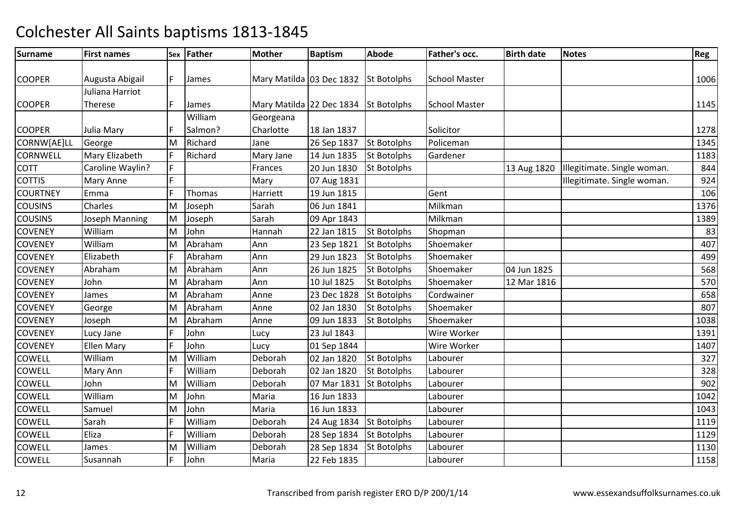| <b>Surname</b>  | <b>First names</b> |    | Sex Father | <b>Mother</b>                        | <b>Baptism</b> | <b>Abode</b>       | Father's occ.        | <b>Birth date</b> | <b>Notes</b>                | Reg  |
|-----------------|--------------------|----|------------|--------------------------------------|----------------|--------------------|----------------------|-------------------|-----------------------------|------|
|                 |                    |    |            |                                      |                |                    |                      |                   |                             |      |
| <b>COOPER</b>   | Augusta Abigail    | F  | James      | Mary Matilda 03 Dec 1832 St Botolphs |                |                    | <b>School Master</b> |                   |                             | 1006 |
|                 | Juliana Harriot    |    |            |                                      |                |                    |                      |                   |                             |      |
| <b>COOPER</b>   | Therese            | F  | James      | Mary Matilda 22 Dec 1834 St Botolphs |                |                    | <b>School Master</b> |                   |                             | 1145 |
|                 |                    |    | William    | Georgeana                            |                |                    |                      |                   |                             |      |
| <b>COOPER</b>   | Julia Mary         |    | Salmon?    | Charlotte                            | 18 Jan 1837    |                    | Solicitor            |                   |                             | 1278 |
| CORNW[AE]LL     | George             | M  | Richard    | Jane                                 | 26 Sep 1837    | <b>St Botolphs</b> | Policeman            |                   |                             | 1345 |
| <b>CORNWELL</b> | Mary Elizabeth     | F  | Richard    | Mary Jane                            | 14 Jun 1835    | <b>St Botolphs</b> | Gardener             |                   |                             | 1183 |
| <b>COTT</b>     | Caroline Waylin?   | F. |            | Frances                              | 20 Jun 1830    | <b>St Botolphs</b> |                      | 13 Aug 1820       | Illegitimate. Single woman. | 844  |
| <b>COTTIS</b>   | Mary Anne          | F. |            | Mary                                 | 07 Aug 1831    |                    |                      |                   | Illegitimate. Single woman. | 924  |
| <b>COURTNEY</b> | Emma               | E  | Thomas     | Harriett                             | 19 Jun 1815    |                    | Gent                 |                   |                             | 106  |
| <b>COUSINS</b>  | Charles            | M  | Joseph     | Sarah                                | 06 Jun 1841    |                    | Milkman              |                   |                             | 1376 |
| <b>COUSINS</b>  | Joseph Manning     | M  | Joseph     | Sarah                                | 09 Apr 1843    |                    | Milkman              |                   |                             | 1389 |
| <b>COVENEY</b>  | William            | M  | John       | Hannah                               | 22 Jan 1815    | <b>St Botolphs</b> | Shopman              |                   |                             | 83   |
| <b>COVENEY</b>  | William            | M  | Abraham    | Ann                                  | 23 Sep 1821    | <b>St Botolphs</b> | Shoemaker            |                   |                             | 407  |
| <b>COVENEY</b>  | Elizabeth          | F  | Abraham    | Ann                                  | 29 Jun 1823    | <b>St Botolphs</b> | Shoemaker            |                   |                             | 499  |
| <b>COVENEY</b>  | Abraham            | M  | Abraham    | Ann                                  | 26 Jun 1825    | <b>St Botolphs</b> | Shoemaker            | 04 Jun 1825       |                             | 568  |
| <b>COVENEY</b>  | John               | M  | Abraham    | Ann                                  | 10 Jul 1825    | <b>St Botolphs</b> | Shoemaker            | 12 Mar 1816       |                             | 570  |
| <b>COVENEY</b>  | James              | M  | Abraham    | Anne                                 | 23 Dec 1828    | <b>St Botolphs</b> | Cordwainer           |                   |                             | 658  |
| <b>COVENEY</b>  | George             | M  | Abraham    | Anne                                 | 02 Jan 1830    | <b>St Botolphs</b> | Shoemaker            |                   |                             | 807  |
| <b>COVENEY</b>  | Joseph             | M  | Abraham    | Anne                                 | 09 Jun 1833    | <b>St Botolphs</b> | Shoemaker            |                   |                             | 1038 |
| <b>COVENEY</b>  | Lucy Jane          | F  | John       | Lucy                                 | 23 Jul 1843    |                    | Wire Worker          |                   |                             | 1391 |
| <b>COVENEY</b>  | <b>Ellen Mary</b>  | E  | John       | Lucy                                 | 01 Sep 1844    |                    | Wire Worker          |                   |                             | 1407 |
| COWELL          | William            | M  | William    | Deborah                              | 02 Jan 1820    | <b>St Botolphs</b> | Labourer             |                   |                             | 327  |
| <b>COWELL</b>   | Mary Ann           | F  | William    | Deborah                              | 02 Jan 1820    | <b>St Botolphs</b> | Labourer             |                   |                             | 328  |
| <b>COWELL</b>   | John               | M  | William    | Deborah                              | 07 Mar 1831    | <b>St Botolphs</b> | Labourer             |                   |                             | 902  |
| COWELL          | William            | м  | John       | Maria                                | 16 Jun 1833    |                    | Labourer             |                   |                             | 1042 |
| <b>COWELL</b>   | Samuel             | M  | John       | Maria                                | 16 Jun 1833    |                    | Labourer             |                   |                             | 1043 |
| <b>COWELL</b>   | Sarah              | F  | William    | Deborah                              | 24 Aug 1834    | <b>St Botolphs</b> | Labourer             |                   |                             | 1119 |
| <b>COWELL</b>   | Eliza              | F  | William    | Deborah                              | 28 Sep 1834    | <b>St Botolphs</b> | Labourer             |                   |                             | 1129 |
| COWELL          | James              | M  | William    | Deborah                              | 28 Sep 1834    | <b>St Botolphs</b> | Labourer             |                   |                             | 1130 |
| <b>COWELL</b>   | Susannah           | F  | John       | Maria                                | 22 Feb 1835    |                    | Labourer             |                   |                             | 1158 |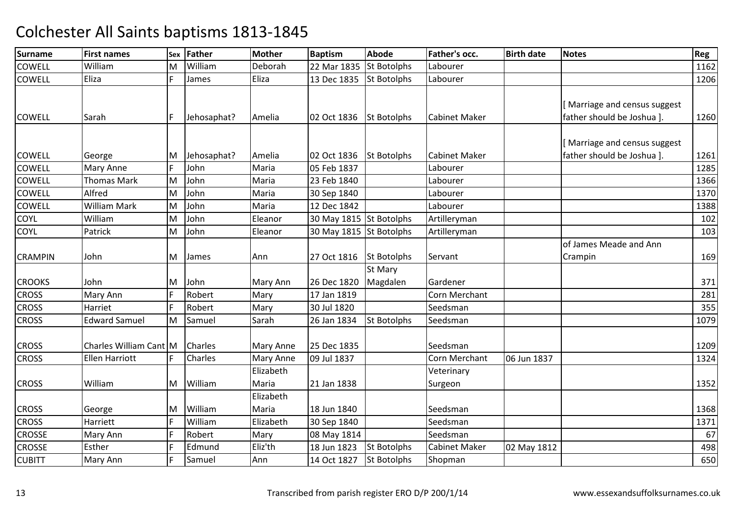| <b>Surname</b> | <b>First names</b>     | Sex | <b>Father</b> | <b>Mother</b>    | <b>Baptism</b>          | <b>Abode</b>       | Father's occ.        | <b>Birth date</b> | <b>Notes</b>                 | <b>Reg</b> |
|----------------|------------------------|-----|---------------|------------------|-------------------------|--------------------|----------------------|-------------------|------------------------------|------------|
| <b>COWELL</b>  | William                | м   | William       | Deborah          | 22 Mar 1835             | <b>St Botolphs</b> | Labourer             |                   |                              | 1162       |
| <b>COWELL</b>  | Eliza                  | F   | James         | Eliza            | 13 Dec 1835             | <b>St Botolphs</b> | Labourer             |                   |                              | 1206       |
|                |                        |     |               |                  |                         |                    |                      |                   |                              |            |
|                |                        |     |               |                  |                         |                    |                      |                   | [Marriage and census suggest |            |
| <b>COWELL</b>  | Sarah                  | F   | Jehosaphat?   | Amelia           | 02 Oct 1836             | <b>St Botolphs</b> | <b>Cabinet Maker</b> |                   | father should be Joshua ].   | 1260       |
|                |                        |     |               |                  |                         |                    |                      |                   |                              |            |
|                |                        |     |               |                  |                         |                    |                      |                   | [Marriage and census suggest |            |
| <b>COWELL</b>  | George                 | M   | Jehosaphat?   | Amelia           | 02 Oct 1836             | <b>St Botolphs</b> | <b>Cabinet Maker</b> |                   | father should be Joshua ].   | 1261       |
| <b>COWELL</b>  | <b>Mary Anne</b>       | F   | John          | Maria            | 05 Feb 1837             |                    | Labourer             |                   |                              | 1285       |
| <b>COWELL</b>  | <b>Thomas Mark</b>     | M   | John          | Maria            | 23 Feb 1840             |                    | Labourer             |                   |                              | 1366       |
| <b>COWELL</b>  | Alfred                 | M   | John          | Maria            | 30 Sep 1840             |                    | Labourer             |                   |                              | 1370       |
| COWELL         | <b>William Mark</b>    | M   | John          | Maria            | 12 Dec 1842             |                    | Labourer             |                   |                              | 1388       |
| COYL           | William                | M   | John          | Eleanor          | 30 May 1815 St Botolphs |                    | Artilleryman         |                   |                              | 102        |
| <b>COYL</b>    | Patrick                | M   | John          | Eleanor          | 30 May 1815 St Botolphs |                    | Artilleryman         |                   |                              | 103        |
|                |                        |     |               |                  |                         |                    |                      |                   | of James Meade and Ann       |            |
| <b>CRAMPIN</b> | John                   | M   | James         | Ann              | 27 Oct 1816             | <b>St Botolphs</b> | Servant              |                   | Crampin                      | 169        |
|                |                        |     |               |                  |                         | St Mary            |                      |                   |                              |            |
| <b>CROOKS</b>  | John                   | M   | John          | Mary Ann         | 26 Dec 1820             | Magdalen           | Gardener             |                   |                              | 371        |
| <b>CROSS</b>   | Mary Ann               | E   | Robert        | Mary             | 17 Jan 1819             |                    | Corn Merchant        |                   |                              | 281        |
| <b>CROSS</b>   | Harriet                | E   | Robert        | Mary             | 30 Jul 1820             |                    | Seedsman             |                   |                              | 355        |
| <b>CROSS</b>   | <b>Edward Samuel</b>   | M   | Samuel        | Sarah            | 26 Jan 1834             | <b>St Botolphs</b> | Seedsman             |                   |                              | 1079       |
|                |                        |     |               |                  |                         |                    |                      |                   |                              |            |
| <b>CROSS</b>   | Charles William Cant M |     | Charles       | <b>Mary Anne</b> | 25 Dec 1835             |                    | Seedsman             |                   |                              | 1209       |
| <b>CROSS</b>   | <b>Ellen Harriott</b>  |     | Charles       | <b>Mary Anne</b> | 09 Jul 1837             |                    | <b>Corn Merchant</b> | 06 Jun 1837       |                              | 1324       |
|                |                        |     |               | Elizabeth        |                         |                    | Veterinary           |                   |                              |            |
| <b>CROSS</b>   | William                | M   | William       | Maria            | 21 Jan 1838             |                    | Surgeon              |                   |                              | 1352       |
|                |                        |     |               | Elizabeth        |                         |                    |                      |                   |                              |            |
| <b>CROSS</b>   | George                 | M   | William       | Maria            | 18 Jun 1840             |                    | Seedsman             |                   |                              | 1368       |
| <b>CROSS</b>   | Harriett               | F   | William       | Elizabeth        | 30 Sep 1840             |                    | Seedsman             |                   |                              | 1371       |
| <b>CROSSE</b>  | Mary Ann               | E   | Robert        | Mary             | 08 May 1814             |                    | Seedsman             |                   |                              | 67         |
| <b>CROSSE</b>  | Esther                 | E   | Edmund        | Eliz'th          | 18 Jun 1823             | <b>St Botolphs</b> | <b>Cabinet Maker</b> | 02 May 1812       |                              | 498        |
| <b>CUBITT</b>  | Mary Ann               | E   | Samuel        | Ann              | 14 Oct 1827             | <b>St Botolphs</b> | Shopman              |                   |                              | 650        |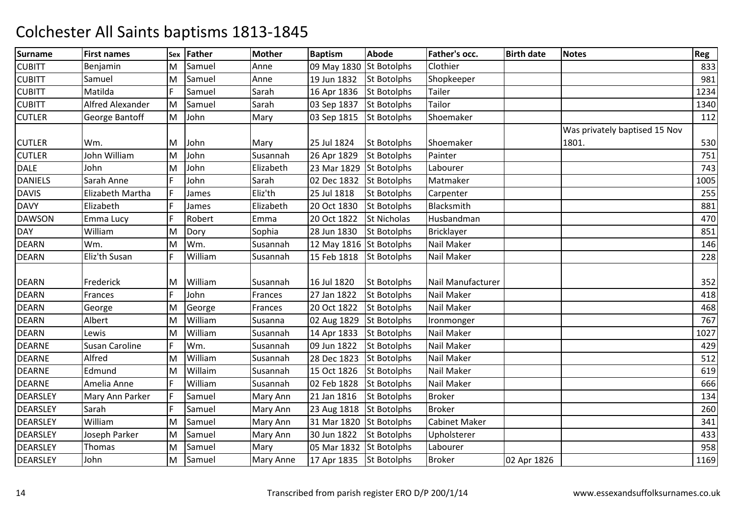| <b>Surname</b>  | <b>First names</b>      | Sex | <b>Father</b> | <b>Mother</b>    | <b>Baptism</b>          | <b>Abode</b>       | Father's occ.        | <b>Birth date</b> | <b>Notes</b>                  | Reg  |
|-----------------|-------------------------|-----|---------------|------------------|-------------------------|--------------------|----------------------|-------------------|-------------------------------|------|
| <b>CUBITT</b>   | Benjamin                | м   | Samuel        | Anne             | 09 May 1830 St Botolphs |                    | Clothier             |                   |                               | 833  |
| <b>CUBITT</b>   | Samuel                  | M   | Samuel        | Anne             | 19 Jun 1832             | <b>St Botolphs</b> | Shopkeeper           |                   |                               | 981  |
| <b>CUBITT</b>   | Matilda                 | F   | Samuel        | Sarah            | 16 Apr 1836             | <b>St Botolphs</b> | Tailer               |                   |                               | 1234 |
| <b>CUBITT</b>   | <b>Alfred Alexander</b> | M   | Samuel        | Sarah            | 03 Sep 1837             | <b>St Botolphs</b> | Tailor               |                   |                               | 1340 |
| <b>CUTLER</b>   | George Bantoff          | M   | John          | Mary             | 03 Sep 1815             | <b>St Botolphs</b> | Shoemaker            |                   |                               | 112  |
|                 |                         |     |               |                  |                         |                    |                      |                   | Was privately baptised 15 Nov |      |
| <b>CUTLER</b>   | Wm.                     | M   | John          | Mary             | 25 Jul 1824             | <b>St Botolphs</b> | Shoemaker            |                   | 1801.                         | 530  |
| <b>CUTLER</b>   | John William            | M   | John          | Susannah         | 26 Apr 1829             | <b>St Botolphs</b> | Painter              |                   |                               | 751  |
| <b>DALE</b>     | John                    | M   | John          | Elizabeth        | 23 Mar 1829             | <b>St Botolphs</b> | Labourer             |                   |                               | 743  |
| <b>DANIELS</b>  | Sarah Anne              | F   | John          | Sarah            | 02 Dec 1832 St Botolphs |                    | Matmaker             |                   |                               | 1005 |
| <b>DAVIS</b>    | Elizabeth Martha        | F   | James         | Eliz'th          | 25 Jul 1818             | <b>St Botolphs</b> | Carpenter            |                   |                               | 255  |
| <b>DAVY</b>     | Elizabeth               | F   | James         | Elizabeth        | 20 Oct 1830             | St Botolphs        | Blacksmith           |                   |                               | 881  |
| <b>DAWSON</b>   | Emma Lucy               | F   | Robert        | Emma             | 20 Oct 1822             | <b>St Nicholas</b> | Husbandman           |                   |                               | 470  |
| <b>DAY</b>      | William                 | M   | Dory          | Sophia           | 28 Jun 1830             | <b>St Botolphs</b> | <b>Bricklayer</b>    |                   |                               | 851  |
| <b>DEARN</b>    | Wm.                     | M   | Wm.           | Susannah         | 12 May 1816 St Botolphs |                    | Nail Maker           |                   |                               | 146  |
| <b>DEARN</b>    | Eliz'th Susan           | F   | William       | Susannah         | 15 Feb 1818             | <b>St Botolphs</b> | Nail Maker           |                   |                               | 228  |
|                 |                         |     |               |                  |                         |                    |                      |                   |                               |      |
| <b>DEARN</b>    | Frederick               | M   | William       | Susannah         | 16 Jul 1820             | <b>St Botolphs</b> | Nail Manufacturer    |                   |                               | 352  |
| <b>DEARN</b>    | Frances                 | F   | John          | Frances          | 27 Jan 1822             | <b>St Botolphs</b> | Nail Maker           |                   |                               | 418  |
| <b>DEARN</b>    | George                  | M   | George        | Frances          | 20 Oct 1822             | <b>St Botolphs</b> | Nail Maker           |                   |                               | 468  |
| <b>DEARN</b>    | Albert                  | M   | William       | Susanna          | 02 Aug 1829             | <b>St Botolphs</b> | Ironmonger           |                   |                               | 767  |
| <b>DEARN</b>    | Lewis                   | M   | William       | Susannah         | 14 Apr 1833             | <b>St Botolphs</b> | Nail Maker           |                   |                               | 1027 |
| <b>DEARNE</b>   | Susan Caroline          | F   | Wm.           | Susannah         | 09 Jun 1822             | <b>St Botolphs</b> | Nail Maker           |                   |                               | 429  |
| <b>DEARNE</b>   | Alfred                  | M   | William       | Susannah         | 28 Dec 1823             | <b>St Botolphs</b> | Nail Maker           |                   |                               | 512  |
| <b>DEARNE</b>   | Edmund                  | M   | Willaim       | Susannah         | 15 Oct 1826             | <b>St Botolphs</b> | Nail Maker           |                   |                               | 619  |
| <b>DEARNE</b>   | Amelia Anne             | F   | William       | Susannah         | 02 Feb 1828             | <b>St Botolphs</b> | Nail Maker           |                   |                               | 666  |
| DEARSLEY        | Mary Ann Parker         | F   | Samuel        | Mary Ann         | 21 Jan 1816             | <b>St Botolphs</b> | <b>Broker</b>        |                   |                               | 134  |
| DEARSLEY        | Sarah                   | F   | Samuel        | Mary Ann         | 23 Aug 1818 St Botolphs |                    | <b>Broker</b>        |                   |                               | 260  |
| DEARSLEY        | William                 | M   | Samuel        | Mary Ann         | 31 Mar 1820             | <b>St Botolphs</b> | <b>Cabinet Maker</b> |                   |                               | 341  |
| <b>DEARSLEY</b> | Joseph Parker           | M   | Samuel        | Mary Ann         | 30 Jun 1822             | <b>St Botolphs</b> | Upholsterer          |                   |                               | 433  |
| <b>DEARSLEY</b> | Thomas                  | M   | Samuel        | Mary             | 05 Mar 1832 St Botolphs |                    | Labourer             |                   |                               | 958  |
| <b>DEARSLEY</b> | John                    | M   | Samuel        | <b>Mary Anne</b> | 17 Apr 1835 St Botolphs |                    | <b>Broker</b>        | 02 Apr 1826       |                               | 1169 |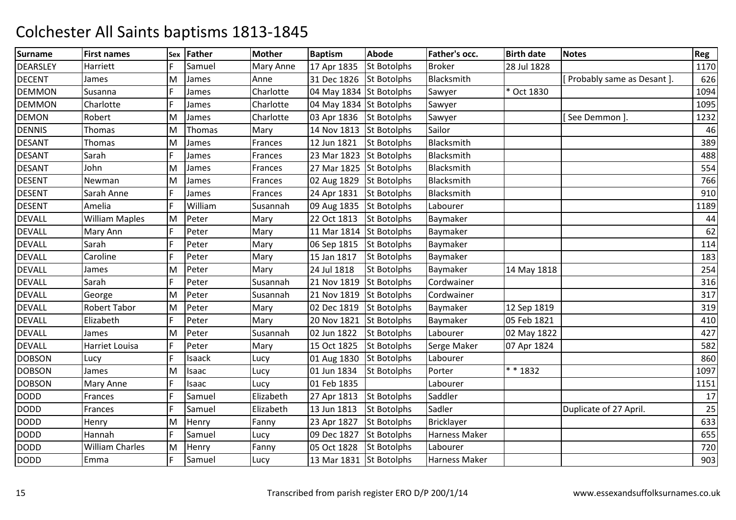| <b>Surname</b>  | <b>First names</b>    | Sex | Father  | Mother           | <b>Baptism</b>          | <b>Abode</b>       | Father's occ.        | <b>Birth date</b> | <b>Notes</b>                 | Reg  |
|-----------------|-----------------------|-----|---------|------------------|-------------------------|--------------------|----------------------|-------------------|------------------------------|------|
| <b>DEARSLEY</b> | Harriett              |     | Samuel  | <b>Mary Anne</b> | 17 Apr 1835             | <b>St Botolphs</b> | <b>Broker</b>        | 28 Jul 1828       |                              | 1170 |
| <b>DECENT</b>   | James                 | M   | James   | Anne             | 31 Dec 1826             | <b>St Botolphs</b> | Blacksmith           |                   | [ Probably same as Desant ]. | 626  |
| <b>DEMMON</b>   | Susanna               | F   | James   | Charlotte        | 04 May 1834 St Botolphs |                    | Sawyer               | * Oct 1830        |                              | 1094 |
| <b>DEMMON</b>   | Charlotte             |     | James   | Charlotte        | 04 May 1834 St Botolphs |                    | Sawyer               |                   |                              | 1095 |
| <b>DEMON</b>    | Robert                | M   | James   | Charlotte        | 03 Apr 1836             | <b>St Botolphs</b> | Sawyer               |                   | [See Demmon]                 | 1232 |
| <b>DENNIS</b>   | Thomas                | M   | Thomas  | Mary             | 14 Nov 1813             | <b>St Botolphs</b> | Sailor               |                   |                              | 46   |
| <b>DESANT</b>   | Thomas                | M   | James   | Frances          | 12 Jun 1821             | <b>St Botolphs</b> | Blacksmith           |                   |                              | 389  |
| <b>DESANT</b>   | Sarah                 | F   | James   | Frances          | 23 Mar 1823             | <b>St Botolphs</b> | Blacksmith           |                   |                              | 488  |
| <b>DESANT</b>   | John                  | M   | James   | Frances          | 27 Mar 1825 St Botolphs |                    | Blacksmith           |                   |                              | 554  |
| <b>DESENT</b>   | Newman                | M   | James   | Frances          | 02 Aug 1829             | <b>St Botolphs</b> | Blacksmith           |                   |                              | 766  |
| <b>DESENT</b>   | Sarah Anne            | F   | James   | Frances          | 24 Apr 1831             | <b>St Botolphs</b> | Blacksmith           |                   |                              | 910  |
| <b>DESENT</b>   | Amelia                | F   | William | Susannah         | 09 Aug 1835             | <b>St Botolphs</b> | Labourer             |                   |                              | 1189 |
| <b>DEVALL</b>   | <b>William Maples</b> | M   | Peter   | Mary             | 22 Oct 1813             | <b>St Botolphs</b> | Baymaker             |                   |                              | 44   |
| <b>DEVALL</b>   | Mary Ann              | F   | Peter   | Mary             | 11 Mar 1814             | <b>St Botolphs</b> | Baymaker             |                   |                              | 62   |
| <b>DEVALL</b>   | Sarah                 | F   | Peter   | Mary             | 06 Sep 1815             | <b>St Botolphs</b> | Baymaker             |                   |                              | 114  |
| <b>DEVALL</b>   | Caroline              | F   | Peter   | Mary             | 15 Jan 1817             | <b>St Botolphs</b> | Baymaker             |                   |                              | 183  |
| <b>DEVALL</b>   | James                 | M   | Peter   | Mary             | 24 Jul 1818             | St Botolphs        | Baymaker             | 14 May 1818       |                              | 254  |
| <b>DEVALL</b>   | Sarah                 | F   | Peter   | Susannah         | 21 Nov 1819             | <b>St Botolphs</b> | Cordwainer           |                   |                              | 316  |
| <b>DEVALL</b>   | George                | M   | Peter   | Susannah         | 21 Nov 1819             | <b>St Botolphs</b> | Cordwainer           |                   |                              | 317  |
| <b>DEVALL</b>   | Robert Tabor          | M   | Peter   | Mary             | 02 Dec 1819             | <b>St Botolphs</b> | Baymaker             | 12 Sep 1819       |                              | 319  |
| <b>DEVALL</b>   | Elizabeth             | F   | Peter   | Mary             | 20 Nov 1821             | <b>St Botolphs</b> | Baymaker             | 05 Feb 1821       |                              | 410  |
| <b>DEVALL</b>   | James                 | M   | Peter   | Susannah         | 02 Jun 1822             | <b>St Botolphs</b> | Labourer             | 02 May 1822       |                              | 427  |
| <b>DEVALL</b>   | Harriet Louisa        | F   | Peter   | Mary             | 15 Oct 1825             | <b>St Botolphs</b> | Serge Maker          | 07 Apr 1824       |                              | 582  |
| <b>DOBSON</b>   | Lucy                  | F   | Isaack  | Lucy             | 01 Aug 1830             | <b>St Botolphs</b> | Labourer             |                   |                              | 860  |
| <b>DOBSON</b>   | James                 | M   | Isaac   | Lucy             | 01 Jun 1834             | <b>St Botolphs</b> | Porter               | * * 1832          |                              | 1097 |
| <b>DOBSON</b>   | Mary Anne             | F   | Isaac   | Lucy             | 01 Feb 1835             |                    | Labourer             |                   |                              | 1151 |
| <b>DODD</b>     | Frances               | F   | Samuel  | Elizabeth        | 27 Apr 1813             | <b>St Botolphs</b> | Saddler              |                   |                              | 17   |
| <b>DODD</b>     | Frances               | F   | Samuel  | Elizabeth        | 13 Jun 1813             | <b>St Botolphs</b> | Sadler               |                   | Duplicate of 27 April.       | 25   |
| <b>DODD</b>     | Henry                 | M   | Henry   | Fanny            | 23 Apr 1827             | <b>St Botolphs</b> | Bricklayer           |                   |                              | 633  |
| <b>DODD</b>     | Hannah                | F   | Samuel  | Lucy             | 09 Dec 1827             | <b>St Botolphs</b> | Harness Maker        |                   |                              | 655  |
| <b>DODD</b>     | William Charles       | M   | Henry   | Fanny            | 05 Oct 1828             | <b>St Botolphs</b> | Labourer             |                   |                              | 720  |
| <b>DODD</b>     | Emma                  | F   | Samuel  | Lucy             | 13 Mar 1831 St Botolphs |                    | <b>Harness Maker</b> |                   |                              | 903  |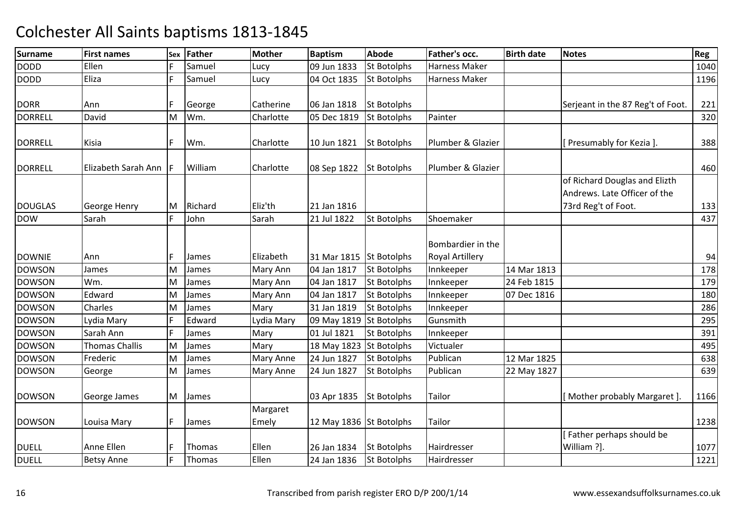| <b>Surname</b> | <b>First names</b>    | Sex | <b>Father</b> | <b>Mother</b>    | <b>Baptism</b>          | <b>Abode</b>       | <b>Father's occ.</b>                        | <b>Birth date</b> | <b>Notes</b>                                                                         | Reg  |
|----------------|-----------------------|-----|---------------|------------------|-------------------------|--------------------|---------------------------------------------|-------------------|--------------------------------------------------------------------------------------|------|
| <b>DODD</b>    | Ellen                 |     | Samuel        | Lucy             | 09 Jun 1833             | <b>St Botolphs</b> | Harness Maker                               |                   |                                                                                      | 1040 |
| <b>DODD</b>    | Eliza                 | E   | Samuel        | Lucy             | 04 Oct 1835             | <b>St Botolphs</b> | <b>Harness Maker</b>                        |                   |                                                                                      | 1196 |
| <b>DORR</b>    | Ann                   |     | George        | Catherine        | 06 Jan 1818             | <b>St Botolphs</b> |                                             |                   | Serjeant in the 87 Reg't of Foot.                                                    | 221  |
| <b>DORRELL</b> | David                 | M   | Wm.           | Charlotte        | 05 Dec 1819             | <b>St Botolphs</b> | Painter                                     |                   |                                                                                      | 320  |
| <b>DORRELL</b> | Kisia                 |     | Wm.           | Charlotte        | 10 Jun 1821             | <b>St Botolphs</b> | Plumber & Glazier                           |                   | [Presumably for Kezia].                                                              | 388  |
| <b>DORRELL</b> | Elizabeth Sarah Ann   |     | William       | Charlotte        | 08 Sep 1822             | <b>St Botolphs</b> | Plumber & Glazier                           |                   |                                                                                      | 460  |
| <b>DOUGLAS</b> | George Henry          | M   | Richard       | Eliz'th          | 21 Jan 1816             |                    |                                             |                   | of Richard Douglas and Elizth<br>Andrews. Late Officer of the<br>73rd Reg't of Foot. | 133  |
| <b>DOW</b>     | Sarah                 | F   | John          | Sarah            | 21 Jul 1822             | <b>St Botolphs</b> | Shoemaker                                   |                   |                                                                                      | 437  |
| <b>DOWNIE</b>  | Ann                   | l F | James         | Elizabeth        | 31 Mar 1815 St Botolphs |                    | Bombardier in the<br><b>Royal Artillery</b> |                   |                                                                                      | 94   |
| <b>DOWSON</b>  | James                 | M   | James         | Mary Ann         | 04 Jan 1817             | <b>St Botolphs</b> | Innkeeper                                   | 14 Mar 1813       |                                                                                      | 178  |
| <b>DOWSON</b>  | Wm.                   | M   | James         | Mary Ann         | 04 Jan 1817             | <b>St Botolphs</b> | Innkeeper                                   | 24 Feb 1815       |                                                                                      | 179  |
| <b>DOWSON</b>  | Edward                | M   | James         | Mary Ann         | 04 Jan 1817             | <b>St Botolphs</b> | Innkeeper                                   | 07 Dec 1816       |                                                                                      | 180  |
| <b>DOWSON</b>  | Charles               | M   | James         | Mary             | 31 Jan 1819             | <b>St Botolphs</b> | Innkeeper                                   |                   |                                                                                      | 286  |
| <b>DOWSON</b>  | Lydia Mary            | E   | Edward        | Lydia Mary       | 09 May 1819 St Botolphs |                    | Gunsmith                                    |                   |                                                                                      | 295  |
| <b>DOWSON</b>  | Sarah Ann             | E   | James         | Mary             | 01 Jul 1821             | <b>St Botolphs</b> | Innkeeper                                   |                   |                                                                                      | 391  |
| <b>DOWSON</b>  | <b>Thomas Challis</b> | M   | James         | Mary             | 18 May 1823 St Botolphs |                    | Victualer                                   |                   |                                                                                      | 495  |
| <b>DOWSON</b>  | Frederic              | M   | James         | Mary Anne        | 24 Jun 1827             | <b>St Botolphs</b> | Publican                                    | 12 Mar 1825       |                                                                                      | 638  |
| <b>DOWSON</b>  | George                | M   | James         | <b>Mary Anne</b> | 24 Jun 1827             | <b>St Botolphs</b> | Publican                                    | 22 May 1827       |                                                                                      | 639  |
| <b>DOWSON</b>  | George James          | M   | James         |                  | 03 Apr 1835             | <b>St Botolphs</b> | <b>Tailor</b>                               |                   | [Mother probably Margaret]                                                           | 1166 |
|                |                       |     |               | Margaret         |                         |                    |                                             |                   |                                                                                      |      |
| <b>DOWSON</b>  | Louisa Mary           | F   | James         | Emely            | 12 May 1836 St Botolphs |                    | Tailor                                      |                   |                                                                                      | 1238 |
| <b>DUELL</b>   | Anne Ellen            |     | Thomas        | Ellen            | 26 Jan 1834             | <b>St Botolphs</b> | Hairdresser                                 |                   | [Father perhaps should be<br>William ?].                                             | 1077 |
| <b>DUELL</b>   | <b>Betsy Anne</b>     | E   | Thomas        | Ellen            | 24 Jan 1836             | <b>St Botolphs</b> | Hairdresser                                 |                   |                                                                                      | 1221 |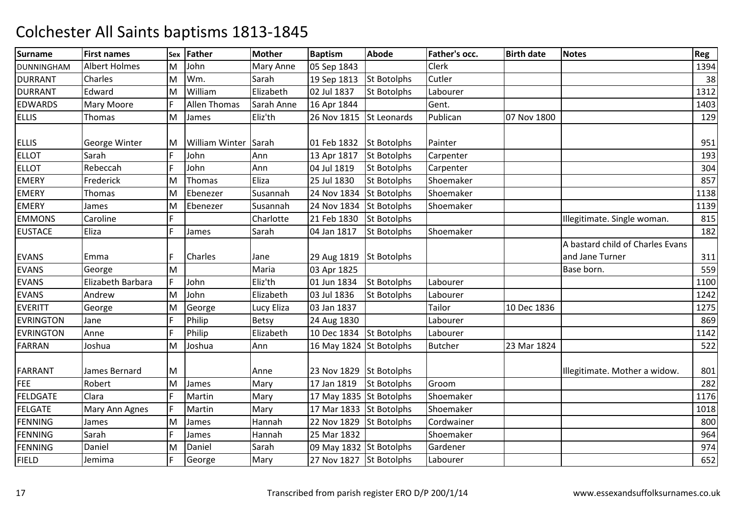| <b>Surname</b>    | <b>First names</b>   | Sex | <b>Father</b>         | <b>Mother</b>    | <b>Baptism</b>          | <b>Abode</b>       | Father's occ.  | <b>Birth date</b> | <b>Notes</b>                                        | Reg  |
|-------------------|----------------------|-----|-----------------------|------------------|-------------------------|--------------------|----------------|-------------------|-----------------------------------------------------|------|
| <b>DUNNINGHAM</b> | <b>Albert Holmes</b> | м   | John                  | <b>Mary Anne</b> | 05 Sep 1843             |                    | <b>Clerk</b>   |                   |                                                     | 1394 |
| <b>DURRANT</b>    | Charles              | M   | Wm.                   | Sarah            | 19 Sep 1813             | <b>St Botolphs</b> | Cutler         |                   |                                                     | 38   |
| <b>DURRANT</b>    | Edward               | M   | William               | Elizabeth        | 02 Jul 1837             | <b>St Botolphs</b> | Labourer       |                   |                                                     | 1312 |
| <b>EDWARDS</b>    | Mary Moore           | F   | <b>Allen Thomas</b>   | Sarah Anne       | 16 Apr 1844             |                    | Gent.          |                   |                                                     | 1403 |
| <b>ELLIS</b>      | <b>Thomas</b>        | M   | James                 | Eliz'th          | 26 Nov 1815             | St Leonards        | Publican       | 07 Nov 1800       |                                                     | 129  |
| <b>ELLIS</b>      | George Winter        | M   | <b>William Winter</b> | Sarah            | 01 Feb 1832             | <b>St Botolphs</b> | Painter        |                   |                                                     | 951  |
| <b>ELLOT</b>      | Sarah                | F   | John                  | Ann              | 13 Apr 1817             | <b>St Botolphs</b> | Carpenter      |                   |                                                     | 193  |
| <b>ELLOT</b>      | Rebeccah             | F   | John                  | Ann              | 04 Jul 1819             | <b>St Botolphs</b> | Carpenter      |                   |                                                     | 304  |
| <b>EMERY</b>      | Frederick            | M   | Thomas                | Eliza            | 25 Jul 1830             | <b>St Botolphs</b> | Shoemaker      |                   |                                                     | 857  |
| EMERY             | Thomas               | M   | Ebenezer              | Susannah         | 24 Nov 1834             | <b>St Botolphs</b> | Shoemaker      |                   |                                                     | 1138 |
| <b>EMERY</b>      | James                | M   | Ebenezer              | Susannah         | 24 Nov 1834             | <b>St Botolphs</b> | Shoemaker      |                   |                                                     | 1139 |
| <b>EMMONS</b>     | Caroline             | F   |                       | Charlotte        | 21 Feb 1830             | <b>St Botolphs</b> |                |                   | Illegitimate. Single woman.                         | 815  |
| <b>EUSTACE</b>    | Eliza                | F   | James                 | Sarah            | 04 Jan 1817             | <b>St Botolphs</b> | Shoemaker      |                   |                                                     | 182  |
| <b>EVANS</b>      | Emma                 | F   | Charles               | Jane             | 29 Aug 1819 St Botolphs |                    |                |                   | A bastard child of Charles Evans<br>and Jane Turner | 311  |
| <b>EVANS</b>      | George               | M   |                       | Maria            | 03 Apr 1825             |                    |                |                   | Base born.                                          | 559  |
| <b>EVANS</b>      | Elizabeth Barbara    | F   | John                  | Eliz'th          | 01 Jun 1834             | <b>St Botolphs</b> | Labourer       |                   |                                                     | 1100 |
| <b>EVANS</b>      | Andrew               | M   | John                  | Elizabeth        | 03 Jul 1836             | <b>St Botolphs</b> | Labourer       |                   |                                                     | 1242 |
| <b>EVERITT</b>    | George               | M   | George                | Lucy Eliza       | 03 Jan 1837             |                    | Tailor         | 10 Dec 1836       |                                                     | 1275 |
| <b>EVRINGTON</b>  | Jane                 | F   | Philip                | <b>Betsy</b>     | 24 Aug 1830             |                    | Labourer       |                   |                                                     | 869  |
| <b>EVRINGTON</b>  | Anne                 | F   | Philip                | Elizabeth        | 10 Dec 1834 St Botolphs |                    | Labourer       |                   |                                                     | 1142 |
| <b>FARRAN</b>     | Joshua               | M   | Joshua                | Ann              | 16 May 1824 St Botolphs |                    | <b>Butcher</b> | 23 Mar 1824       |                                                     | 522  |
| <b>FARRANT</b>    | James Bernard        | M   |                       | Anne             | 23 Nov 1829 St Botolphs |                    |                |                   | Illegitimate. Mother a widow.                       | 801  |
| FEE               | Robert               | M   | James                 | Mary             | 17 Jan 1819             | <b>St Botolphs</b> | Groom          |                   |                                                     | 282  |
| <b>FELDGATE</b>   | Clara                | F   | Martin                | Mary             | 17 May 1835 St Botolphs |                    | Shoemaker      |                   |                                                     | 1176 |
| <b>FELGATE</b>    | Mary Ann Agnes       | F   | Martin                | Mary             | 17 Mar 1833 St Botolphs |                    | Shoemaker      |                   |                                                     | 1018 |
| <b>FENNING</b>    | James                | M   | James                 | Hannah           | 22 Nov 1829 St Botolphs |                    | Cordwainer     |                   |                                                     | 800  |
| <b>FENNING</b>    | Sarah                | Ē   | James                 | Hannah           | 25 Mar 1832             |                    | Shoemaker      |                   |                                                     | 964  |
| <b>FENNING</b>    | Daniel               | M   | Daniel                | Sarah            | 09 May 1832 St Botolphs |                    | Gardener       |                   |                                                     | 974  |
| <b>FIELD</b>      | Jemima               | F   | George                | Mary             | 27 Nov 1827 St Botolphs |                    | Labourer       |                   |                                                     | 652  |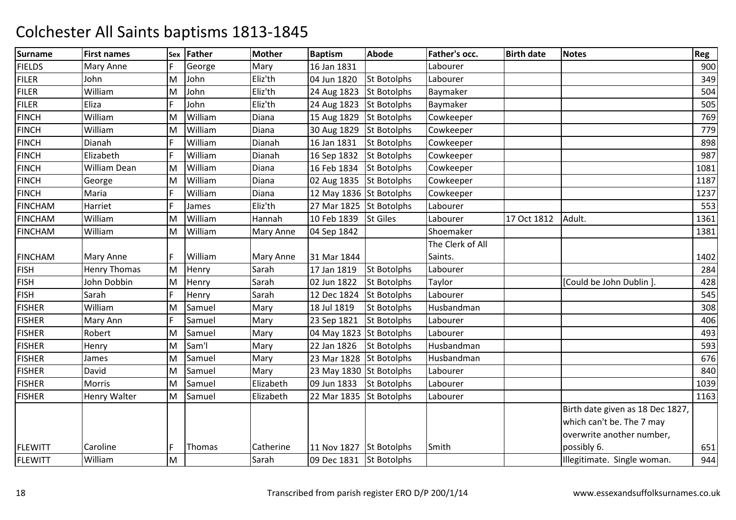| <b>Surname</b> | <b>First names</b>  | Sex | <b>Father</b> | <b>Mother</b>    | <b>Baptism</b>          | <b>Abode</b>       | Father's occ.    | <b>Birth date</b> | <b>Notes</b>                     | Reg  |
|----------------|---------------------|-----|---------------|------------------|-------------------------|--------------------|------------------|-------------------|----------------------------------|------|
| <b>FIELDS</b>  | Mary Anne           | F   | George        | Mary             | 16 Jan 1831             |                    | Labourer         |                   |                                  | 900  |
| <b>FILER</b>   | John                | M   | John          | Eliz'th          | 04 Jun 1820             | <b>St Botolphs</b> | Labourer         |                   |                                  | 349  |
| <b>FILER</b>   | William             | M   | John          | Eliz'th          | 24 Aug 1823             | <b>St Botolphs</b> | Baymaker         |                   |                                  | 504  |
| <b>FILER</b>   | Eliza               | F   | John          | Eliz'th          | 24 Aug 1823             | <b>St Botolphs</b> | Baymaker         |                   |                                  | 505  |
| <b>FINCH</b>   | William             | M   | William       | Diana            | 15 Aug 1829             | <b>St Botolphs</b> | Cowkeeper        |                   |                                  | 769  |
| <b>FINCH</b>   | William             | M   | William       | Diana            | 30 Aug 1829 St Botolphs |                    | Cowkeeper        |                   |                                  | 779  |
| <b>FINCH</b>   | Dianah              | F   | William       | Dianah           | 16 Jan 1831             | <b>St Botolphs</b> | Cowkeeper        |                   |                                  | 898  |
| <b>FINCH</b>   | Elizabeth           | F   | William       | Dianah           | 16 Sep 1832             | <b>St Botolphs</b> | Cowkeeper        |                   |                                  | 987  |
| <b>FINCH</b>   | William Dean        | M   | William       | Diana            | 16 Feb 1834             | <b>St Botolphs</b> | Cowkeeper        |                   |                                  | 1081 |
| <b>FINCH</b>   | George              | M   | William       | Diana            | 02 Aug 1835 St Botolphs |                    | Cowkeeper        |                   |                                  | 1187 |
| <b>FINCH</b>   | Maria               | F   | William       | Diana            | 12 May 1836 St Botolphs |                    | Cowkeeper        |                   |                                  | 1237 |
| <b>FINCHAM</b> | Harriet             | F   | James         | Eliz'th          | 27 Mar 1825 St Botolphs |                    | Labourer         |                   |                                  | 553  |
| <b>FINCHAM</b> | William             | M   | William       | Hannah           | 10 Feb 1839             | <b>St Giles</b>    | Labourer         | 17 Oct 1812       | Adult.                           | 1361 |
| <b>FINCHAM</b> | William             | M   | William       | <b>Mary Anne</b> | 04 Sep 1842             |                    | Shoemaker        |                   |                                  | 1381 |
|                |                     |     |               |                  |                         |                    | The Clerk of All |                   |                                  |      |
| <b>FINCHAM</b> | <b>Mary Anne</b>    | F   | William       | <b>Mary Anne</b> | 31 Mar 1844             |                    | Saints.          |                   |                                  | 1402 |
| <b>FISH</b>    | <b>Henry Thomas</b> | M   | Henry         | Sarah            | 17 Jan 1819             | <b>St Botolphs</b> | Labourer         |                   |                                  | 284  |
| <b>FISH</b>    | John Dobbin         | M   | Henry         | Sarah            | 02 Jun 1822             | <b>St Botolphs</b> | Taylor           |                   | [Could be John Dublin]           | 428  |
| <b>FISH</b>    | Sarah               | F   | Henry         | Sarah            | 12 Dec 1824             | <b>St Botolphs</b> | Labourer         |                   |                                  | 545  |
| <b>FISHER</b>  | William             | M   | Samuel        | Mary             | 18 Jul 1819             | <b>St Botolphs</b> | Husbandman       |                   |                                  | 308  |
| <b>FISHER</b>  | Mary Ann            | F   | Samuel        | Mary             | 23 Sep 1821             | <b>St Botolphs</b> | Labourer         |                   |                                  | 406  |
| <b>FISHER</b>  | Robert              | M   | Samuel        | Mary             | 04 May 1823 St Botolphs |                    | Labourer         |                   |                                  | 493  |
| <b>FISHER</b>  | Henry               | M   | Sam'l         | Mary             | 22 Jan 1826             | <b>St Botolphs</b> | Husbandman       |                   |                                  | 593  |
| <b>FISHER</b>  | James               | M   | Samuel        | Mary             | 23 Mar 1828 St Botolphs |                    | Husbandman       |                   |                                  | 676  |
| <b>FISHER</b>  | David               | M   | Samuel        | Mary             | 23 May 1830 St Botolphs |                    | Labourer         |                   |                                  | 840  |
| <b>FISHER</b>  | Morris              | M   | Samuel        | Elizabeth        | 09 Jun 1833             | St Botolphs        | Labourer         |                   |                                  | 1039 |
| <b>FISHER</b>  | <b>Henry Walter</b> | M   | Samuel        | Elizabeth        | 22 Mar 1835 St Botolphs |                    | Labourer         |                   |                                  | 1163 |
|                |                     |     |               |                  |                         |                    |                  |                   | Birth date given as 18 Dec 1827, |      |
|                |                     |     |               |                  |                         |                    |                  |                   | which can't be. The 7 may        |      |
|                |                     |     |               |                  |                         |                    |                  |                   | overwrite another number,        |      |
| <b>FLEWITT</b> | Caroline            | F   | Thomas        | Catherine        | 11 Nov 1827             | <b>St Botolphs</b> | Smith            |                   | possibly 6.                      | 651  |
| <b>FLEWITT</b> | William             | M   |               | Sarah            | 09 Dec 1831 St Botolphs |                    |                  |                   | Illegitimate. Single woman.      | 944  |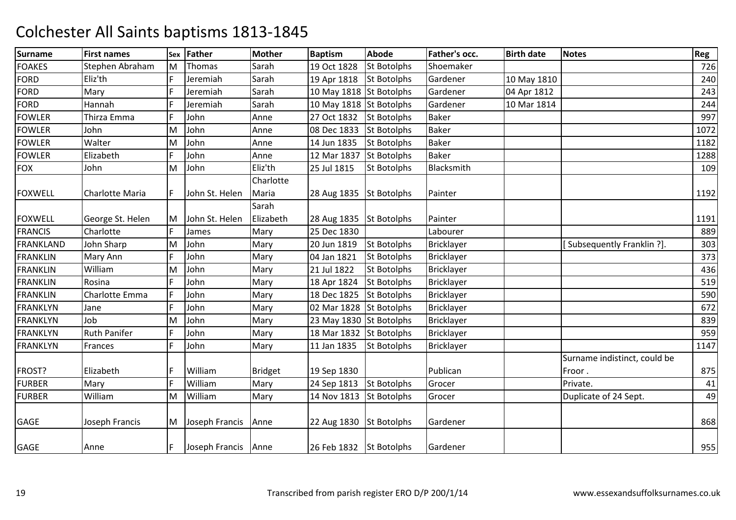| <b>Surname</b>  | <b>First names</b>     | Sex | <b>Father</b>       | <b>Mother</b> | <b>Baptism</b>          | <b>Abode</b>       | Father's occ.     | <b>Birth date</b> | <b>Notes</b>                 | <b>Reg</b> |
|-----------------|------------------------|-----|---------------------|---------------|-------------------------|--------------------|-------------------|-------------------|------------------------------|------------|
| <b>FOAKES</b>   | Stephen Abraham        | M   | Thomas              | Sarah         | 19 Oct 1828             | <b>St Botolphs</b> | Shoemaker         |                   |                              | 726        |
| <b>FORD</b>     | Eliz'th                | F   | Jeremiah            | Sarah         | 19 Apr 1818             | <b>St Botolphs</b> | Gardener          | 10 May 1810       |                              | 240        |
| <b>FORD</b>     | Mary                   | F   | Jeremiah            | Sarah         | 10 May 1818 St Botolphs |                    | Gardener          | 04 Apr 1812       |                              | 243        |
| <b>FORD</b>     | Hannah                 | F   | Jeremiah            | Sarah         | 10 May 1818 St Botolphs |                    | Gardener          | 10 Mar 1814       |                              | 244        |
| <b>FOWLER</b>   | Thirza Emma            | F   | John                | Anne          | 27 Oct 1832             | <b>St Botolphs</b> | <b>Baker</b>      |                   |                              | 997        |
| <b>FOWLER</b>   | John                   | M   | John                | Anne          | 08 Dec 1833             | <b>St Botolphs</b> | <b>Baker</b>      |                   |                              | 1072       |
| <b>FOWLER</b>   | Walter                 | M   | John                | Anne          | 14 Jun 1835             | <b>St Botolphs</b> | Baker             |                   |                              | 1182       |
| <b>FOWLER</b>   | Elizabeth              | F   | John                | Anne          | 12 Mar 1837             | <b>St Botolphs</b> | <b>Baker</b>      |                   |                              | 1288       |
| <b>FOX</b>      | John                   | M   | John                | Eliz'th       | 25 Jul 1815             | <b>St Botolphs</b> | Blacksmith        |                   |                              | 109        |
|                 |                        |     |                     | Charlotte     |                         |                    |                   |                   |                              |            |
| <b>FOXWELL</b>  | <b>Charlotte Maria</b> | F   | John St. Helen      | Maria         | 28 Aug 1835 St Botolphs |                    | Painter           |                   |                              | 1192       |
|                 |                        |     |                     | Sarah         |                         |                    |                   |                   |                              |            |
| <b>FOXWELL</b>  | George St. Helen       | M   | John St. Helen      | Elizabeth     | 28 Aug 1835 St Botolphs |                    | Painter           |                   |                              | 1191       |
| <b>FRANCIS</b>  | Charlotte              | F   | James               | Mary          | 25 Dec 1830             |                    | Labourer          |                   |                              | 889        |
| FRANKLAND       | John Sharp             | M   | John                | Mary          | 20 Jun 1819             | <b>St Botolphs</b> | <b>Bricklayer</b> |                   | [Subsequently Franklin ?].   | 303        |
| <b>FRANKLIN</b> | Mary Ann               | F   | John                | Mary          | 04 Jan 1821             | <b>St Botolphs</b> | Bricklayer        |                   |                              | 373        |
| <b>FRANKLIN</b> | William                | M   | John                | Mary          | 21 Jul 1822             | <b>St Botolphs</b> | <b>Bricklayer</b> |                   |                              | 436        |
| <b>FRANKLIN</b> | Rosina                 | F   | John                | Mary          | 18 Apr 1824             | <b>St Botolphs</b> | <b>Bricklayer</b> |                   |                              | 519        |
| <b>FRANKLIN</b> | Charlotte Emma         | F   | John                | Mary          | 18 Dec 1825             | <b>St Botolphs</b> | <b>Bricklayer</b> |                   |                              | 590        |
| <b>FRANKLYN</b> | Jane                   | F   | John                | Mary          | 02 Mar 1828 St Botolphs |                    | Bricklayer        |                   |                              | 672        |
| <b>FRANKLYN</b> | Job                    | M   | John                | Mary          | 23 May 1830 St Botolphs |                    | <b>Bricklayer</b> |                   |                              | 839        |
| <b>FRANKLYN</b> | <b>Ruth Panifer</b>    | F   | John                | Mary          | 18 Mar 1832 St Botolphs |                    | Bricklayer        |                   |                              | 959        |
| <b>FRANKLYN</b> | Frances                | F   | John                | Mary          | 11 Jan 1835             | <b>St Botolphs</b> | Bricklayer        |                   |                              | 1147       |
|                 |                        |     |                     |               |                         |                    |                   |                   | Surname indistinct, could be |            |
| FROST?          | Elizabeth              | F   | William             | Bridget       | 19 Sep 1830             |                    | Publican          |                   | Froor.                       | 875        |
| <b>FURBER</b>   | Mary                   | F   | William             | Mary          | 24 Sep 1813             | <b>St Botolphs</b> | Grocer            |                   | Private.                     | 41         |
| <b>FURBER</b>   | William                | M   | William             | Mary          | 14 Nov 1813             | <b>St Botolphs</b> | Grocer            |                   | Duplicate of 24 Sept.        | 49         |
|                 |                        |     |                     |               |                         |                    |                   |                   |                              |            |
| GAGE            | Joseph Francis         | M   | Joseph Francis      | Anne          | 22 Aug 1830             | <b>St Botolphs</b> | Gardener          |                   |                              | 868        |
|                 |                        |     |                     |               |                         |                    |                   |                   |                              |            |
| GAGE            | Anne                   | F   | Joseph Francis Anne |               | 26 Feb 1832 St Botolphs |                    | Gardener          |                   |                              | 955        |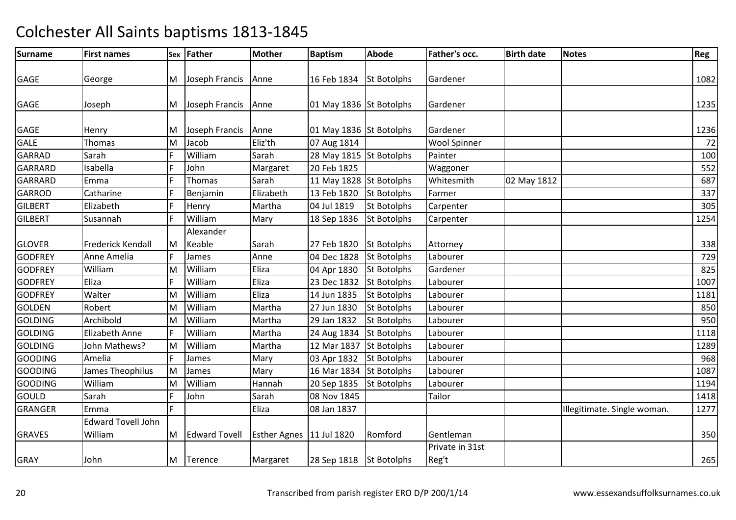| <b>Surname</b> | <b>First names</b>                   |    | Sex Father           | <b>Mother</b>       | <b>Baptism</b>          | Abode              | Father's occ.       | <b>Birth date</b> | Notes                       | Reg  |
|----------------|--------------------------------------|----|----------------------|---------------------|-------------------------|--------------------|---------------------|-------------------|-----------------------------|------|
|                |                                      |    |                      |                     |                         |                    |                     |                   |                             |      |
| <b>GAGE</b>    | George                               | M  | Joseph Francis       | Anne                | 16 Feb 1834             | <b>St Botolphs</b> | Gardener            |                   |                             | 1082 |
| <b>GAGE</b>    | Joseph                               | M  | Joseph Francis       | Anne                | 01 May 1836 St Botolphs |                    | Gardener            |                   |                             | 1235 |
| <b>GAGE</b>    | Henry                                | M  | Joseph Francis       | Anne                | 01 May 1836 St Botolphs |                    | Gardener            |                   |                             | 1236 |
| <b>GALE</b>    | Thomas                               | M  | Jacob                | Eliz'th             | 07 Aug 1814             |                    | <b>Wool Spinner</b> |                   |                             | 72   |
| <b>GARRAD</b>  | Sarah                                | F  | William              | Sarah               | 28 May 1815 St Botolphs |                    | Painter             |                   |                             | 100  |
| <b>GARRARD</b> | Isabella                             |    | John                 | Margaret            | 20 Feb 1825             |                    | Waggoner            |                   |                             | 552  |
| <b>GARRARD</b> | Emma                                 | F  | Thomas               | Sarah               | 11 May 1828 St Botolphs |                    | Whitesmith          | 02 May 1812       |                             | 687  |
| <b>GARROD</b>  | Catharine                            | E  | Benjamin             | Elizabeth           | 13 Feb 1820             | <b>St Botolphs</b> | Farmer              |                   |                             | 337  |
| <b>GILBERT</b> | Elizabeth                            | F  | Henry                | Martha              | 04 Jul 1819             | <b>St Botolphs</b> | Carpenter           |                   |                             | 305  |
| <b>GILBERT</b> | Susannah                             |    | William              | Mary                | 18 Sep 1836             | <b>St Botolphs</b> | Carpenter           |                   |                             | 1254 |
|                |                                      |    | Alexander            |                     |                         |                    |                     |                   |                             |      |
| <b>GLOVER</b>  | Frederick Kendall                    | M  | Keable               | Sarah               | 27 Feb 1820             | <b>St Botolphs</b> | Attorney            |                   |                             | 338  |
| <b>GODFREY</b> | Anne Amelia                          |    | James                | Anne                | 04 Dec 1828             | <b>St Botolphs</b> | Labourer            |                   |                             | 729  |
| <b>GODFREY</b> | William                              | M  | William              | Eliza               | 04 Apr 1830             | <b>St Botolphs</b> | Gardener            |                   |                             | 825  |
| <b>GODFREY</b> | Eliza                                | F  | William              | Eliza               | 23 Dec 1832             | <b>St Botolphs</b> | Labourer            |                   |                             | 1007 |
| <b>GODFREY</b> | Walter                               | M  | William              | Eliza               | 14 Jun 1835             | <b>St Botolphs</b> | Labourer            |                   |                             | 1181 |
| <b>GOLDEN</b>  | Robert                               | M  | William              | Martha              | 27 Jun 1830             | <b>St Botolphs</b> | Labourer            |                   |                             | 850  |
| <b>GOLDING</b> | Archibold                            | M  | William              | Martha              | 29 Jan 1832             | <b>St Botolphs</b> | Labourer            |                   |                             | 950  |
| <b>GOLDING</b> | Elizabeth Anne                       | F  | William              | Martha              | 24 Aug 1834             | <b>St Botolphs</b> | Labourer            |                   |                             | 1118 |
| <b>GOLDING</b> | John Mathews?                        | M  | William              | Martha              | 12 Mar 1837             | <b>St Botolphs</b> | Labourer            |                   |                             | 1289 |
| <b>GOODING</b> | Amelia                               | E  | James                | Mary                | 03 Apr 1832             | <b>St Botolphs</b> | Labourer            |                   |                             | 968  |
| <b>GOODING</b> | James Theophilus                     | M  | James                | Mary                | 16 Mar 1834             | <b>St Botolphs</b> | Labourer            |                   |                             | 1087 |
| <b>GOODING</b> | William                              | M  | William              | Hannah              | 20 Sep 1835             | <b>St Botolphs</b> | Labourer            |                   |                             | 1194 |
| GOULD          | Sarah                                | E  | John                 | Sarah               | 08 Nov 1845             |                    | Tailor              |                   |                             | 1418 |
| <b>GRANGER</b> | Emma                                 | F. |                      | Eliza               | 08 Jan 1837             |                    |                     |                   | Illegitimate. Single woman. | 1277 |
| <b>GRAVES</b>  | <b>Edward Tovell John</b><br>William | M  | <b>Edward Tovell</b> | <b>Esther Agnes</b> | 11 Jul 1820             | Romford            | Gentleman           |                   |                             | 350  |
|                |                                      |    |                      |                     |                         |                    | Private in 31st     |                   |                             |      |
| <b>GRAY</b>    | John                                 | M  | Terence              | Margaret            | 28 Sep 1818 St Botolphs |                    | Reg't               |                   |                             | 265  |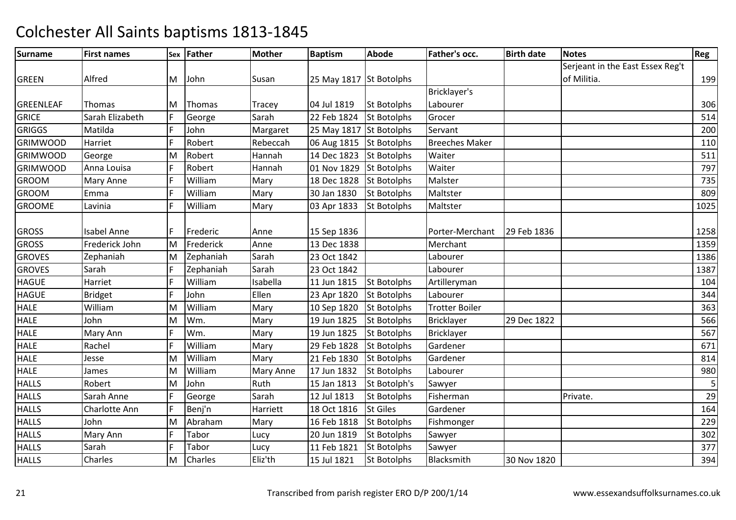| <b>Surname</b>   | <b>First names</b> |              | Sex Father   | <b>Mother</b>    | <b>Baptism</b>          | <b>Abode</b>       | Father's occ.         | <b>Birth date</b> | <b>Notes</b>                     | Reg  |
|------------------|--------------------|--------------|--------------|------------------|-------------------------|--------------------|-----------------------|-------------------|----------------------------------|------|
|                  |                    |              |              |                  |                         |                    |                       |                   | Serjeant in the East Essex Reg't |      |
| <b>GREEN</b>     | Alfred             |              | M John       | Susan            | 25 May 1817 St Botolphs |                    |                       |                   | of Militia.                      | 199  |
|                  |                    |              |              |                  |                         |                    | Bricklayer's          |                   |                                  |      |
| <b>GREENLEAF</b> | Thomas             | M            | Thomas       | Tracey           | 04 Jul 1819             | <b>St Botolphs</b> | Labourer              |                   |                                  | 306  |
| <b>GRICE</b>     | Sarah Elizabeth    | F            | George       | Sarah            | 22 Feb 1824             | <b>St Botolphs</b> | Grocer                |                   |                                  | 514  |
| <b>GRIGGS</b>    | Matilda            | F            | John         | Margaret         | 25 May 1817 St Botolphs |                    | Servant               |                   |                                  | 200  |
| <b>GRIMWOOD</b>  | Harriet            | F            | Robert       | Rebeccah         | 06 Aug 1815             | <b>St Botolphs</b> | <b>Breeches Maker</b> |                   |                                  | 110  |
| <b>GRIMWOOD</b>  | George             | M            | Robert       | Hannah           | 14 Dec 1823             | <b>St Botolphs</b> | Waiter                |                   |                                  | 511  |
| <b>GRIMWOOD</b>  | Anna Louisa        | F            | Robert       | Hannah           | 01 Nov 1829             | <b>St Botolphs</b> | Waiter                |                   |                                  | 797  |
| <b>GROOM</b>     | Mary Anne          | F            | William      | Mary             | 18 Dec 1828             | <b>St Botolphs</b> | Malster               |                   |                                  | 735  |
| <b>GROOM</b>     | Emma               | F            | William      | Mary             | 30 Jan 1830             | <b>St Botolphs</b> | Maltster              |                   |                                  | 809  |
| <b>GROOME</b>    | Lavinia            | F            | William      | Mary             | 03 Apr 1833             | <b>St Botolphs</b> | Maltster              |                   |                                  | 1025 |
|                  |                    |              |              |                  |                         |                    |                       |                   |                                  |      |
| <b>GROSS</b>     | <b>Isabel Anne</b> | F            | Frederic     | Anne             | 15 Sep 1836             |                    | Porter-Merchant       | 29 Feb 1836       |                                  | 1258 |
| <b>GROSS</b>     | Frederick John     | M            | Frederick    | Anne             | 13 Dec 1838             |                    | Merchant              |                   |                                  | 1359 |
| <b>GROVES</b>    | Zephaniah          | M            | Zephaniah    | Sarah            | 23 Oct 1842             |                    | Labourer              |                   |                                  | 1386 |
| <b>GROVES</b>    | Sarah              | $\mathsf{F}$ | Zephaniah    | Sarah            | 23 Oct 1842             |                    | Labourer              |                   |                                  | 1387 |
| <b>HAGUE</b>     | Harriet            | F            | William      | Isabella         | 11 Jun 1815             | <b>St Botolphs</b> | Artilleryman          |                   |                                  | 104  |
| <b>HAGUE</b>     | <b>Bridget</b>     | F            | John         | Ellen            | 23 Apr 1820             | <b>St Botolphs</b> | Labourer              |                   |                                  | 344  |
| <b>HALE</b>      | William            | M            | William      | Mary             | 10 Sep 1820             | <b>St Botolphs</b> | <b>Trotter Boiler</b> |                   |                                  | 363  |
| <b>HALE</b>      | John               | M            | Wm.          | Mary             | 19 Jun 1825             | St Botolphs        | Bricklayer            | 29 Dec 1822       |                                  | 566  |
| <b>HALE</b>      | Mary Ann           | F            | Wm.          | Mary             | 19 Jun 1825             | <b>St Botolphs</b> | <b>Bricklayer</b>     |                   |                                  | 567  |
| <b>HALE</b>      | Rachel             | F            | William      | Mary             | 29 Feb 1828             | St Botolphs        | Gardener              |                   |                                  | 671  |
| <b>HALE</b>      | Jesse              | M            | William      | Mary             | 21 Feb 1830             | <b>St Botolphs</b> | Gardener              |                   |                                  | 814  |
| <b>HALE</b>      | James              | M            | William      | <b>Mary Anne</b> | 17 Jun 1832             | St Botolphs        | Labourer              |                   |                                  | 980  |
| <b>HALLS</b>     | Robert             | M            | John         | Ruth             | 15 Jan 1813             | St Botolph's       | Sawyer                |                   |                                  | 5    |
| <b>HALLS</b>     | Sarah Anne         | F            | George       | Sarah            | 12 Jul 1813             | <b>St Botolphs</b> | Fisherman             |                   | Private.                         | 29   |
| <b>HALLS</b>     | Charlotte Ann      | F            | Benj'n       | Harriett         | 18 Oct 1816             | <b>St Giles</b>    | Gardener              |                   |                                  | 164  |
| <b>HALLS</b>     | John               | M            | Abraham      | Mary             | 16 Feb 1818             | <b>St Botolphs</b> | Fishmonger            |                   |                                  | 229  |
| <b>HALLS</b>     | Mary Ann           | F            | <b>Tabor</b> | Lucy             | 20 Jun 1819             | <b>St Botolphs</b> | Sawyer                |                   |                                  | 302  |
| <b>HALLS</b>     | Sarah              | F            | Tabor        | Lucy             | 11 Feb 1821             | <b>St Botolphs</b> | Sawyer                |                   |                                  | 377  |
| <b>HALLS</b>     | Charles            | M            | Charles      | Eliz'th          | 15 Jul 1821             | <b>St Botolphs</b> | Blacksmith            | 30 Nov 1820       |                                  | 394  |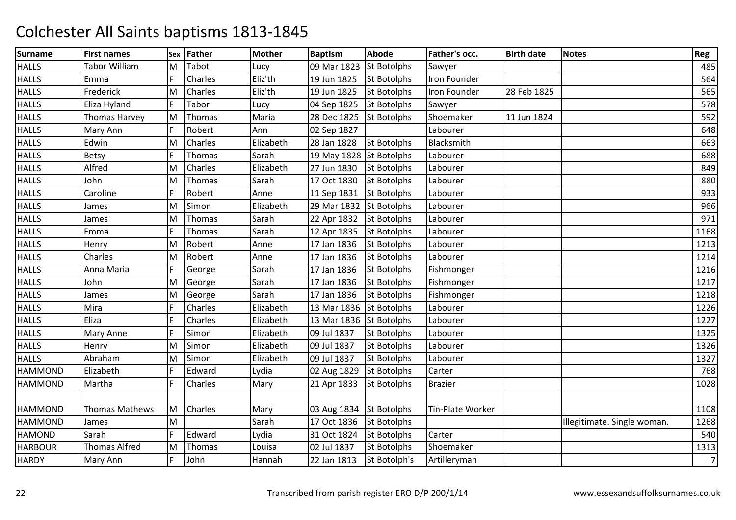| <b>Surname</b> | <b>First names</b> | Sex | <b>Father</b>  | Mother    | <b>Baptism</b>          | <b>Abode</b>       | Father's occ.       | <b>Birth date</b> | <b>Notes</b>                | Reg            |
|----------------|--------------------|-----|----------------|-----------|-------------------------|--------------------|---------------------|-------------------|-----------------------------|----------------|
| <b>HALLS</b>   | Tabor William      | м   | Tabot          | Lucy      | 09 Mar 1823             | <b>St Botolphs</b> | Sawyer              |                   |                             | 485            |
| <b>HALLS</b>   | Emma               | F   | Charles        | Eliz'th   | 19 Jun 1825             | <b>St Botolphs</b> | Iron Founder        |                   |                             | 564            |
| <b>HALLS</b>   | Frederick          | M   | <b>Charles</b> | Eliz'th   | 19 Jun 1825             | <b>St Botolphs</b> | <b>Iron Founder</b> | 28 Feb 1825       |                             | 565            |
| <b>HALLS</b>   | Eliza Hyland       |     | Tabor          | Lucy      | 04 Sep 1825             | <b>St Botolphs</b> | Sawyer              |                   |                             | 578            |
| <b>HALLS</b>   | Thomas Harvey      | M   | Thomas         | Maria     | 28 Dec 1825             | <b>St Botolphs</b> | Shoemaker           | 11 Jun 1824       |                             | 592            |
| <b>HALLS</b>   | Mary Ann           | F   | Robert         | Ann       | 02 Sep 1827             |                    | Labourer            |                   |                             | 648            |
| <b>HALLS</b>   | Edwin              | M   | Charles        | Elizabeth | 28 Jan 1828             | <b>St Botolphs</b> | Blacksmith          |                   |                             | 663            |
| <b>HALLS</b>   | Betsy              | F   | Thomas         | Sarah     | 19 May 1828 St Botolphs |                    | Labourer            |                   |                             | 688            |
| <b>HALLS</b>   | Alfred             | M   | <b>Charles</b> | Elizabeth | 27 Jun 1830             | <b>St Botolphs</b> | Labourer            |                   |                             | 849            |
| <b>HALLS</b>   | John               | M   | Thomas         | Sarah     | 17 Oct 1830             | <b>St Botolphs</b> | Labourer            |                   |                             | 880            |
| <b>HALLS</b>   | Caroline           | F   | Robert         | Anne      | 11 Sep 1831             | <b>St Botolphs</b> | Labourer            |                   |                             | 933            |
| <b>HALLS</b>   | James              | M   | Simon          | Elizabeth | 29 Mar 1832             | <b>St Botolphs</b> | Labourer            |                   |                             | 966            |
| <b>HALLS</b>   | James              | M   | Thomas         | Sarah     | 22 Apr 1832             | <b>St Botolphs</b> | Labourer            |                   |                             | 971            |
| <b>HALLS</b>   | Emma               | F   | Thomas         | Sarah     | 12 Apr 1835             | <b>St Botolphs</b> | Labourer            |                   |                             | 1168           |
| <b>HALLS</b>   | Henry              | M   | Robert         | Anne      | 17 Jan 1836             | <b>St Botolphs</b> | Labourer            |                   |                             | 1213           |
| <b>HALLS</b>   | Charles            | M   | Robert         | Anne      | 17 Jan 1836             | <b>St Botolphs</b> | Labourer            |                   |                             | 1214           |
| <b>HALLS</b>   | Anna Maria         | F   | George         | Sarah     | 17 Jan 1836             | <b>St Botolphs</b> | Fishmonger          |                   |                             | 1216           |
| <b>HALLS</b>   | John               | M   | George         | Sarah     | 17 Jan 1836             | <b>St Botolphs</b> | Fishmonger          |                   |                             | 1217           |
| <b>HALLS</b>   | James              | M   | George         | Sarah     | 17 Jan 1836             | St Botolphs        | Fishmonger          |                   |                             | 1218           |
| <b>HALLS</b>   | Mira               | F   | Charles        | Elizabeth | 13 Mar 1836             | <b>St Botolphs</b> | Labourer            |                   |                             | 1226           |
| <b>HALLS</b>   | Eliza              | F   | Charles        | Elizabeth | 13 Mar 1836 St Botolphs |                    | Labourer            |                   |                             | 1227           |
| <b>HALLS</b>   | Mary Anne          | F   | Simon          | Elizabeth | 09 Jul 1837             | <b>St Botolphs</b> | Labourer            |                   |                             | 1325           |
| <b>HALLS</b>   | Henry              | M   | Simon          | Elizabeth | 09 Jul 1837             | <b>St Botolphs</b> | Labourer            |                   |                             | 1326           |
| <b>HALLS</b>   | Abraham            | M   | Simon          | Elizabeth | 09 Jul 1837             | <b>St Botolphs</b> | Labourer            |                   |                             | 1327           |
| <b>HAMMOND</b> | Elizabeth          | F   | Edward         | Lydia     | 02 Aug 1829             | <b>St Botolphs</b> | Carter              |                   |                             | 768            |
| <b>HAMMOND</b> | Martha             | F   | Charles        | Mary      | 21 Apr 1833             | <b>St Botolphs</b> | <b>Brazier</b>      |                   |                             | 1028           |
| <b>HAMMOND</b> | Thomas Mathews     | M   | Charles        | Mary      | 03 Aug 1834 St Botolphs |                    | Tin-Plate Worker    |                   |                             | 1108           |
| <b>HAMMOND</b> | James              | M   |                | Sarah     | 17 Oct 1836             | <b>St Botolphs</b> |                     |                   | Illegitimate. Single woman. | 1268           |
| <b>HAMOND</b>  | Sarah              | F   | Edward         | Lydia     | 31 Oct 1824             | <b>St Botolphs</b> | Carter              |                   |                             | 540            |
| <b>HARBOUR</b> | Thomas Alfred      | M   | Thomas         | Louisa    | 02 Jul 1837             | St Botolphs        | Shoemaker           |                   |                             | 1313           |
| <b>HARDY</b>   | Mary Ann           | F   | John           | Hannah    | 22 Jan 1813             | St Botolph's       | Artilleryman        |                   |                             | $\overline{7}$ |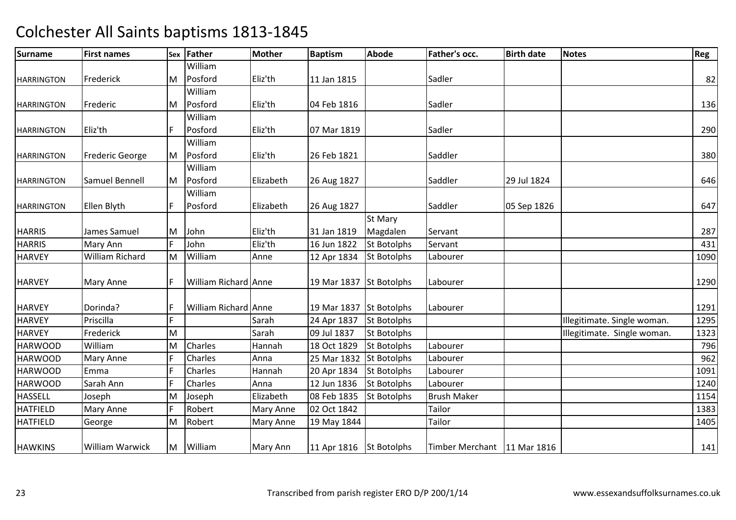| Surname           | <b>First names</b>     | Sex | Father               | <b>Mother</b> | <b>Baptism</b>          | <b>Abode</b>       | Father's occ.                 | <b>Birth date</b> | <b>Notes</b>                | Reg  |
|-------------------|------------------------|-----|----------------------|---------------|-------------------------|--------------------|-------------------------------|-------------------|-----------------------------|------|
|                   |                        |     | William              |               |                         |                    |                               |                   |                             |      |
| <b>HARRINGTON</b> | Frederick              | M   | Posford              | Eliz'th       | 11 Jan 1815             |                    | Sadler                        |                   |                             | 82   |
|                   |                        |     | William              |               |                         |                    |                               |                   |                             |      |
| <b>HARRINGTON</b> | Frederic               | IM. | Posford              | Eliz'th       | 04 Feb 1816             |                    | Sadler                        |                   |                             | 136  |
|                   |                        |     | William              |               |                         |                    |                               |                   |                             |      |
| <b>HARRINGTON</b> | Eliz'th                |     | Posford              | Eliz'th       | 07 Mar 1819             |                    | Sadler                        |                   |                             | 290  |
|                   |                        |     | William              |               |                         |                    |                               |                   |                             |      |
| <b>HARRINGTON</b> | <b>Frederic George</b> | M   | Posford              | Eliz'th       | 26 Feb 1821             |                    | Saddler                       |                   |                             | 380  |
|                   |                        |     | William              |               |                         |                    |                               |                   |                             |      |
| <b>HARRINGTON</b> | Samuel Bennell         | M   | Posford              | Elizabeth     | 26 Aug 1827             |                    | Saddler                       | 29 Jul 1824       |                             | 646  |
|                   |                        |     | William              |               |                         |                    |                               |                   |                             |      |
| <b>HARRINGTON</b> | Ellen Blyth            | F   | Posford              | Elizabeth     | 26 Aug 1827             |                    | Saddler                       | 05 Sep 1826       |                             | 647  |
|                   |                        |     |                      |               |                         | St Mary            |                               |                   |                             |      |
| <b>HARRIS</b>     | James Samuel           | M   | John                 | Eliz'th       | 31 Jan 1819             | Magdalen           | Servant                       |                   |                             | 287  |
| <b>HARRIS</b>     | Mary Ann               | E   | John                 | Eliz'th       | 16 Jun 1822             | <b>St Botolphs</b> | Servant                       |                   |                             | 431  |
| <b>HARVEY</b>     | <b>William Richard</b> | M   | William              | Anne          | 12 Apr 1834             | <b>St Botolphs</b> | Labourer                      |                   |                             | 1090 |
| <b>HARVEY</b>     | <b>Mary Anne</b>       | IF  | William Richard Anne |               | 19 Mar 1837 St Botolphs |                    | Labourer                      |                   |                             | 1290 |
| <b>HARVEY</b>     | Dorinda?               | l F | William Richard Anne |               | 19 Mar 1837 St Botolphs |                    | Labourer                      |                   |                             | 1291 |
| <b>HARVEY</b>     | Priscilla              | lF. |                      | Sarah         | 24 Apr 1837             | <b>St Botolphs</b> |                               |                   | Illegitimate. Single woman. | 1295 |
| <b>HARVEY</b>     | Frederick              | M   |                      | Sarah         | 09 Jul 1837             | <b>St Botolphs</b> |                               |                   | Illegitimate. Single woman. | 1323 |
| <b>HARWOOD</b>    | William                | M   | Charles              | Hannah        | 18 Oct 1829             | <b>St Botolphs</b> | Labourer                      |                   |                             | 796  |
| <b>HARWOOD</b>    | Mary Anne              | F   | Charles              | Anna          | 25 Mar 1832             | <b>St Botolphs</b> | Labourer                      |                   |                             | 962  |
| <b>HARWOOD</b>    | Emma                   | E   | Charles              | Hannah        | 20 Apr 1834             | St Botolphs        | Labourer                      |                   |                             | 1091 |
| <b>HARWOOD</b>    | Sarah Ann              |     | Charles              | Anna          | 12 Jun 1836             | <b>St Botolphs</b> | Labourer                      |                   |                             | 1240 |
| <b>HASSELL</b>    | Joseph                 | M   | Joseph               | Elizabeth     | 08 Feb 1835             | <b>St Botolphs</b> | <b>Brush Maker</b>            |                   |                             | 1154 |
| <b>HATFIELD</b>   | Mary Anne              | F   | Robert               | Mary Anne     | 02 Oct 1842             |                    | Tailor                        |                   |                             | 1383 |
| <b>HATFIELD</b>   | George                 | M   | Robert               | Mary Anne     | 19 May 1844             |                    | Tailor                        |                   |                             | 1405 |
| <b>HAWKINS</b>    | William Warwick        | M   | William              | Mary Ann      | 11 Apr 1816 St Botolphs |                    | Timber Merchant   11 Mar 1816 |                   |                             | 141  |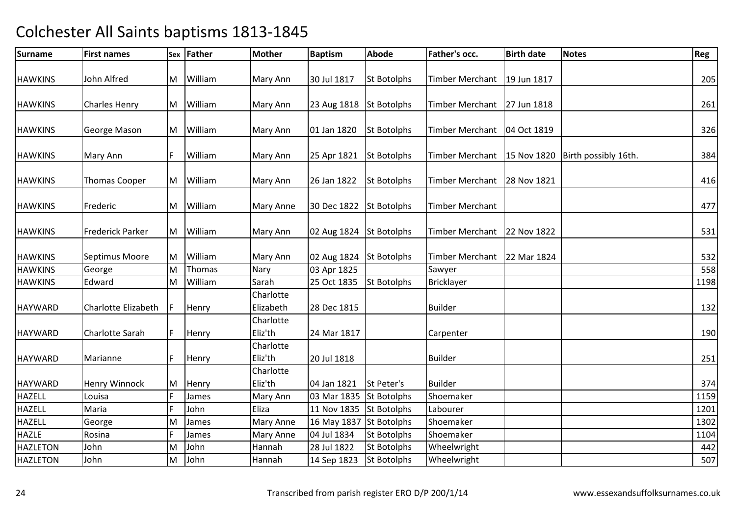| <b>Surname</b>  | <b>First names</b>      |     | Sex Father | <b>Mother</b>          | <b>Baptism</b>          | <b>Abode</b>       | Father's occ.          | <b>Birth date</b> | <b>Notes</b>                     | Reg  |
|-----------------|-------------------------|-----|------------|------------------------|-------------------------|--------------------|------------------------|-------------------|----------------------------------|------|
| <b>HAWKINS</b>  | John Alfred             | M   | William    | Mary Ann               | 30 Jul 1817             | <b>St Botolphs</b> | Timber Merchant        | 19 Jun 1817       |                                  | 205  |
|                 |                         |     |            |                        |                         |                    |                        |                   |                                  |      |
| <b>HAWKINS</b>  | <b>Charles Henry</b>    | M   | William    | Mary Ann               | 23 Aug 1818             | <b>St Botolphs</b> | Timber Merchant        | 27 Jun 1818       |                                  | 261  |
| <b>HAWKINS</b>  | George Mason            |     | M William  | Mary Ann               | 01 Jan 1820             | <b>St Botolphs</b> | Timber Merchant        | 04 Oct 1819       |                                  | 326  |
| <b>HAWKINS</b>  | Mary Ann                | F   | William    | Mary Ann               | 25 Apr 1821             | <b>St Botolphs</b> | Timber Merchant        |                   | 15 Nov 1820 Birth possibly 16th. | 384  |
| <b>HAWKINS</b>  | <b>Thomas Cooper</b>    |     | M William  | Mary Ann               | 26 Jan 1822             | <b>St Botolphs</b> | <b>Timber Merchant</b> | 28 Nov 1821       |                                  | 416  |
| <b>HAWKINS</b>  | Frederic                | M   | William    | <b>Mary Anne</b>       | 30 Dec 1822 St Botolphs |                    | Timber Merchant        |                   |                                  | 477  |
| <b>HAWKINS</b>  | <b>Frederick Parker</b> |     | M William  | Mary Ann               | 02 Aug 1824 St Botolphs |                    | Timber Merchant        | 22 Nov 1822       |                                  | 531  |
| <b>HAWKINS</b>  | Septimus Moore          | M   | William    | Mary Ann               | 02 Aug 1824 St Botolphs |                    | Timber Merchant        | 22 Mar 1824       |                                  | 532  |
| <b>HAWKINS</b>  | George                  | M   | Thomas     | Nary                   | 03 Apr 1825             |                    | Sawyer                 |                   |                                  | 558  |
| <b>HAWKINS</b>  | Edward                  | M   | William    | Sarah                  | 25 Oct 1835             | <b>St Botolphs</b> | <b>Bricklayer</b>      |                   |                                  | 1198 |
| <b>HAYWARD</b>  | Charlotte Elizabeth     | IF. | Henry      | Charlotte<br>Elizabeth | 28 Dec 1815             |                    | <b>Builder</b>         |                   |                                  | 132  |
| <b>HAYWARD</b>  | Charlotte Sarah         | F   | Henry      | Charlotte<br>Eliz'th   | 24 Mar 1817             |                    | Carpenter              |                   |                                  | 190  |
| <b>HAYWARD</b>  | Marianne                | F   | Henry      | Charlotte<br>Eliz'th   | 20 Jul 1818             |                    | <b>Builder</b>         |                   |                                  | 251  |
| <b>HAYWARD</b>  | Henry Winnock           | M   | Henry      | Charlotte<br>Eliz'th   | 04 Jan 1821             | St Peter's         | <b>Builder</b>         |                   |                                  | 374  |
| <b>HAZELL</b>   | Louisa                  | F   | James      | Mary Ann               | 03 Mar 1835             | <b>St Botolphs</b> | Shoemaker              |                   |                                  | 1159 |
| <b>HAZELL</b>   | Maria                   | E   | John       | Eliza                  | 11 Nov 1835             | <b>St Botolphs</b> | Labourer               |                   |                                  | 1201 |
| <b>HAZELL</b>   | George                  | M   | James      | <b>Mary Anne</b>       | 16 May 1837             | <b>St Botolphs</b> | Shoemaker              |                   |                                  | 1302 |
| <b>HAZLE</b>    | Rosina                  | F   | James      | <b>Mary Anne</b>       | 04 Jul 1834             | <b>St Botolphs</b> | Shoemaker              |                   |                                  | 1104 |
| <b>HAZLETON</b> | John                    | M   | John       | Hannah                 | 28 Jul 1822             | <b>St Botolphs</b> | Wheelwright            |                   |                                  | 442  |
| <b>HAZLETON</b> | John                    | M   | John       | Hannah                 | 14 Sep 1823             | <b>St Botolphs</b> | Wheelwright            |                   |                                  | 507  |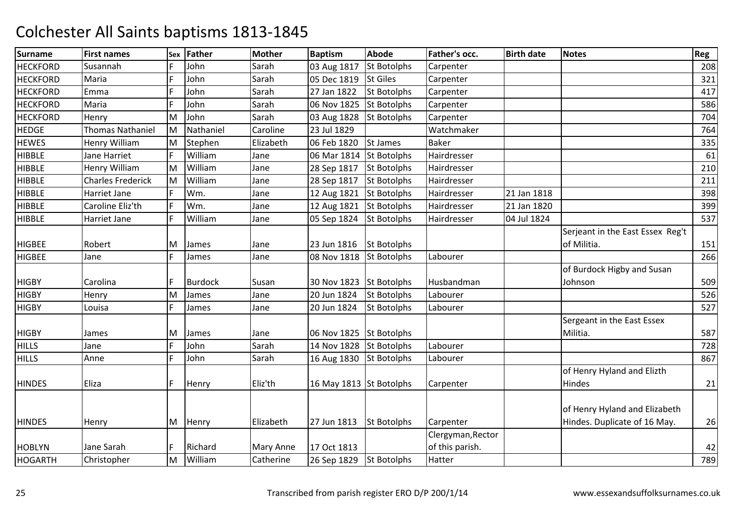| <b>Surname</b>  | <b>First names</b>       | Sex | Father         | <b>Mother</b>    | <b>Baptism</b>          | <b>Abode</b>       | Father's occ.     | <b>Birth date</b> | <b>Notes</b>                     | Reg |
|-----------------|--------------------------|-----|----------------|------------------|-------------------------|--------------------|-------------------|-------------------|----------------------------------|-----|
| <b>HECKFORD</b> | Susannah                 |     | John           | Sarah            | 03 Aug 1817             | <b>St Botolphs</b> | Carpenter         |                   |                                  | 208 |
| <b>HECKFORD</b> | Maria                    | F   | John           | Sarah            | 05 Dec 1819             | <b>St Giles</b>    | Carpenter         |                   |                                  | 321 |
| <b>HECKFORD</b> | Emma                     | E   | John           | Sarah            | 27 Jan 1822             | <b>St Botolphs</b> | Carpenter         |                   |                                  | 417 |
| <b>HECKFORD</b> | Maria                    | F   | John           | Sarah            | 06 Nov 1825             | <b>St Botolphs</b> | Carpenter         |                   |                                  | 586 |
| <b>HECKFORD</b> | Henry                    | M   | John           | Sarah            | 03 Aug 1828             | <b>St Botolphs</b> | Carpenter         |                   |                                  | 704 |
| <b>HEDGE</b>    | <b>Thomas Nathaniel</b>  | M   | Nathaniel      | Caroline         | 23 Jul 1829             |                    | Watchmaker        |                   |                                  | 764 |
| <b>HEWES</b>    | Henry William            | M   | Stephen        | Elizabeth        | 06 Feb 1820             | <b>St James</b>    | <b>Baker</b>      |                   |                                  | 335 |
| <b>HIBBLE</b>   | Jane Harriet             | F   | William        | Jane             | 06 Mar 1814             | <b>St Botolphs</b> | Hairdresser       |                   |                                  | 61  |
| <b>HIBBLE</b>   | Henry William            | M   | William        | Jane             | 28 Sep 1817             | <b>St Botolphs</b> | Hairdresser       |                   |                                  | 210 |
| <b>HIBBLE</b>   | <b>Charles Frederick</b> | M   | William        | Jane             | 28 Sep 1817             | <b>St Botolphs</b> | Hairdresser       |                   |                                  | 211 |
| <b>HIBBLE</b>   | Harriet Jane             | F   | Wm.            | Jane             | 12 Aug 1821             | <b>St Botolphs</b> | Hairdresser       | 21 Jan 1818       |                                  | 398 |
| <b>HIBBLE</b>   | Caroline Eliz'th         | F   | Wm.            | Jane             | 12 Aug 1821             | <b>St Botolphs</b> | Hairdresser       | 21 Jan 1820       |                                  | 399 |
| <b>HIBBLE</b>   | Harriet Jane             | F   | William        | Jane             | 05 Sep 1824             | <b>St Botolphs</b> | Hairdresser       | 04 Jul 1824       |                                  | 537 |
|                 |                          |     |                |                  |                         |                    |                   |                   | Serjeant in the East Essex Reg't |     |
| <b>HIGBEE</b>   | Robert                   | M   | James          | Jane             | 23 Jun 1816             | <b>St Botolphs</b> |                   |                   | of Militia.                      | 151 |
| <b>HIGBEE</b>   | Jane                     | F   | James          | Jane             | 08 Nov 1818             | <b>St Botolphs</b> | Labourer          |                   |                                  | 266 |
|                 |                          |     |                |                  |                         |                    |                   |                   | of Burdock Higby and Susan       |     |
| <b>HIGBY</b>    | Carolina                 | F   | <b>Burdock</b> | Susan            | 30 Nov 1823 St Botolphs |                    | Husbandman        |                   | Johnson                          | 509 |
| <b>HIGBY</b>    | Henry                    | M   | James          | Jane             | 20 Jun 1824             | <b>St Botolphs</b> | Labourer          |                   |                                  | 526 |
| <b>HIGBY</b>    | Louisa                   | F   | James          | Jane             | 20 Jun 1824             | <b>St Botolphs</b> | Labourer          |                   |                                  | 527 |
|                 |                          |     |                |                  |                         |                    |                   |                   | Sergeant in the East Essex       |     |
| <b>HIGBY</b>    | James                    | M   | James          | Jane             | 06 Nov 1825 St Botolphs |                    |                   |                   | Militia.                         | 587 |
| <b>HILLS</b>    | Jane                     | F   | John           | Sarah            | 14 Nov 1828             | <b>St Botolphs</b> | Labourer          |                   |                                  | 728 |
| <b>HILLS</b>    | Anne                     | F   | John           | Sarah            | 16 Aug 1830             | <b>St Botolphs</b> | Labourer          |                   |                                  | 867 |
|                 |                          |     |                |                  |                         |                    |                   |                   | of Henry Hyland and Elizth       |     |
| <b>HINDES</b>   | Eliza                    | F   | Henry          | Eliz'th          | 16 May 1813 St Botolphs |                    | Carpenter         |                   | Hindes                           | 21  |
|                 |                          |     |                |                  |                         |                    |                   |                   |                                  |     |
|                 |                          |     |                |                  |                         |                    |                   |                   | of Henry Hyland and Elizabeth    |     |
| <b>HINDES</b>   | Henry                    | M   | Henry          | Elizabeth        | 27 Jun 1813             | <b>St Botolphs</b> | Carpenter         |                   | Hindes. Duplicate of 16 May.     | 26  |
|                 |                          |     |                |                  |                         |                    | Clergyman, Rector |                   |                                  |     |
| <b>HOBLYN</b>   | Jane Sarah               | F   | Richard        | <b>Mary Anne</b> | 17 Oct 1813             |                    | of this parish.   |                   |                                  | 42  |
| <b>HOGARTH</b>  | Christopher              | M   | William        | Catherine        | 26 Sep 1829             | <b>St Botolphs</b> | Hatter            |                   |                                  | 789 |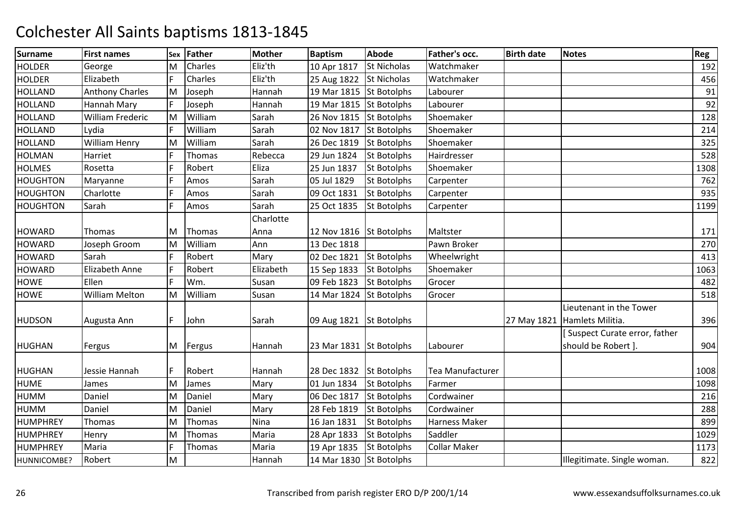| <b>Surname</b>  | <b>First names</b>     | Sex | <b>Father</b> | <b>Mother</b> | <b>Baptism</b>          | <b>Abode</b>       | Father's occ.        | <b>Birth date</b> | <b>Notes</b>                  | Reg  |
|-----------------|------------------------|-----|---------------|---------------|-------------------------|--------------------|----------------------|-------------------|-------------------------------|------|
| <b>HOLDER</b>   | George                 | M   | Charles       | Eliz'th       | 10 Apr 1817             | <b>St Nicholas</b> | Watchmaker           |                   |                               | 192  |
| <b>HOLDER</b>   | Elizabeth              | F   | Charles       | Eliz'th       | 25 Aug 1822 St Nicholas |                    | Watchmaker           |                   |                               | 456  |
| <b>HOLLAND</b>  | <b>Anthony Charles</b> | M   | Joseph        | Hannah        | 19 Mar 1815 St Botolphs |                    | Labourer             |                   |                               | 91   |
| <b>HOLLAND</b>  | Hannah Mary            | F   | Joseph        | Hannah        | 19 Mar 1815 St Botolphs |                    | Labourer             |                   |                               | 92   |
| <b>HOLLAND</b>  | William Frederic       | M   | William       | Sarah         | 26 Nov 1815             | <b>St Botolphs</b> | Shoemaker            |                   |                               | 128  |
| <b>HOLLAND</b>  | Lydia                  | F   | William       | Sarah         | 02 Nov 1817             | <b>St Botolphs</b> | Shoemaker            |                   |                               | 214  |
| <b>HOLLAND</b>  | <b>William Henry</b>   | M   | William       | Sarah         | 26 Dec 1819             | <b>St Botolphs</b> | Shoemaker            |                   |                               | 325  |
| <b>HOLMAN</b>   | Harriet                | F   | Thomas        | Rebecca       | 29 Jun 1824             | <b>St Botolphs</b> | Hairdresser          |                   |                               | 528  |
| <b>HOLMES</b>   | Rosetta                | F   | Robert        | Eliza         | 25 Jun 1837             | <b>St Botolphs</b> | Shoemaker            |                   |                               | 1308 |
| <b>HOUGHTON</b> | Maryanne               | F   | Amos          | Sarah         | 05 Jul 1829             | <b>St Botolphs</b> | Carpenter            |                   |                               | 762  |
| <b>HOUGHTON</b> | Charlotte              | F   | Amos          | Sarah         | 09 Oct 1831             | <b>St Botolphs</b> | Carpenter            |                   |                               | 935  |
| <b>HOUGHTON</b> | Sarah                  | F   | Amos          | Sarah         | 25 Oct 1835             | <b>St Botolphs</b> | Carpenter            |                   |                               | 1199 |
|                 |                        |     |               | Charlotte     |                         |                    |                      |                   |                               |      |
| <b>HOWARD</b>   | Thomas                 | M   | Thomas        | Anna          | 12 Nov 1816 St Botolphs |                    | Maltster             |                   |                               | 171  |
| <b>HOWARD</b>   | Joseph Groom           | M   | William       | Ann           | 13 Dec 1818             |                    | Pawn Broker          |                   |                               | 270  |
| <b>HOWARD</b>   | Sarah                  | F   | Robert        | Mary          | 02 Dec 1821             | <b>St Botolphs</b> | Wheelwright          |                   |                               | 413  |
| <b>HOWARD</b>   | Elizabeth Anne         | F   | Robert        | Elizabeth     | 15 Sep 1833             | <b>St Botolphs</b> | Shoemaker            |                   |                               | 1063 |
| <b>HOWE</b>     | Ellen                  | F   | Wm.           | Susan         | 09 Feb 1823             | <b>St Botolphs</b> | Grocer               |                   |                               | 482  |
| <b>HOWE</b>     | <b>William Melton</b>  | M   | William       | Susan         | 14 Mar 1824             | <b>St Botolphs</b> | Grocer               |                   |                               | 518  |
|                 |                        |     |               |               |                         |                    |                      |                   | Lieutenant in the Tower       |      |
| <b>HUDSON</b>   | Augusta Ann            | F   | John          | Sarah         | 09 Aug 1821             | <b>St Botolphs</b> |                      | 27 May 1821       | Hamlets Militia.              | 396  |
|                 |                        |     |               |               |                         |                    |                      |                   | [Suspect Curate error, father |      |
| <b>HUGHAN</b>   | Fergus                 | M   | Fergus        | Hannah        | 23 Mar 1831 St Botolphs |                    | Labourer             |                   | should be Robert ].           | 904  |
|                 |                        |     |               |               |                         |                    |                      |                   |                               |      |
| <b>HUGHAN</b>   | Jessie Hannah          | F   | Robert        | Hannah        | 28 Dec 1832 St Botolphs |                    | Tea Manufacturer     |                   |                               | 1008 |
| <b>HUME</b>     | James                  | M   | James         | Mary          | 01 Jun 1834             | <b>St Botolphs</b> | Farmer               |                   |                               | 1098 |
| <b>HUMM</b>     | Daniel                 | M   | Daniel        | Mary          | 06 Dec 1817             | <b>St Botolphs</b> | Cordwainer           |                   |                               | 216  |
| <b>HUMM</b>     | Daniel                 | M   | Daniel        | Mary          | 28 Feb 1819             | <b>St Botolphs</b> | Cordwainer           |                   |                               | 288  |
| <b>HUMPHREY</b> | Thomas                 | M   | Thomas        | Nina          | 16 Jan 1831             | <b>St Botolphs</b> | <b>Harness Maker</b> |                   |                               | 899  |
| <b>HUMPHREY</b> | Henry                  | M   | Thomas        | Maria         | 28 Apr 1833             | <b>St Botolphs</b> | Saddler              |                   |                               | 1029 |
| <b>HUMPHREY</b> | Maria                  | F   | Thomas        | Maria         | 19 Apr 1835             | <b>St Botolphs</b> | <b>Collar Maker</b>  |                   |                               | 1173 |
| HUNNICOMBE?     | Robert                 | M   |               | Hannah        | 14 Mar 1830 St Botolphs |                    |                      |                   | Illegitimate. Single woman.   | 822  |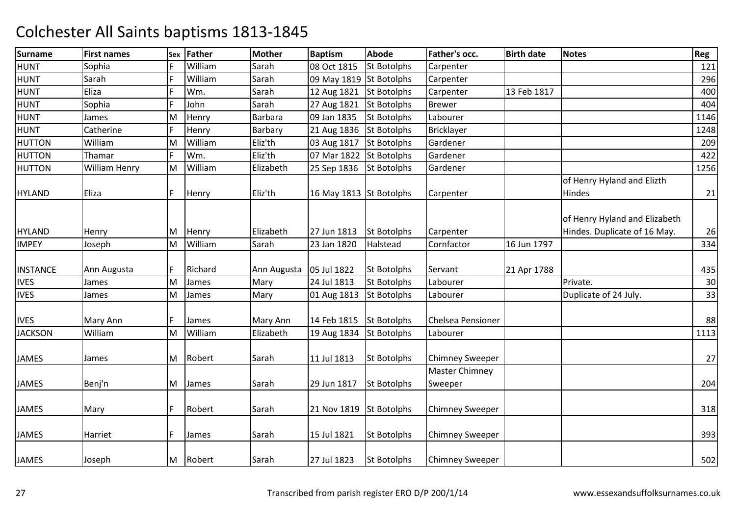| <b>Surname</b>  | <b>First names</b> | Sex | Father  | <b>Mother</b> | <b>Baptism</b>          | <b>Abode</b>       | Father's occ.                    | <b>Birth date</b> | <b>Notes</b>                                                  | Reg  |
|-----------------|--------------------|-----|---------|---------------|-------------------------|--------------------|----------------------------------|-------------------|---------------------------------------------------------------|------|
| <b>HUNT</b>     | Sophia             |     | William | Sarah         | 08 Oct 1815             | <b>St Botolphs</b> | Carpenter                        |                   |                                                               | 121  |
| <b>HUNT</b>     | Sarah              | F   | William | Sarah         | 09 May 1819             | <b>St Botolphs</b> | Carpenter                        |                   |                                                               | 296  |
| <b>HUNT</b>     | Eliza              | F   | Wm.     | Sarah         | 12 Aug 1821             | <b>St Botolphs</b> | Carpenter                        | 13 Feb 1817       |                                                               | 400  |
| <b>HUNT</b>     | Sophia             | F   | John    | Sarah         | 27 Aug 1821             | <b>St Botolphs</b> | <b>Brewer</b>                    |                   |                                                               | 404  |
| <b>HUNT</b>     | James              | M   | Henry   | Barbara       | 09 Jan 1835             | <b>St Botolphs</b> | Labourer                         |                   |                                                               | 1146 |
| <b>HUNT</b>     | Catherine          | F   | Henry   | Barbary       | 21 Aug 1836             | St Botolphs        | <b>Bricklayer</b>                |                   |                                                               | 1248 |
| <b>HUTTON</b>   | William            | M   | William | Eliz'th       | 03 Aug 1817             | <b>St Botolphs</b> | Gardener                         |                   |                                                               | 209  |
| <b>HUTTON</b>   | Thamar             | F   | Wm.     | Eliz'th       | 07 Mar 1822             | <b>St Botolphs</b> | Gardener                         |                   |                                                               | 422  |
| <b>HUTTON</b>   | William Henry      | M   | William | Elizabeth     | 25 Sep 1836             | <b>St Botolphs</b> | Gardener                         |                   |                                                               | 1256 |
|                 |                    |     |         |               |                         |                    |                                  |                   | of Henry Hyland and Elizth                                    |      |
| <b>HYLAND</b>   | Eliza              | F   | Henry   | Eliz'th       | 16 May 1813 St Botolphs |                    | Carpenter                        |                   | Hindes                                                        | 21   |
| <b>HYLAND</b>   | Henry              | M   | Henry   | Elizabeth     | 27 Jun 1813             | St Botolphs        | Carpenter                        |                   | of Henry Hyland and Elizabeth<br>Hindes. Duplicate of 16 May. | 26   |
| <b>IMPEY</b>    | Joseph             | M   | William | Sarah         | 23 Jan 1820             | Halstead           | Cornfactor                       | 16 Jun 1797       |                                                               | 334  |
| <b>INSTANCE</b> | Ann Augusta        | F   | Richard | Ann Augusta   | 05 Jul 1822             | <b>St Botolphs</b> | Servant                          | 21 Apr 1788       |                                                               | 435  |
| <b>IVES</b>     | James              | M   | James   | Mary          | 24 Jul 1813             | <b>St Botolphs</b> | Labourer                         |                   | Private.                                                      | 30   |
| <b>IVES</b>     | James              | M   | James   | Mary          | 01 Aug 1813             | <b>St Botolphs</b> | Labourer                         |                   | Duplicate of 24 July.                                         | 33   |
| <b>IVES</b>     | Mary Ann           | F   | James   | Mary Ann      | 14 Feb 1815             | <b>St Botolphs</b> | Chelsea Pensioner                |                   |                                                               | 88   |
| <b>JACKSON</b>  | William            | M   | William | Elizabeth     | 19 Aug 1834             | <b>St Botolphs</b> | Labourer                         |                   |                                                               | 1113 |
| <b>JAMES</b>    | James              | M   | Robert  | Sarah         | 11 Jul 1813             | <b>St Botolphs</b> | <b>Chimney Sweeper</b>           |                   |                                                               | 27   |
| <b>JAMES</b>    | Benj'n             | M   | James   | Sarah         | 29 Jun 1817             | <b>St Botolphs</b> | <b>Master Chimney</b><br>Sweeper |                   |                                                               | 204  |
| JAMES           | Mary               | F   | Robert  | Sarah         | 21 Nov 1819             | <b>St Botolphs</b> | <b>Chimney Sweeper</b>           |                   |                                                               | 318  |
| <b>JAMES</b>    | Harriet            | F   | James   | Sarah         | 15 Jul 1821             | <b>St Botolphs</b> | <b>Chimney Sweeper</b>           |                   |                                                               | 393  |
| <b>JAMES</b>    | Joseph             | M   | Robert  | Sarah         | 27 Jul 1823             | <b>St Botolphs</b> | <b>Chimney Sweeper</b>           |                   |                                                               | 502  |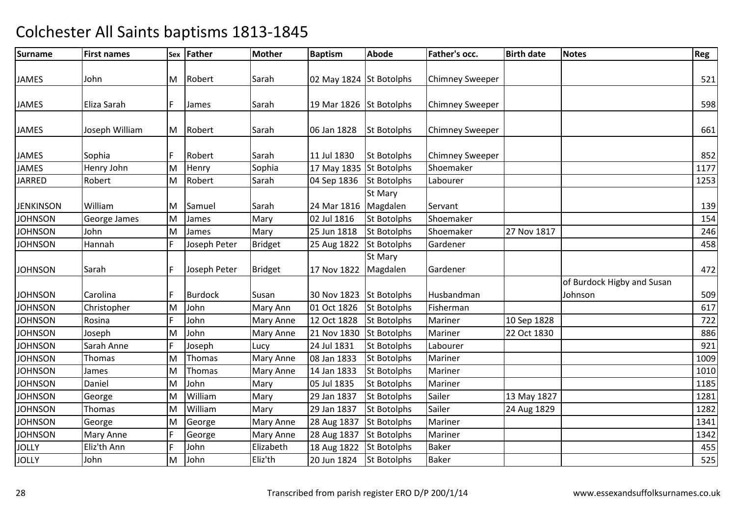| <b>Surname</b>   | <b>First names</b> |   | Sex Father     | <b>Mother</b>    | <b>Baptism</b>          | <b>Abode</b>       | Father's occ.          | <b>Birth date</b> | <b>Notes</b>                          | Reg  |
|------------------|--------------------|---|----------------|------------------|-------------------------|--------------------|------------------------|-------------------|---------------------------------------|------|
|                  |                    |   |                |                  |                         |                    |                        |                   |                                       |      |
| <b>JAMES</b>     | John               |   | M Robert       | Sarah            | 02 May 1824 St Botolphs |                    | <b>Chimney Sweeper</b> |                   |                                       | 521  |
|                  |                    |   |                |                  |                         |                    |                        |                   |                                       |      |
| <b>JAMES</b>     | Eliza Sarah        | F | James          | Sarah            | 19 Mar 1826 St Botolphs |                    | <b>Chimney Sweeper</b> |                   |                                       | 598  |
| <b>JAMES</b>     | Joseph William     |   | M Robert       | Sarah            | 06 Jan 1828             | <b>St Botolphs</b> | <b>Chimney Sweeper</b> |                   |                                       | 661  |
| <b>JAMES</b>     | Sophia             | F | Robert         | Sarah            | 11 Jul 1830             | <b>St Botolphs</b> | <b>Chimney Sweeper</b> |                   |                                       | 852  |
| <b>JAMES</b>     | Henry John         | M | Henry          | Sophia           | 17 May 1835 St Botolphs |                    | Shoemaker              |                   |                                       | 1177 |
| <b>JARRED</b>    | Robert             | M | Robert         | Sarah            | 04 Sep 1836             | <b>St Botolphs</b> | Labourer               |                   |                                       | 1253 |
|                  |                    |   |                |                  |                         | St Mary            |                        |                   |                                       |      |
| <b>JENKINSON</b> | William            | М | Samuel         | Sarah            | 24 Mar 1816             | Magdalen           | Servant                |                   |                                       | 139  |
| <b>JOHNSON</b>   | George James       | M | James          | Mary             | 02 Jul 1816             | <b>St Botolphs</b> | Shoemaker              |                   |                                       | 154  |
| <b>JOHNSON</b>   | John               | M | James          | Mary             | 25 Jun 1818             | <b>St Botolphs</b> | Shoemaker              | 27 Nov 1817       |                                       | 246  |
| <b>JOHNSON</b>   | Hannah             | F | Joseph Peter   | <b>Bridget</b>   | 25 Aug 1822             | <b>St Botolphs</b> | Gardener               |                   |                                       | 458  |
|                  |                    |   |                |                  |                         | St Mary            |                        |                   |                                       |      |
| <b>JOHNSON</b>   | Sarah              | F | Joseph Peter   | <b>Bridget</b>   | 17 Nov 1822             | Magdalen           | Gardener               |                   |                                       | 472  |
| <b>JOHNSON</b>   | Carolina           | F | <b>Burdock</b> | Susan            | 30 Nov 1823             | <b>St Botolphs</b> | Husbandman             |                   | of Burdock Higby and Susan<br>Johnson | 509  |
| <b>JOHNSON</b>   | Christopher        | М | John           | Mary Ann         | 01 Oct 1826             | <b>St Botolphs</b> | Fisherman              |                   |                                       | 617  |
| <b>JOHNSON</b>   | Rosina             | F | John           | <b>Mary Anne</b> | 12 Oct 1828             | <b>St Botolphs</b> | Mariner                | 10 Sep 1828       |                                       | 722  |
| <b>JOHNSON</b>   | Joseph             | M | John           | <b>Mary Anne</b> | 21 Nov 1830             | <b>St Botolphs</b> | Mariner                | 22 Oct 1830       |                                       | 886  |
| <b>JOHNSON</b>   | Sarah Anne         | F | Joseph         | Lucy             | 24 Jul 1831             | <b>St Botolphs</b> | Labourer               |                   |                                       | 921  |
| <b>JOHNSON</b>   | Thomas             | M | Thomas         | <b>Mary Anne</b> | 08 Jan 1833             | <b>St Botolphs</b> | Mariner                |                   |                                       | 1009 |
| <b>JOHNSON</b>   | James              | M | Thomas         | <b>Mary Anne</b> | 14 Jan 1833             | <b>St Botolphs</b> | Mariner                |                   |                                       | 1010 |
| <b>JOHNSON</b>   | Daniel             | M | John           | Mary             | 05 Jul 1835             | <b>St Botolphs</b> | Mariner                |                   |                                       | 1185 |
| <b>JOHNSON</b>   | George             | M | William        | Mary             | 29 Jan 1837             | <b>St Botolphs</b> | Sailer                 | 13 May 1827       |                                       | 1281 |
| <b>JOHNSON</b>   | Thomas             | M | William        | Mary             | 29 Jan 1837             | <b>St Botolphs</b> | Sailer                 | 24 Aug 1829       |                                       | 1282 |
| <b>JOHNSON</b>   | George             | M | George         | Mary Anne        | 28 Aug 1837             | <b>St Botolphs</b> | Mariner                |                   |                                       | 1341 |
| <b>JOHNSON</b>   | Mary Anne          | F | George         | <b>Mary Anne</b> | 28 Aug 1837             | <b>St Botolphs</b> | Mariner                |                   |                                       | 1342 |
| <b>JOLLY</b>     | Eliz'th Ann        | F | John           | Elizabeth        | 18 Aug 1822             | <b>St Botolphs</b> | <b>Baker</b>           |                   |                                       | 455  |
| <b>JOLLY</b>     | John               | M | John           | Eliz'th          | 20 Jun 1824             | <b>St Botolphs</b> | <b>Baker</b>           |                   |                                       | 525  |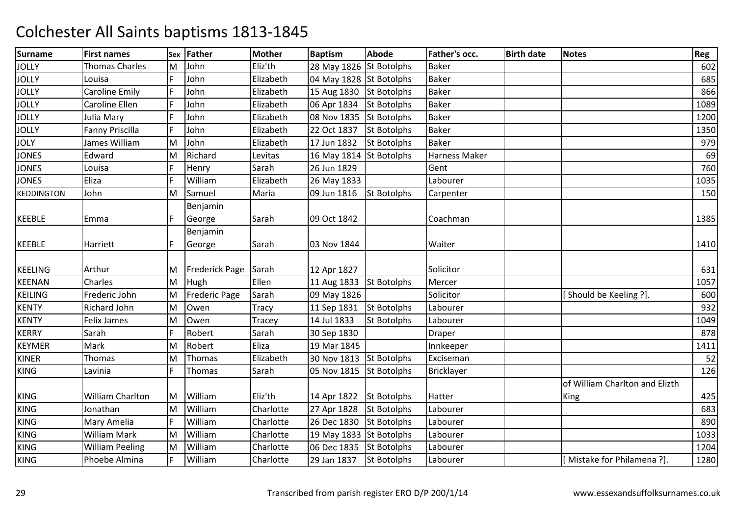| <b>Surname</b>    | <b>First names</b>     |             | Sex Father            | <b>Mother</b> | <b>Baptism</b>          | <b>Abode</b>       | Father's occ.     | <b>Birth date</b> | <b>Notes</b>                   | Reg  |
|-------------------|------------------------|-------------|-----------------------|---------------|-------------------------|--------------------|-------------------|-------------------|--------------------------------|------|
| <b>JOLLY</b>      | Thomas Charles         | M           | John                  | Eliz'th       | 28 May 1826 St Botolphs |                    | <b>Baker</b>      |                   |                                | 602  |
| <b>JOLLY</b>      | Louisa                 | F           | John                  | Elizabeth     | 04 May 1828 St Botolphs |                    | <b>Baker</b>      |                   |                                | 685  |
| <b>JOLLY</b>      | <b>Caroline Emily</b>  | F           | John                  | Elizabeth     | 15 Aug 1830 St Botolphs |                    | <b>Baker</b>      |                   |                                | 866  |
| <b>JOLLY</b>      | Caroline Ellen         | F           | John                  | Elizabeth     | 06 Apr 1834             | <b>St Botolphs</b> | <b>Baker</b>      |                   |                                | 1089 |
| <b>JOLLY</b>      | Julia Mary             | F           | John                  | Elizabeth     | 08 Nov 1835             | <b>St Botolphs</b> | <b>Baker</b>      |                   |                                | 1200 |
| <b>JOLLY</b>      | Fanny Priscilla        | IF          | John                  | Elizabeth     | 22 Oct 1837             | <b>St Botolphs</b> | <b>Baker</b>      |                   |                                | 1350 |
| <b>JOLY</b>       | James William          | M           | John                  | Elizabeth     | 17 Jun 1832             | <b>St Botolphs</b> | <b>Baker</b>      |                   |                                | 979  |
| <b>JONES</b>      | Edward                 | M           | Richard               | Levitas       | 16 May 1814 St Botolphs |                    | Harness Maker     |                   |                                | 69   |
| <b>JONES</b>      | Louisa                 | $\mathsf F$ | Henry                 | Sarah         | 26 Jun 1829             |                    | Gent              |                   |                                | 760  |
| <b>JONES</b>      | Eliza                  | F           | William               | Elizabeth     | 26 May 1833             |                    | Labourer          |                   |                                | 1035 |
| <b>KEDDINGTON</b> | John                   | M           | Samuel                | Maria         | 09 Jun 1816             | <b>St Botolphs</b> | Carpenter         |                   |                                | 150  |
|                   |                        |             | Benjamin              |               |                         |                    |                   |                   |                                |      |
| <b>KEEBLE</b>     | Emma                   | F           | George                | Sarah         | 09 Oct 1842             |                    | Coachman          |                   |                                | 1385 |
|                   |                        |             | Benjamin              |               |                         |                    |                   |                   |                                |      |
| <b>KEEBLE</b>     | Harriett               | F           | George                | Sarah         | 03 Nov 1844             |                    | Waiter            |                   |                                | 1410 |
|                   |                        |             |                       |               |                         |                    |                   |                   |                                |      |
| <b>KEELING</b>    | Arthur                 | M           | <b>Frederick Page</b> | Sarah         | 12 Apr 1827             |                    | Solicitor         |                   |                                | 631  |
| <b>KEENAN</b>     | Charles                | M           | Hugh                  | Ellen         | 11 Aug 1833 St Botolphs |                    | Mercer            |                   |                                | 1057 |
| <b>KEILING</b>    | Frederic John          | M           | <b>Frederic Page</b>  | Sarah         | 09 May 1826             |                    | Solicitor         |                   | [Should be Keeling ?].         | 600  |
| <b>KENTY</b>      | Richard John           | M           | Owen                  | <b>Tracy</b>  | 11 Sep 1831             | <b>St Botolphs</b> | Labourer          |                   |                                | 932  |
| <b>KENTY</b>      | <b>Felix James</b>     | M           | Owen                  | Tracey        | 14 Jul 1833             | <b>St Botolphs</b> | Labourer          |                   |                                | 1049 |
| <b>KERRY</b>      | Sarah                  | F           | Robert                | Sarah         | 30 Sep 1830             |                    | <b>Draper</b>     |                   |                                | 878  |
| <b>KEYMER</b>     | Mark                   | M           | Robert                | Eliza         | 19 Mar 1845             |                    | Innkeeper         |                   |                                | 1411 |
| <b>KINER</b>      | <b>Thomas</b>          | M           | Thomas                | Elizabeth     | 30 Nov 1813 St Botolphs |                    | Exciseman         |                   |                                | 52   |
| <b>KING</b>       | Lavinia                | F           | Thomas                | Sarah         | 05 Nov 1815             | <b>St Botolphs</b> | <b>Bricklayer</b> |                   |                                | 126  |
|                   |                        |             |                       |               |                         |                    |                   |                   | of William Charlton and Elizth |      |
| <b>KING</b>       | William Charlton       | ΙM          | William               | Eliz'th       | 14 Apr 1822             | <b>St Botolphs</b> | Hatter            |                   | King                           | 425  |
| <b>KING</b>       | Jonathan               | M           | William               | Charlotte     | 27 Apr 1828             | <b>St Botolphs</b> | Labourer          |                   |                                | 683  |
| <b>KING</b>       | Mary Amelia            | F           | William               | Charlotte     | 26 Dec 1830             | <b>St Botolphs</b> | Labourer          |                   |                                | 890  |
| KING              | <b>William Mark</b>    | M           | William               | Charlotte     | 19 May 1833 St Botolphs |                    | Labourer          |                   |                                | 1033 |
| <b>KING</b>       | <b>William Peeling</b> | M           | William               | Charlotte     | 06 Dec 1835             | <b>St Botolphs</b> | Labourer          |                   |                                | 1204 |
| <b>KING</b>       | Phoebe Almina          | F           | William               | Charlotte     | 29 Jan 1837             | <b>St Botolphs</b> | Labourer          |                   | [Mistake for Philamena?].      | 1280 |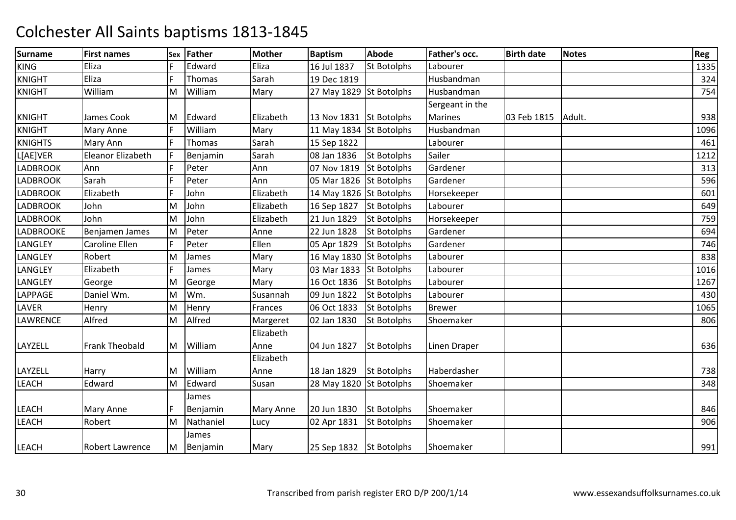| <b>Surname</b>   | <b>First names</b> | Sex | Father     | <b>Mother</b>    | <b>Baptism</b>          | <b>Abode</b>       | Father's occ.   | <b>Birth date</b> | <b>Notes</b> | Reg  |
|------------------|--------------------|-----|------------|------------------|-------------------------|--------------------|-----------------|-------------------|--------------|------|
| <b>KING</b>      | Eliza              |     | Edward     | Eliza            | 16 Jul 1837             | <b>St Botolphs</b> | Labourer        |                   |              | 1335 |
| <b>KNIGHT</b>    | Eliza              | F   | Thomas     | Sarah            | 19 Dec 1819             |                    | Husbandman      |                   |              | 324  |
| <b>KNIGHT</b>    | William            | M   | William    | Mary             | 27 May 1829 St Botolphs |                    | Husbandman      |                   |              | 754  |
|                  |                    |     |            |                  |                         |                    | Sergeant in the |                   |              |      |
| <b>KNIGHT</b>    | James Cook         | M   | Edward     | Elizabeth        | 13 Nov 1831 St Botolphs |                    | <b>Marines</b>  | 03 Feb 1815       | Adult.       | 938  |
| <b>KNIGHT</b>    | Mary Anne          |     | William    | Mary             | 11 May 1834 St Botolphs |                    | Husbandman      |                   |              | 1096 |
| <b>KNIGHTS</b>   | Mary Ann           | F   | Thomas     | Sarah            | 15 Sep 1822             |                    | Labourer        |                   |              | 461  |
| L[AE]VER         | Eleanor Elizabeth  | F   | Benjamin   | Sarah            | 08 Jan 1836             | <b>St Botolphs</b> | Sailer          |                   |              | 1212 |
| <b>LADBROOK</b>  | Ann                | F   | Peter      | Ann              | 07 Nov 1819             | <b>St Botolphs</b> | Gardener        |                   |              | 313  |
| <b>LADBROOK</b>  | Sarah              | F   | Peter      | Ann              | 05 Mar 1826             | <b>St Botolphs</b> | Gardener        |                   |              | 596  |
| <b>LADBROOK</b>  | Elizabeth          | F   | John       | Elizabeth        | 14 May 1826 St Botolphs |                    | Horsekeeper     |                   |              | 601  |
| <b>LADBROOK</b>  | John               | M   | John       | Elizabeth        | 16 Sep 1827             | St Botolphs        | Labourer        |                   |              | 649  |
| <b>LADBROOK</b>  | John               | M   | John       | Elizabeth        | 21 Jun 1829             | <b>St Botolphs</b> | Horsekeeper     |                   |              | 759  |
| <b>LADBROOKE</b> | Benjamen James     | M   | Peter      | Anne             | 22 Jun 1828             | <b>St Botolphs</b> | Gardener        |                   |              | 694  |
| LANGLEY          | Caroline Ellen     | F   | Peter      | Ellen            | 05 Apr 1829             | <b>St Botolphs</b> | Gardener        |                   |              | 746  |
| <b>LANGLEY</b>   | Robert             | M   | James      | Mary             | 16 May 1830 St Botolphs |                    | Labourer        |                   |              | 838  |
| LANGLEY          | Elizabeth          | F   | James      | Mary             | 03 Mar 1833             | <b>St Botolphs</b> | Labourer        |                   |              | 1016 |
| <b>LANGLEY</b>   | George             | M   | George     | Mary             | 16 Oct 1836             | <b>St Botolphs</b> | Labourer        |                   |              | 1267 |
| <b>LAPPAGE</b>   | Daniel Wm.         | M   | Wm.        | Susannah         | 09 Jun 1822             | <b>St Botolphs</b> | Labourer        |                   |              | 430  |
| LAVER            | Henry              | M   | Henry      | Frances          | 06 Oct 1833             | <b>St Botolphs</b> | <b>Brewer</b>   |                   |              | 1065 |
| <b>LAWRENCE</b>  | Alfred             | M   | Alfred     | Margeret         | 02 Jan 1830             | <b>St Botolphs</b> | Shoemaker       |                   |              | 806  |
|                  |                    |     |            | Elizabeth        |                         |                    |                 |                   |              |      |
| LAYZELL          | Frank Theobald     |     | M William  | Anne             | 04 Jun 1827             | <b>St Botolphs</b> | Linen Draper    |                   |              | 636  |
|                  |                    |     |            | Elizabeth        |                         |                    |                 |                   |              |      |
| LAYZELL          | Harry              | M   | William    | Anne             | 18 Jan 1829             | <b>St Botolphs</b> | Haberdasher     |                   |              | 738  |
| <b>LEACH</b>     | Edward             | M   | Edward     | Susan            | 28 May 1820 St Botolphs |                    | Shoemaker       |                   |              | 348  |
|                  |                    |     | James      |                  |                         |                    |                 |                   |              |      |
| <b>LEACH</b>     | Mary Anne          |     | Benjamin   | <b>Mary Anne</b> | 20 Jun 1830             | <b>St Botolphs</b> | Shoemaker       |                   |              | 846  |
| <b>LEACH</b>     | Robert             | M   | Nathaniel  | Lucy             | 02 Apr 1831             | <b>St Botolphs</b> | Shoemaker       |                   |              | 906  |
|                  |                    |     | James      |                  |                         |                    |                 |                   |              |      |
| <b>LEACH</b>     | Robert Lawrence    |     | M Benjamin | Mary             | 25 Sep 1832 St Botolphs |                    | Shoemaker       |                   |              | 991  |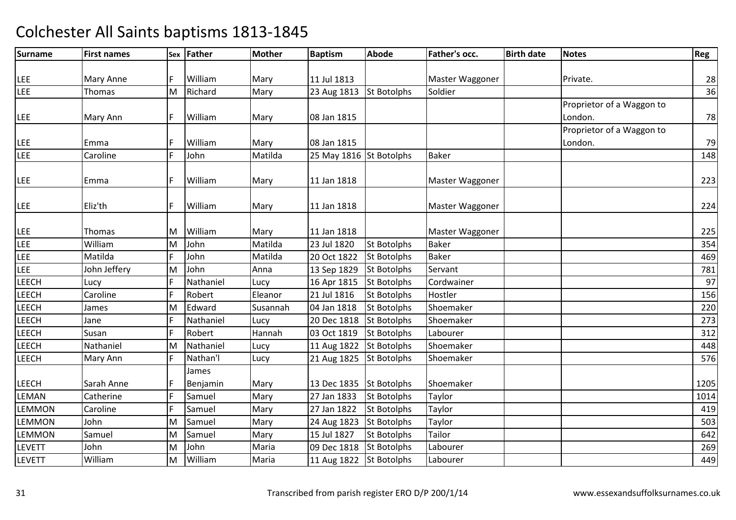| <b>Surname</b> | <b>First names</b> |    | Sex Father | <b>Mother</b> | <b>Baptism</b>          | <b>Abode</b>       | Father's occ.   | <b>Birth date</b> | <b>Notes</b>              | Reg  |
|----------------|--------------------|----|------------|---------------|-------------------------|--------------------|-----------------|-------------------|---------------------------|------|
|                |                    |    |            |               |                         |                    |                 |                   |                           |      |
| <b>LEE</b>     | Mary Anne          | F  | William    | Mary          | 11 Jul 1813             |                    | Master Waggoner |                   | Private.                  | 28   |
| LEE            | Thomas             | M  | Richard    | Mary          | 23 Aug 1813             | <b>St Botolphs</b> | Soldier         |                   |                           | 36   |
|                |                    |    |            |               |                         |                    |                 |                   | Proprietor of a Waggon to |      |
| LEE            | Mary Ann           | F  | William    | Mary          | 08 Jan 1815             |                    |                 |                   | London.                   | 78   |
|                |                    |    |            |               |                         |                    |                 |                   | Proprietor of a Waggon to |      |
| LEE            | Emma               | F  | William    | Mary          | 08 Jan 1815             |                    |                 |                   | London.                   | 79   |
| LEE            | Caroline           | F  | John       | Matilda       | 25 May 1816 St Botolphs |                    | <b>Baker</b>    |                   |                           | 148  |
| LEE            | Emma               | F  | William    | Mary          | 11 Jan 1818             |                    | Master Waggoner |                   |                           | 223  |
| <b>LEE</b>     | Eliz'th            | F. | William    | Mary          | 11 Jan 1818             |                    | Master Waggoner |                   |                           | 224  |
| LEE            | Thomas             | M  | William    | Mary          | 11 Jan 1818             |                    | Master Waggoner |                   |                           | 225  |
| LEE            | William            | M  | John       | Matilda       | 23 Jul 1820             | <b>St Botolphs</b> | <b>Baker</b>    |                   |                           | 354  |
| LEE            | Matilda            | F  | John       | Matilda       | 20 Oct 1822             | <b>St Botolphs</b> | <b>Baker</b>    |                   |                           | 469  |
| LEE            | John Jeffery       | M  | John       | Anna          | 13 Sep 1829             | <b>St Botolphs</b> | Servant         |                   |                           | 781  |
| LEECH          | Lucy               | F  | Nathaniel  | Lucy          | 16 Apr 1815             | <b>St Botolphs</b> | Cordwainer      |                   |                           | 97   |
| LEECH          | Caroline           | F  | Robert     | Eleanor       | 21 Jul 1816             | <b>St Botolphs</b> | Hostler         |                   |                           | 156  |
| LEECH          | James              | M  | Edward     | Susannah      | 04 Jan 1818             | <b>St Botolphs</b> | Shoemaker       |                   |                           | 220  |
| LEECH          | Jane               | F  | Nathaniel  | Lucy          | 20 Dec 1818             | <b>St Botolphs</b> | Shoemaker       |                   |                           | 273  |
| LEECH          | Susan              | F  | Robert     | Hannah        | 03 Oct 1819             | <b>St Botolphs</b> | Labourer        |                   |                           | 312  |
| LEECH          | Nathaniel          | M  | Nathaniel  | Lucy          | 11 Aug 1822             | <b>St Botolphs</b> | Shoemaker       |                   |                           | 448  |
| LEECH          | Mary Ann           | F  | Nathan'l   | Lucy          | 21 Aug 1825             | <b>St Botolphs</b> | Shoemaker       |                   |                           | 576  |
|                |                    |    | James      |               |                         |                    |                 |                   |                           |      |
| <b>LEECH</b>   | Sarah Anne         | F  | Benjamin   | Mary          | 13 Dec 1835             | <b>St Botolphs</b> | Shoemaker       |                   |                           | 1205 |
| LEMAN          | Catherine          | F  | Samuel     | Mary          | 27 Jan 1833             | <b>St Botolphs</b> | Taylor          |                   |                           | 1014 |
| LEMMON         | Caroline           | F  | Samuel     | Mary          | 27 Jan 1822             | <b>St Botolphs</b> | Taylor          |                   |                           | 419  |
| LEMMON         | John               | M  | Samuel     | Mary          | 24 Aug 1823             | <b>St Botolphs</b> | Taylor          |                   |                           | 503  |
| <b>LEMMON</b>  | Samuel             | M  | Samuel     | Mary          | 15 Jul 1827             | <b>St Botolphs</b> | Tailor          |                   |                           | 642  |
| <b>LEVETT</b>  | John               | M  | John       | Maria         | 09 Dec 1818             | <b>St Botolphs</b> | Labourer        |                   |                           | 269  |
| <b>LEVETT</b>  | William            | M  | William    | Maria         | 11 Aug 1822 St Botolphs |                    | Labourer        |                   |                           | 449  |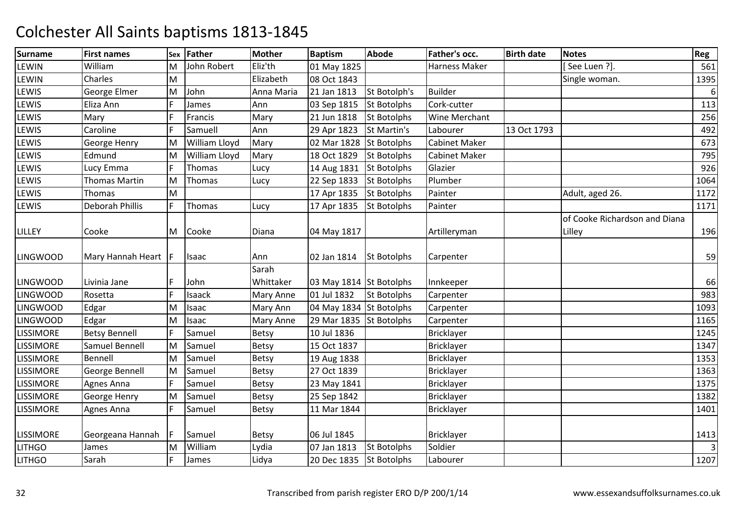| <b>Surname</b>   | <b>First names</b>   | Sex | Father        | <b>Mother</b> | <b>Baptism</b>          | <b>Abode</b>       | Father's occ.        | <b>Birth date</b> | <b>Notes</b>                  | Reg            |
|------------------|----------------------|-----|---------------|---------------|-------------------------|--------------------|----------------------|-------------------|-------------------------------|----------------|
| LEWIN            | William              | M   | John Robert   | Eliz'th       | 01 May 1825             |                    | Harness Maker        |                   | [See Luen ?].                 | 561            |
| LEWIN            | Charles              | M   |               | Elizabeth     | 08 Oct 1843             |                    |                      |                   | Single woman.                 | 1395           |
| LEWIS            | George Elmer         | M   | John          | Anna Maria    | 21 Jan 1813             | St Botolph's       | <b>Builder</b>       |                   |                               | $6\,$          |
| LEWIS            | Eliza Ann            |     | James         | Ann           | 03 Sep 1815             | <b>St Botolphs</b> | Cork-cutter          |                   |                               | 113            |
| LEWIS            | Mary                 | F   | Francis       | Mary          | 21 Jun 1818             | <b>St Botolphs</b> | Wine Merchant        |                   |                               | 256            |
| LEWIS            | Caroline             | F   | Samuell       | Ann           | 29 Apr 1823             | St Martin's        | Labourer             | 13 Oct 1793       |                               | 492            |
| LEWIS            | George Henry         | M   | William Lloyd | Mary          | 02 Mar 1828             | <b>St Botolphs</b> | <b>Cabinet Maker</b> |                   |                               | 673            |
| LEWIS            | Edmund               | M   | William Lloyd | Mary          | 18 Oct 1829             | <b>St Botolphs</b> | <b>Cabinet Maker</b> |                   |                               | 795            |
| LEWIS            | Lucy Emma            | F   | Thomas        | Lucy          | 14 Aug 1831             | <b>St Botolphs</b> | Glazier              |                   |                               | 926            |
| LEWIS            | <b>Thomas Martin</b> | M   | Thomas        | Lucy          | 22 Sep 1833             | <b>St Botolphs</b> | Plumber              |                   |                               | 1064           |
| LEWIS            | Thomas               | M   |               |               | 17 Apr 1835             | <b>St Botolphs</b> | Painter              |                   | Adult, aged 26.               | 1172           |
| LEWIS            | Deborah Phillis      | F   | Thomas        | Lucy          | 17 Apr 1835             | <b>St Botolphs</b> | Painter              |                   |                               | 1171           |
|                  |                      |     |               |               |                         |                    |                      |                   | of Cooke Richardson and Diana |                |
| LILLEY           | Cooke                | M   | Cooke         | Diana         | 04 May 1817             |                    | Artilleryman         |                   | Lilley                        | 196            |
| <b>LINGWOOD</b>  | Mary Hannah Heart  F |     | Isaac         | Ann           | 02 Jan 1814             | <b>St Botolphs</b> | Carpenter            |                   |                               | 59             |
|                  |                      |     |               | Sarah         |                         |                    |                      |                   |                               |                |
| <b>LINGWOOD</b>  | Livinia Jane         |     | John          | Whittaker     | 03 May 1814 St Botolphs |                    | Innkeeper            |                   |                               | 66             |
| <b>LINGWOOD</b>  | Rosetta              | F   | Isaack        | Mary Anne     | 01 Jul 1832             | <b>St Botolphs</b> | Carpenter            |                   |                               | 983            |
| <b>LINGWOOD</b>  | Edgar                | M   | Isaac         | Mary Ann      | 04 May 1834 St Botolphs |                    | Carpenter            |                   |                               | 1093           |
| <b>LINGWOOD</b>  | Edgar                | M   | Isaac         | Mary Anne     | 29 Mar 1835 St Botolphs |                    | Carpenter            |                   |                               | 1165           |
| <b>LISSIMORE</b> | <b>Betsy Bennell</b> | F   | Samuel        | <b>Betsy</b>  | 10 Jul 1836             |                    | <b>Bricklayer</b>    |                   |                               | 1245           |
| <b>LISSIMORE</b> | Samuel Bennell       | M   | Samuel        | Betsy         | 15 Oct 1837             |                    | <b>Bricklayer</b>    |                   |                               | 1347           |
| <b>LISSIMORE</b> | Bennell              | M   | Samuel        | <b>Betsy</b>  | 19 Aug 1838             |                    | Bricklayer           |                   |                               | 1353           |
| <b>LISSIMORE</b> | George Bennell       | M   | Samuel        | Betsy         | 27 Oct 1839             |                    | <b>Bricklayer</b>    |                   |                               | 1363           |
| <b>LISSIMORE</b> | Agnes Anna           | F   | Samuel        | Betsy         | 23 May 1841             |                    | Bricklayer           |                   |                               | 1375           |
| <b>LISSIMORE</b> | George Henry         | M   | Samuel        | <b>Betsy</b>  | 25 Sep 1842             |                    | Bricklayer           |                   |                               | 1382           |
| <b>LISSIMORE</b> | Agnes Anna           | F   | Samuel        | <b>Betsy</b>  | 11 Mar 1844             |                    | Bricklayer           |                   |                               | 1401           |
| <b>LISSIMORE</b> | Georgeana Hannah     | IF  | Samuel        | Betsy         | 06 Jul 1845             |                    | <b>Bricklayer</b>    |                   |                               | 1413           |
| <b>LITHGO</b>    | James                | M   | William       | Lydia         | 07 Jan 1813             | <b>St Botolphs</b> | Soldier              |                   |                               | $\overline{3}$ |
| <b>LITHGO</b>    | Sarah                |     | James         | Lidya         | 20 Dec 1835 St Botolphs |                    | Labourer             |                   |                               | 1207           |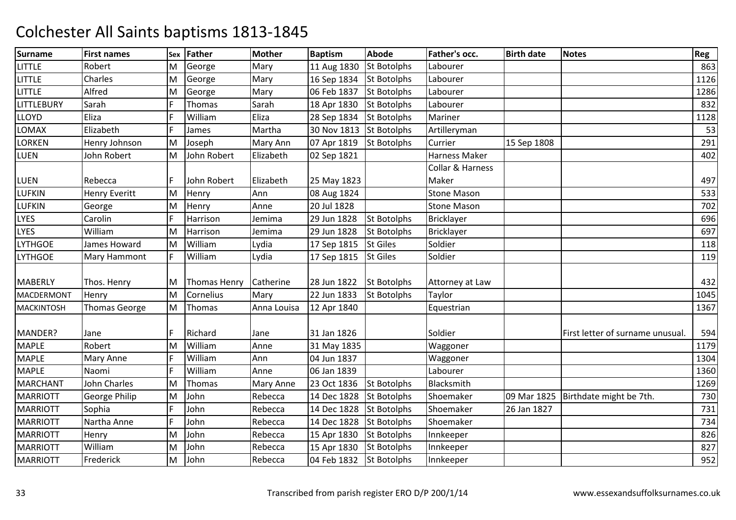| <b>Surname</b>    | <b>First names</b>   | Sex | <b>Father</b> | <b>Mother</b> | <b>Baptism</b>          | <b>Abode</b>       | Father's occ.      | <b>Birth date</b> | <b>Notes</b>                          | Reg  |
|-------------------|----------------------|-----|---------------|---------------|-------------------------|--------------------|--------------------|-------------------|---------------------------------------|------|
| <b>LITTLE</b>     | Robert               | M   | George        | Mary          | 11 Aug 1830             | <b>St Botolphs</b> | Labourer           |                   |                                       | 863  |
| <b>LITTLE</b>     | Charles              | M   | George        | Mary          | 16 Sep 1834             | <b>St Botolphs</b> | Labourer           |                   |                                       | 1126 |
| <b>LITTLE</b>     | Alfred               | M   | George        | Mary          | 06 Feb 1837             | <b>St Botolphs</b> | Labourer           |                   |                                       | 1286 |
| LITTLEBURY        | Sarah                | F   | Thomas        | Sarah         | 18 Apr 1830             | <b>St Botolphs</b> | Labourer           |                   |                                       | 832  |
| LLOYD             | Eliza                | F   | William       | Eliza         | 28 Sep 1834             | <b>St Botolphs</b> | Mariner            |                   |                                       | 1128 |
| LOMAX             | Elizabeth            | F   | James         | Martha        | 30 Nov 1813 St Botolphs |                    | Artilleryman       |                   |                                       | 53   |
| LORKEN            | Henry Johnson        | M   | Joseph        | Mary Ann      | 07 Apr 1819             | <b>St Botolphs</b> | Currier            | 15 Sep 1808       |                                       | 291  |
| LUEN              | John Robert          | M   | John Robert   | Elizabeth     | 02 Sep 1821             |                    | Harness Maker      |                   |                                       | 402  |
|                   |                      |     |               |               |                         |                    | Collar & Harness   |                   |                                       |      |
| LUEN              | Rebecca              | F   | John Robert   | Elizabeth     | 25 May 1823             |                    | Maker              |                   |                                       | 497  |
| LUFKIN            | <b>Henry Everitt</b> | M   | Henry         | Ann           | 08 Aug 1824             |                    | <b>Stone Mason</b> |                   |                                       | 533  |
| LUFKIN            | George               | M   | Henry         | Anne          | 20 Jul 1828             |                    | <b>Stone Mason</b> |                   |                                       | 702  |
| LYES              | Carolin              | F   | Harrison      | Jemima        | 29 Jun 1828             | <b>St Botolphs</b> | <b>Bricklayer</b>  |                   |                                       | 696  |
| LYES              | William              | M   | Harrison      | Jemima        | 29 Jun 1828             | <b>St Botolphs</b> | <b>Bricklayer</b>  |                   |                                       | 697  |
| <b>LYTHGOE</b>    | James Howard         | M   | William       | Lydia         | 17 Sep 1815             | <b>St Giles</b>    | Soldier            |                   |                                       | 118  |
| <b>LYTHGOE</b>    | Mary Hammont         | F   | William       | Lydia         | 17 Sep 1815             | <b>St Giles</b>    | Soldier            |                   |                                       | 119  |
|                   |                      |     |               |               |                         |                    |                    |                   |                                       |      |
| <b>MABERLY</b>    | Thos. Henry          | М   | Thomas Henry  | Catherine     | 28 Jun 1822             | <b>St Botolphs</b> | Attorney at Law    |                   |                                       | 432  |
| MACDERMONT        | Henry                | M   | Cornelius     | Mary          | 22 Jun 1833             | <b>St Botolphs</b> | Taylor             |                   |                                       | 1045 |
| <b>MACKINTOSH</b> | <b>Thomas George</b> | M   | Thomas        | Anna Louisa   | 12 Apr 1840             |                    | Equestrian         |                   |                                       | 1367 |
|                   |                      |     |               |               |                         |                    |                    |                   |                                       |      |
| MANDER?           | Jane                 | F   | Richard       | Jane          | 31 Jan 1826             |                    | Soldier            |                   | First letter of surname unusual.      | 594  |
| <b>MAPLE</b>      | Robert               | M   | William       | Anne          | 31 May 1835             |                    | Waggoner           |                   |                                       | 1179 |
| <b>MAPLE</b>      | <b>Mary Anne</b>     | F   | William       | Ann           | 04 Jun 1837             |                    | Waggoner           |                   |                                       | 1304 |
| <b>MAPLE</b>      | Naomi                | F   | William       | Anne          | 06 Jan 1839             |                    | Labourer           |                   |                                       | 1360 |
| <b>MARCHANT</b>   | John Charles         | M   | Thomas        | Mary Anne     | 23 Oct 1836             | <b>St Botolphs</b> | Blacksmith         |                   |                                       | 1269 |
| <b>MARRIOTT</b>   | <b>George Philip</b> | M   | John          | Rebecca       | 14 Dec 1828             | <b>St Botolphs</b> | Shoemaker          |                   | 09 Mar 1825   Birthdate might be 7th. | 730  |
| <b>MARRIOTT</b>   | Sophia               | F   | John          | Rebecca       | 14 Dec 1828             | <b>St Botolphs</b> | Shoemaker          | 26 Jan 1827       |                                       | 731  |
| <b>MARRIOTT</b>   | Nartha Anne          |     | John          | Rebecca       | 14 Dec 1828             | <b>St Botolphs</b> | Shoemaker          |                   |                                       | 734  |
| <b>MARRIOTT</b>   | Henry                | M   | John          | Rebecca       | 15 Apr 1830             | <b>St Botolphs</b> | Innkeeper          |                   |                                       | 826  |
| <b>MARRIOTT</b>   | William              | M   | John          | Rebecca       | 15 Apr 1830             | <b>St Botolphs</b> | Innkeeper          |                   |                                       | 827  |
| <b>MARRIOTT</b>   | Frederick            | M   | John          | Rebecca       | 04 Feb 1832             | <b>St Botolphs</b> | Innkeeper          |                   |                                       | 952  |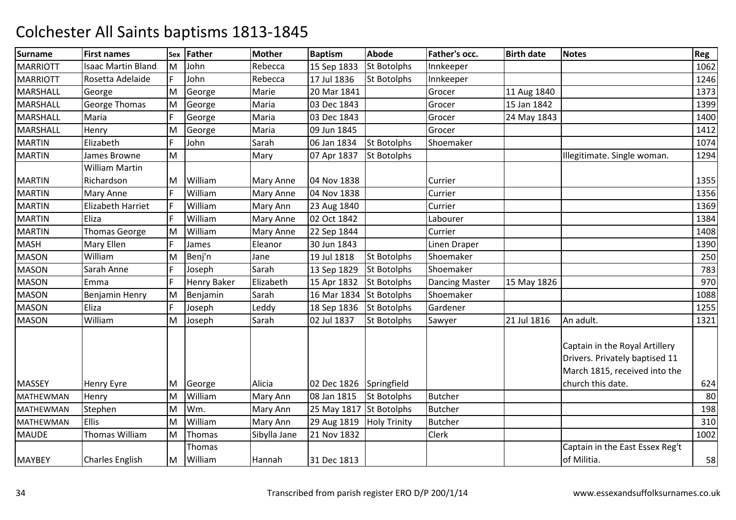| <b>Surname</b>   | <b>First names</b>        |    | Sex Father          | <b>Mother</b>    | <b>Baptism</b>          | <b>Abode</b>        | Father's occ.         | <b>Birth date</b> | <b>Notes</b>                                                                                      | Reg  |
|------------------|---------------------------|----|---------------------|------------------|-------------------------|---------------------|-----------------------|-------------------|---------------------------------------------------------------------------------------------------|------|
| <b>MARRIOTT</b>  | <b>Isaac Martin Bland</b> | ΙM | John                | Rebecca          | 15 Sep 1833             | <b>St Botolphs</b>  | Innkeeper             |                   |                                                                                                   | 1062 |
| <b>MARRIOTT</b>  | Rosetta Adelaide          | F  | John                | Rebecca          | 17 Jul 1836             | <b>St Botolphs</b>  | Innkeeper             |                   |                                                                                                   | 1246 |
| MARSHALL         | George                    | M  | George              | Marie            | 20 Mar 1841             |                     | Grocer                | 11 Aug 1840       |                                                                                                   | 1373 |
| MARSHALL         | <b>George Thomas</b>      | M  | George              | Maria            | 03 Dec 1843             |                     | Grocer                | 15 Jan 1842       |                                                                                                   | 1399 |
| MARSHALL         | Maria                     | F  | George              | Maria            | 03 Dec 1843             |                     | Grocer                | 24 May 1843       |                                                                                                   | 1400 |
| <b>MARSHALL</b>  | Henry                     | M  | George              | Maria            | 09 Jun 1845             |                     | Grocer                |                   |                                                                                                   | 1412 |
| <b>MARTIN</b>    | Elizabeth                 | F  | John                | Sarah            | 06 Jan 1834             | <b>St Botolphs</b>  | Shoemaker             |                   |                                                                                                   | 1074 |
| <b>MARTIN</b>    | James Browne              | M  |                     | Mary             | 07 Apr 1837             | <b>St Botolphs</b>  |                       |                   | Illegitimate. Single woman.                                                                       | 1294 |
|                  | <b>William Martin</b>     |    |                     |                  |                         |                     |                       |                   |                                                                                                   |      |
| <b>MARTIN</b>    | Richardson                | ΙM | William             | <b>Mary Anne</b> | 04 Nov 1838             |                     | Currier               |                   |                                                                                                   | 1355 |
| <b>MARTIN</b>    | <b>Mary Anne</b>          | F  | William             | Mary Anne        | 04 Nov 1838             |                     | Currier               |                   |                                                                                                   | 1356 |
| <b>MARTIN</b>    | <b>Elizabeth Harriet</b>  | F  | William             | Mary Ann         | 23 Aug 1840             |                     | Currier               |                   |                                                                                                   | 1369 |
| <b>MARTIN</b>    | Eliza                     | F  | William             | Mary Anne        | 02 Oct 1842             |                     | Labourer              |                   |                                                                                                   | 1384 |
| <b>MARTIN</b>    | <b>Thomas George</b>      | M  | William             | <b>Mary Anne</b> | 22 Sep 1844             |                     | Currier               |                   |                                                                                                   | 1408 |
| <b>MASH</b>      | <b>Mary Ellen</b>         | F  | James               | Eleanor          | 30 Jun 1843             |                     | Linen Draper          |                   |                                                                                                   | 1390 |
| <b>MASON</b>     | William                   | M  | Benj'n              | Jane             | 19 Jul 1818             | <b>St Botolphs</b>  | Shoemaker             |                   |                                                                                                   | 250  |
| <b>MASON</b>     | Sarah Anne                | F  | Joseph              | Sarah            | 13 Sep 1829             | <b>St Botolphs</b>  | Shoemaker             |                   |                                                                                                   | 783  |
| <b>MASON</b>     | Emma                      | F  | <b>Henry Baker</b>  | Elizabeth        | 15 Apr 1832             | <b>St Botolphs</b>  | <b>Dancing Master</b> | 15 May 1826       |                                                                                                   | 970  |
| <b>MASON</b>     | Benjamin Henry            | M  | Benjamin            | Sarah            | 16 Mar 1834             | <b>St Botolphs</b>  | Shoemaker             |                   |                                                                                                   | 1088 |
| <b>MASON</b>     | Eliza                     | F  | Joseph              | Leddy            | 18 Sep 1836             | <b>St Botolphs</b>  | Gardener              |                   |                                                                                                   | 1255 |
| <b>MASON</b>     | William                   | M  | Joseph              | Sarah            | 02 Jul 1837             | <b>St Botolphs</b>  | Sawyer                | 21 Jul 1816       | An adult.                                                                                         | 1321 |
|                  |                           |    |                     |                  |                         |                     |                       |                   | Captain in the Royal Artillery<br>Drivers. Privately baptised 11<br>March 1815, received into the |      |
| MASSEY           | <b>Henry Eyre</b>         | M  | George              | Alicia           | 02 Dec 1826             | Springfield         |                       |                   | church this date.                                                                                 | 624  |
| MATHEWMAN        | Henry                     | M  | William             | Mary Ann         | 08 Jan 1815             | <b>St Botolphs</b>  | <b>Butcher</b>        |                   |                                                                                                   | 80   |
| MATHEWMAN        | Stephen                   | M  | Wm.                 | Mary Ann         | 25 May 1817 St Botolphs |                     | <b>Butcher</b>        |                   |                                                                                                   | 198  |
| <b>MATHEWMAN</b> | <b>Ellis</b>              | M  | William             | Mary Ann         | 29 Aug 1819             | <b>Holy Trinity</b> | <b>Butcher</b>        |                   |                                                                                                   | 310  |
| <b>MAUDE</b>     | Thomas William            | M  | Thomas              | Sibylla Jane     | 21 Nov 1832             |                     | Clerk                 |                   |                                                                                                   | 1002 |
| <b>MAYBEY</b>    | <b>Charles English</b>    |    | Thomas<br>M William | Hannah           | 31 Dec 1813             |                     |                       |                   | Captain in the East Essex Reg't<br>of Militia.                                                    | 58   |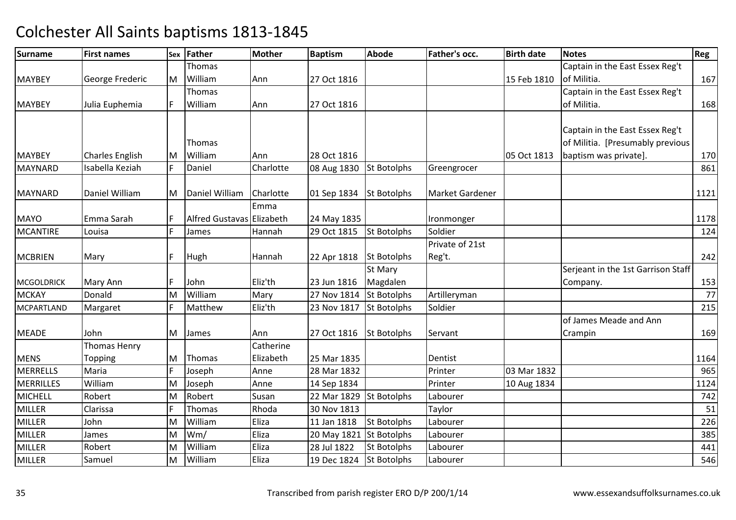| <b>Surname</b>    | <b>First names</b>     |    | Sex Father                | <b>Mother</b> | <b>Baptism</b>          | <b>Abode</b>       | Father's occ.         | <b>Birth date</b> | <b>Notes</b>                       | Reg  |
|-------------------|------------------------|----|---------------------------|---------------|-------------------------|--------------------|-----------------------|-------------------|------------------------------------|------|
|                   |                        |    | <b>Thomas</b>             |               |                         |                    |                       |                   | Captain in the East Essex Reg't    |      |
| <b>MAYBEY</b>     | George Frederic        | M  | William                   | Ann           | 27 Oct 1816             |                    |                       | 15 Feb 1810       | of Militia.                        | 167  |
|                   |                        |    | Thomas                    |               |                         |                    |                       |                   | Captain in the East Essex Reg't    |      |
| <b>MAYBEY</b>     | Julia Euphemia         |    | William                   | Ann           | 27 Oct 1816             |                    |                       |                   | of Militia.                        | 168  |
|                   |                        |    |                           |               |                         |                    |                       |                   |                                    |      |
|                   |                        |    |                           |               |                         |                    |                       |                   | Captain in the East Essex Reg't    |      |
|                   |                        |    | Thomas                    |               |                         |                    |                       |                   | of Militia. [Presumably previous   |      |
| <b>MAYBEY</b>     | <b>Charles English</b> | ΙM | William                   | Ann           | 28 Oct 1816             |                    |                       | 05 Oct 1813       | baptism was private].              | 170  |
| <b>MAYNARD</b>    | Isabella Keziah        | F  | Daniel                    | Charlotte     | 08 Aug 1830             | <b>St Botolphs</b> | Greengrocer           |                   |                                    | 861  |
| <b>MAYNARD</b>    | Daniel William         |    | Daniel William            | Charlotte     |                         | <b>St Botolphs</b> | Market Gardener       |                   |                                    | 1121 |
|                   |                        | M  |                           | Emma          | 01 Sep 1834             |                    |                       |                   |                                    |      |
|                   |                        |    |                           |               |                         |                    |                       |                   |                                    |      |
| <b>MAYO</b>       | Emma Sarah             | F  | Alfred Gustavas Elizabeth |               | 24 May 1835             |                    | Ironmonger<br>Soldier |                   |                                    | 1178 |
| <b>MCANTIRE</b>   | Louisa                 |    | James                     | Hannah        | 29 Oct 1815             | <b>St Botolphs</b> |                       |                   |                                    | 124  |
|                   |                        | F  |                           |               |                         |                    | Private of 21st       |                   |                                    |      |
| <b>MCBRIEN</b>    | Mary                   |    | Hugh                      | Hannah        | 22 Apr 1818             | <b>St Botolphs</b> | Reg't.                |                   |                                    | 242  |
|                   |                        | F  |                           |               |                         | St Mary            |                       |                   | Serjeant in the 1st Garrison Staff |      |
| <b>MCGOLDRICK</b> | Mary Ann               |    | John                      | Eliz'th       | 23 Jun 1816             | Magdalen           |                       |                   | Company.                           | 153  |
| <b>MCKAY</b>      | Donald                 | M  | William                   | Mary          | 27 Nov 1814             | <b>St Botolphs</b> | Artilleryman          |                   |                                    | 77   |
| <b>MCPARTLAND</b> | Margaret               | E  | Matthew                   | Eliz'th       | 23 Nov 1817             | <b>St Botolphs</b> | Soldier               |                   |                                    | 215  |
|                   |                        |    |                           |               |                         |                    |                       |                   | of James Meade and Ann             |      |
| <b>MEADE</b>      | John                   | M  | James                     | Ann           | 27 Oct 1816             | <b>St Botolphs</b> | Servant               |                   | Crampin                            | 169  |
|                   | <b>Thomas Henry</b>    |    |                           | Catherine     |                         |                    |                       |                   |                                    |      |
| <b>MENS</b>       | Topping                | M  | Thomas                    | Elizabeth     | 25 Mar 1835             |                    | Dentist               |                   |                                    | 1164 |
| <b>MERRELLS</b>   | Maria                  | E  | Joseph                    | Anne          | 28 Mar 1832             |                    | Printer               | 03 Mar 1832       |                                    | 965  |
| <b>MERRILLES</b>  | William                | M  | Joseph                    | Anne          | 14 Sep 1834             |                    | Printer               | 10 Aug 1834       |                                    | 1124 |
| <b>MICHELL</b>    | Robert                 | M  | Robert                    | Susan         | 22 Mar 1829             | <b>St Botolphs</b> | Labourer              |                   |                                    | 742  |
| <b>MILLER</b>     | Clarissa               | F  | Thomas                    | Rhoda         | 30 Nov 1813             |                    | Taylor                |                   |                                    | 51   |
| <b>MILLER</b>     | John                   | M  | William                   | Eliza         | 11 Jan 1818             | <b>St Botolphs</b> | Labourer              |                   |                                    | 226  |
| <b>MILLER</b>     | James                  | M  | Wm/                       | Eliza         | 20 May 1821 St Botolphs |                    | Labourer              |                   |                                    | 385  |
| MILLER            | Robert                 | M  | William                   | Eliza         | 28 Jul 1822             | <b>St Botolphs</b> | Labourer              |                   |                                    | 441  |
| <b>MILLER</b>     | Samuel                 | M  | William                   | Eliza         | 19 Dec 1824             | <b>St Botolphs</b> | Labourer              |                   |                                    | 546  |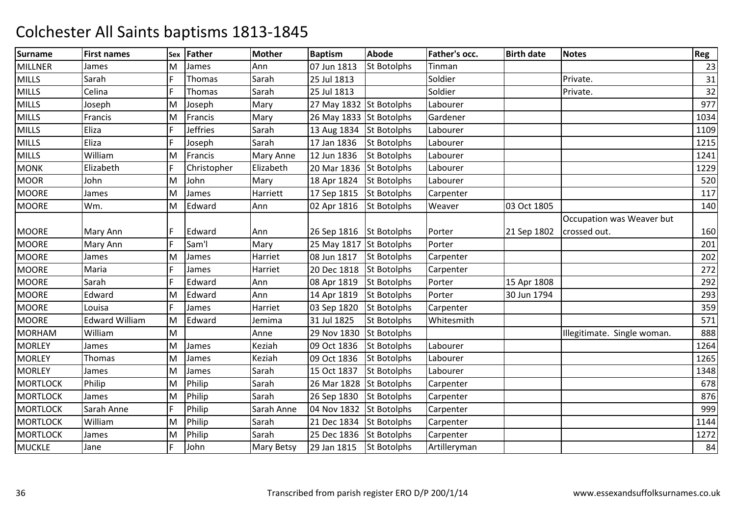| <b>Surname</b>  | <b>First names</b>    | Sex | <b>Father</b> | <b>Mother</b>     | <b>Baptism</b>          | <b>Abode</b>       | Father's occ. | <b>Birth date</b> | <b>Notes</b>                | Reg  |
|-----------------|-----------------------|-----|---------------|-------------------|-------------------------|--------------------|---------------|-------------------|-----------------------------|------|
| <b>MILLNER</b>  | James                 | M   | James         | Ann               | 07 Jun 1813             | <b>St Botolphs</b> | <b>Tinman</b> |                   |                             | 23   |
| <b>MILLS</b>    | Sarah                 | F   | Thomas        | Sarah             | 25 Jul 1813             |                    | Soldier       |                   | Private.                    | 31   |
| <b>MILLS</b>    | Celina                | F   | Thomas        | Sarah             | 25 Jul 1813             |                    | Soldier       |                   | Private.                    | 32   |
| <b>MILLS</b>    | Joseph                | M   | Joseph        | Mary              | 27 May 1832 St Botolphs |                    | Labourer      |                   |                             | 977  |
| <b>MILLS</b>    | Francis               | M   | Francis       | Mary              | 26 May 1833 St Botolphs |                    | Gardener      |                   |                             | 1034 |
| <b>MILLS</b>    | Eliza                 | F   | Jeffries      | Sarah             | 13 Aug 1834 St Botolphs |                    | Labourer      |                   |                             | 1109 |
| <b>MILLS</b>    | Eliza                 | F   | Joseph        | Sarah             | 17 Jan 1836             | <b>St Botolphs</b> | Labourer      |                   |                             | 1215 |
| <b>MILLS</b>    | William               | M   | Francis       | Mary Anne         | 12 Jun 1836             | <b>St Botolphs</b> | Labourer      |                   |                             | 1241 |
| <b>MONK</b>     | Elizabeth             | F   | Christopher   | Elizabeth         | 20 Mar 1836 St Botolphs |                    | Labourer      |                   |                             | 1229 |
| <b>MOOR</b>     | John                  | M   | John          | Mary              | 18 Apr 1824             | <b>St Botolphs</b> | Labourer      |                   |                             | 520  |
| <b>MOORE</b>    | James                 | M   | James         | Harriett          | 17 Sep 1815             | <b>St Botolphs</b> | Carpenter     |                   |                             | 117  |
| <b>MOORE</b>    | Wm.                   | M   | Edward        | Ann               | 02 Apr 1816             | <b>St Botolphs</b> | Weaver        | 03 Oct 1805       |                             | 140  |
|                 |                       |     |               |                   |                         |                    |               |                   | Occupation was Weaver but   |      |
| <b>MOORE</b>    | Mary Ann              | F   | Edward        | Ann               | 26 Sep 1816 St Botolphs |                    | Porter        | 21 Sep 1802       | crossed out.                | 160  |
| <b>MOORE</b>    | Mary Ann              | F   | Sam'l         | Mary              | 25 May 1817 St Botolphs |                    | Porter        |                   |                             | 201  |
| <b>MOORE</b>    | James                 | M   | James         | Harriet           | 08 Jun 1817             | <b>St Botolphs</b> | Carpenter     |                   |                             | 202  |
| <b>MOORE</b>    | Maria                 | F   | James         | Harriet           | 20 Dec 1818             | <b>St Botolphs</b> | Carpenter     |                   |                             | 272  |
| <b>MOORE</b>    | Sarah                 | F   | Edward        | Ann               | 08 Apr 1819             | <b>St Botolphs</b> | Porter        | 15 Apr 1808       |                             | 292  |
| <b>MOORE</b>    | Edward                | M   | Edward        | Ann               | 14 Apr 1819             | <b>St Botolphs</b> | Porter        | 30 Jun 1794       |                             | 293  |
| <b>MOORE</b>    | Louisa                | F   | James         | Harriet           | 03 Sep 1820             | <b>St Botolphs</b> | Carpenter     |                   |                             | 359  |
| <b>MOORE</b>    | <b>Edward William</b> | M   | Edward        | Jemima            | 31 Jul 1825             | St Botolphs        | Whitesmith    |                   |                             | 571  |
| <b>MORHAM</b>   | William               | M   |               | Anne              | 29 Nov 1830             | <b>St Botolphs</b> |               |                   | Illegitimate. Single woman. | 888  |
| <b>MORLEY</b>   | James                 | M   | James         | Keziah            | 09 Oct 1836             | <b>St Botolphs</b> | Labourer      |                   |                             | 1264 |
| <b>MORLEY</b>   | <b>Thomas</b>         | M   | James         | Keziah            | 09 Oct 1836             | St Botolphs        | Labourer      |                   |                             | 1265 |
| <b>MORLEY</b>   | James                 | M   | James         | Sarah             | 15 Oct 1837             | <b>St Botolphs</b> | Labourer      |                   |                             | 1348 |
| <b>MORTLOCK</b> | Philip                | M   | Philip        | Sarah             | 26 Mar 1828             | <b>St Botolphs</b> | Carpenter     |                   |                             | 678  |
| <b>MORTLOCK</b> | James                 | M   | Philip        | Sarah             | 26 Sep 1830             | <b>St Botolphs</b> | Carpenter     |                   |                             | 876  |
| <b>MORTLOCK</b> | Sarah Anne            | F   | Philip        | Sarah Anne        | 04 Nov 1832 St Botolphs |                    | Carpenter     |                   |                             | 999  |
| <b>MORTLOCK</b> | William               | M   | Philip        | Sarah             | 21 Dec 1834             | <b>St Botolphs</b> | Carpenter     |                   |                             | 1144 |
| <b>MORTLOCK</b> | James                 | M   | Philip        | Sarah             | 25 Dec 1836             | <b>St Botolphs</b> | Carpenter     |                   |                             | 1272 |
| <b>MUCKLE</b>   | Jane                  | F   | John          | <b>Mary Betsy</b> | 29 Jan 1815             | <b>St Botolphs</b> | Artilleryman  |                   |                             | 84   |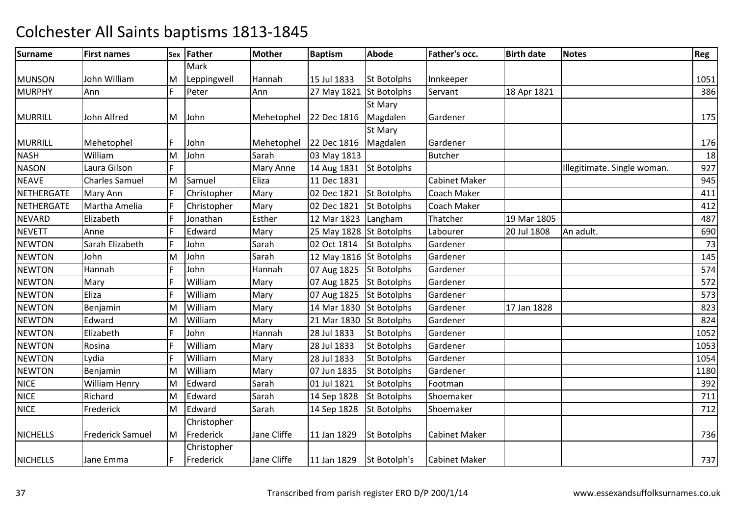| Surname           | <b>First names</b>      | Sex | Father      | <b>Mother</b> | <b>Baptism</b>           | <b>Abode</b>       | Father's occ.        | <b>Birth date</b> | <b>Notes</b>                | Reg  |
|-------------------|-------------------------|-----|-------------|---------------|--------------------------|--------------------|----------------------|-------------------|-----------------------------|------|
|                   |                         |     | Mark        |               |                          |                    |                      |                   |                             |      |
| <b>MUNSON</b>     | John William            | M   | Leppingwell | Hannah        | 15 Jul 1833              | <b>St Botolphs</b> | Innkeeper            |                   |                             | 1051 |
| <b>MURPHY</b>     | Ann                     | F   | Peter       | Ann           | 27 May 1821 St Botolphs  |                    | Servant              | 18 Apr 1821       |                             | 386  |
|                   |                         |     |             |               |                          | St Mary            |                      |                   |                             |      |
| <b>MURRILL</b>    | John Alfred             | M   | John        | Mehetophel    | 22 Dec 1816              | Magdalen           | Gardener             |                   |                             | 175  |
|                   |                         |     |             |               |                          | St Mary            |                      |                   |                             |      |
| <b>MURRILL</b>    | Mehetophel              |     | John        | Mehetophel    | 22 Dec 1816              | Magdalen           | Gardener             |                   |                             | 176  |
| <b>NASH</b>       | William                 | M   | John        | Sarah         | 03 May 1813              |                    | <b>Butcher</b>       |                   |                             | 18   |
| <b>NASON</b>      | Laura Gilson            | E   |             | Mary Anne     | 14 Aug 1831 St Botolphs  |                    |                      |                   | Illegitimate. Single woman. | 927  |
| <b>NEAVE</b>      | <b>Charles Samuel</b>   | M   | Samuel      | Eliza         | 11 Dec 1831              |                    | <b>Cabinet Maker</b> |                   |                             | 945  |
| <b>NETHERGATE</b> | Mary Ann                | E   | Christopher | Mary          | 02 Dec 1821              | St Botolphs        | Coach Maker          |                   |                             | 411  |
| NETHERGATE        | Martha Amelia           | E   | Christopher | Mary          | 02 Dec 1821              | <b>St Botolphs</b> | Coach Maker          |                   |                             | 412  |
| <b>NEVARD</b>     | Elizabeth               | F   | Jonathan    | Esther        | 12 Mar 1823 Langham      |                    | Thatcher             | 19 Mar 1805       |                             | 487  |
| <b>NEVETT</b>     | Anne                    | E   | Edward      | Mary          | 25 May 1828 St Botolphs  |                    | Labourer             | 20 Jul 1808       | An adult.                   | 690  |
| <b>NEWTON</b>     | Sarah Elizabeth         | F   | John        | Sarah         | 02 Oct 1814 St Botolphs  |                    | Gardener             |                   |                             | 73   |
| <b>NEWTON</b>     | John                    | M   | John        | Sarah         | 12 May 1816 St Botolphs  |                    | Gardener             |                   |                             | 145  |
| <b>NEWTON</b>     | Hannah                  | E   | John        | Hannah        | 07 Aug 1825 St Botolphs  |                    | Gardener             |                   |                             | 574  |
| <b>NEWTON</b>     | Mary                    |     | William     | Mary          | 07 Aug 1825              | <b>St Botolphs</b> | Gardener             |                   |                             | 572  |
| <b>NEWTON</b>     | Eliza                   | E   | William     | Mary          | 07 Aug 1825              | <b>St Botolphs</b> | Gardener             |                   |                             | 573  |
| <b>NEWTON</b>     | Benjamin                | ΙM  | William     | Mary          | 14 Mar 1830 St Botolphs  |                    | Gardener             | 17 Jan 1828       |                             | 823  |
| <b>NEWTON</b>     | Edward                  | M   | William     | Mary          | 21 Mar 1830 St Botolphs  |                    | Gardener             |                   |                             | 824  |
| <b>NEWTON</b>     | Elizabeth               | F   | John        | Hannah        | 28 Jul 1833              | <b>St Botolphs</b> | Gardener             |                   |                             | 1052 |
| <b>NEWTON</b>     | Rosina                  |     | William     | Mary          | 28 Jul 1833              | <b>St Botolphs</b> | Gardener             |                   |                             | 1053 |
| <b>NEWTON</b>     | Lydia                   | F   | William     | Mary          | 28 Jul 1833              | <b>St Botolphs</b> | Gardener             |                   |                             | 1054 |
| <b>NEWTON</b>     | Benjamin                | M   | William     | Mary          | 07 Jun 1835              | <b>St Botolphs</b> | Gardener             |                   |                             | 1180 |
| <b>NICE</b>       | William Henry           | M   | Edward      | Sarah         | 01 Jul 1821              | <b>St Botolphs</b> | Footman              |                   |                             | 392  |
| <b>NICE</b>       | Richard                 | M   | Edward      | Sarah         | 14 Sep 1828              | <b>St Botolphs</b> | Shoemaker            |                   |                             | 711  |
| <b>NICE</b>       | Frederick               | M   | Edward      | Sarah         | 14 Sep 1828              | <b>St Botolphs</b> | Shoemaker            |                   |                             | 712  |
|                   |                         |     | Christopher |               |                          |                    |                      |                   |                             |      |
| <b>NICHELLS</b>   | <b>Frederick Samuel</b> | M   | Frederick   | Jane Cliffe   | 11 Jan 1829              | <b>St Botolphs</b> | <b>Cabinet Maker</b> |                   |                             | 736  |
|                   |                         |     | Christopher |               |                          |                    |                      |                   |                             |      |
| <b>NICHELLS</b>   | Jane Emma               | IF  | Frederick   | Jane Cliffe   | 11 Jan 1829 St Botolph's |                    | <b>Cabinet Maker</b> |                   |                             | 737  |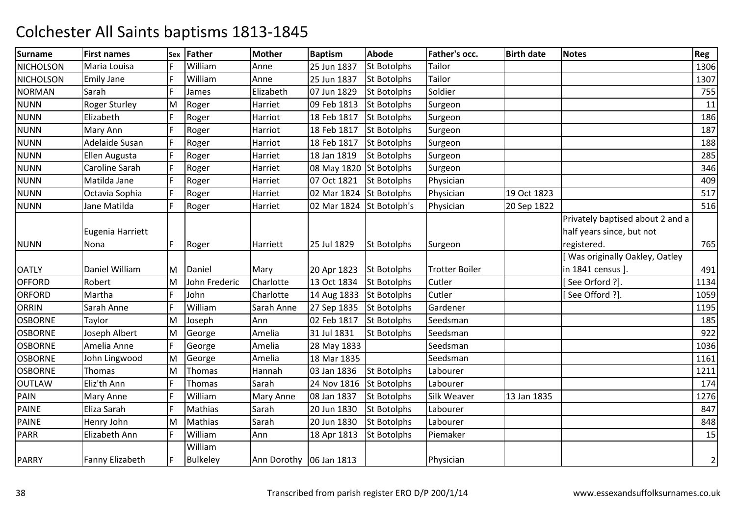| <b>Surname</b>   | <b>First names</b>       | Sex | Father                     | <b>Mother</b>           | <b>Baptism</b>          | <b>Abode</b>       | <b>Father's occ.</b>  | <b>Birth date</b> | <b>Notes</b>                                                                 | Reg            |
|------------------|--------------------------|-----|----------------------------|-------------------------|-------------------------|--------------------|-----------------------|-------------------|------------------------------------------------------------------------------|----------------|
| <b>NICHOLSON</b> | Maria Louisa             |     | William                    | Anne                    | 25 Jun 1837             | <b>St Botolphs</b> | Tailor                |                   |                                                                              | 1306           |
| <b>NICHOLSON</b> | <b>Emily Jane</b>        | F   | William                    | Anne                    | 25 Jun 1837             | <b>St Botolphs</b> | Tailor                |                   |                                                                              | 1307           |
| <b>NORMAN</b>    | Sarah                    | F   | James                      | Elizabeth               | 07 Jun 1829             | <b>St Botolphs</b> | Soldier               |                   |                                                                              | 755            |
| <b>NUNN</b>      | <b>Roger Sturley</b>     | M   | Roger                      | Harriet                 | 09 Feb 1813             | <b>St Botolphs</b> | Surgeon               |                   |                                                                              | 11             |
| <b>NUNN</b>      | Elizabeth                | F   | Roger                      | Harriot                 | 18 Feb 1817             | <b>St Botolphs</b> | Surgeon               |                   |                                                                              | 186            |
| <b>NUNN</b>      | Mary Ann                 | F   | Roger                      | Harriot                 | 18 Feb 1817             | <b>St Botolphs</b> | Surgeon               |                   |                                                                              | 187            |
| <b>NUNN</b>      | Adelaide Susan           | F   | Roger                      | Harriot                 | 18 Feb 1817             | <b>St Botolphs</b> | Surgeon               |                   |                                                                              | 188            |
| <b>NUNN</b>      | Ellen Augusta            | F   | Roger                      | Harriet                 | 18 Jan 1819             | <b>St Botolphs</b> | Surgeon               |                   |                                                                              | 285            |
| <b>NUNN</b>      | Caroline Sarah           | F   | Roger                      | Harriet                 | 08 May 1820 St Botolphs |                    | Surgeon               |                   |                                                                              | 346            |
| <b>NUNN</b>      | Matilda Jane             | F   | Roger                      | Harriet                 | 07 Oct 1821             | <b>St Botolphs</b> | Physician             |                   |                                                                              | 409            |
| <b>NUNN</b>      | Octavia Sophia           | F   | Roger                      | Harriet                 | 02 Mar 1824 St Botolphs |                    | Physician             | 19 Oct 1823       |                                                                              | 517            |
| <b>NUNN</b>      | Jane Matilda             | F   | Roger                      | Harriet                 | 02 Mar 1824             | St Botolph's       | Physician             | 20 Sep 1822       |                                                                              | 516            |
| <b>NUNN</b>      | Eugenia Harriett<br>Nona | F   | Roger                      | Harriett                | 25 Jul 1829             | <b>St Botolphs</b> | Surgeon               |                   | Privately baptised about 2 and a<br>half years since, but not<br>registered. | 765            |
|                  |                          |     |                            |                         |                         |                    |                       |                   | Was originally Oakley, Oatley                                                |                |
| <b>OATLY</b>     | Daniel William           | М   | Daniel                     | Mary                    | 20 Apr 1823             | <b>St Botolphs</b> | <b>Trotter Boiler</b> |                   | in 1841 census ].                                                            | 491            |
| <b>OFFORD</b>    | Robert                   | M   | John Frederic              | Charlotte               | 13 Oct 1834             | <b>St Botolphs</b> | Cutler                |                   | [See Orford ?].                                                              | 1134           |
| <b>ORFORD</b>    | Martha                   | F   | John                       | Charlotte               | 14 Aug 1833             | <b>St Botolphs</b> | Cutler                |                   | [See Offord ?].                                                              | 1059           |
| <b>ORRIN</b>     | Sarah Anne               | F   | William                    | Sarah Anne              | 27 Sep 1835             | <b>St Botolphs</b> | Gardener              |                   |                                                                              | 1195           |
| <b>OSBORNE</b>   | Taylor                   | M   | Joseph                     | Ann                     | 02 Feb 1817             | <b>St Botolphs</b> | Seedsman              |                   |                                                                              | 185            |
| <b>OSBORNE</b>   | Joseph Albert            | M   | George                     | Amelia                  | 31 Jul 1831             | <b>St Botolphs</b> | Seedsman              |                   |                                                                              | 922            |
| <b>OSBORNE</b>   | Amelia Anne              | F   | George                     | Amelia                  | 28 May 1833             |                    | Seedsman              |                   |                                                                              | 1036           |
| <b>OSBORNE</b>   | John Lingwood            | M   | George                     | Amelia                  | 18 Mar 1835             |                    | Seedsman              |                   |                                                                              | 1161           |
| <b>OSBORNE</b>   | Thomas                   | M   | Thomas                     | Hannah                  | 03 Jan 1836             | <b>St Botolphs</b> | Labourer              |                   |                                                                              | 1211           |
| <b>OUTLAW</b>    | Eliz'th Ann              | F   | Thomas                     | Sarah                   | 24 Nov 1816             | <b>St Botolphs</b> | Labourer              |                   |                                                                              | 174            |
| PAIN             | <b>Mary Anne</b>         |     | William                    | <b>Mary Anne</b>        | 08 Jan 1837             | <b>St Botolphs</b> | Silk Weaver           | 13 Jan 1835       |                                                                              | 1276           |
| <b>PAINE</b>     | Eliza Sarah              | F   | Mathias                    | Sarah                   | 20 Jun 1830             | <b>St Botolphs</b> | Labourer              |                   |                                                                              | 847            |
| PAINE            | Henry John               | M   | Mathias                    | Sarah                   | 20 Jun 1830             | <b>St Botolphs</b> | Labourer              |                   |                                                                              | 848            |
| <b>PARR</b>      | Elizabeth Ann            | F   | William                    | Ann                     | 18 Apr 1813             | <b>St Botolphs</b> | Piemaker              |                   |                                                                              | 15             |
| <b>PARRY</b>     | Fanny Elizabeth          | IF  | William<br><b>Bulkeley</b> | Ann Dorothy 06 Jan 1813 |                         |                    | Physician             |                   |                                                                              | $\overline{2}$ |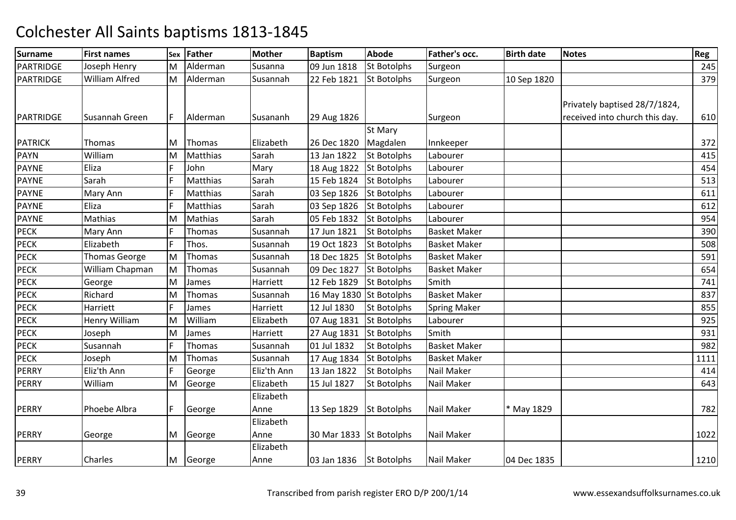| <b>Surname</b> | <b>First names</b> | Sex | <b>Father</b> | <b>Mother</b> | <b>Baptism</b>          | <b>Abode</b>       | <b>Father's occ.</b> | <b>Birth date</b> | <b>Notes</b>                   | Reg  |
|----------------|--------------------|-----|---------------|---------------|-------------------------|--------------------|----------------------|-------------------|--------------------------------|------|
| PARTRIDGE      | Joseph Henry       | M   | Alderman      | Susanna       | 09 Jun 1818             | <b>St Botolphs</b> | Surgeon              |                   |                                | 245  |
| PARTRIDGE      | William Alfred     | M   | Alderman      | Susannah      | 22 Feb 1821             | <b>St Botolphs</b> | Surgeon              | 10 Sep 1820       |                                | 379  |
|                |                    |     |               |               |                         |                    |                      |                   |                                |      |
|                |                    |     |               |               |                         |                    |                      |                   | Privately baptised 28/7/1824,  |      |
| PARTRIDGE      | Susannah Green     |     | Alderman      | Susananh      | 29 Aug 1826             |                    | Surgeon              |                   | received into church this day. | 610  |
|                |                    |     |               |               |                         | <b>St Mary</b>     |                      |                   |                                |      |
| <b>PATRICK</b> | Thomas             | M   | Thomas        | Elizabeth     | 26 Dec 1820             | Magdalen           | Innkeeper            |                   |                                | 372  |
| <b>PAYN</b>    | William            | M   | Matthias      | Sarah         | 13 Jan 1822             | <b>St Botolphs</b> | Labourer             |                   |                                | 415  |
| <b>PAYNE</b>   | Eliza              | E   | John          | Mary          | 18 Aug 1822             | <b>St Botolphs</b> | Labourer             |                   |                                | 454  |
| <b>PAYNE</b>   | Sarah              | E   | Matthias      | Sarah         | 15 Feb 1824             | <b>St Botolphs</b> | Labourer             |                   |                                | 513  |
| <b>PAYNE</b>   | Mary Ann           | E   | Matthias      | Sarah         | 03 Sep 1826             | <b>St Botolphs</b> | Labourer             |                   |                                | 611  |
| <b>PAYNE</b>   | Eliza              | E   | Matthias      | Sarah         | 03 Sep 1826             | <b>St Botolphs</b> | Labourer             |                   |                                | 612  |
| <b>PAYNE</b>   | Mathias            | M   | Mathias       | Sarah         | 05 Feb 1832             | <b>St Botolphs</b> | Labourer             |                   |                                | 954  |
| <b>PECK</b>    | Mary Ann           | E   | Thomas        | Susannah      | 17 Jun 1821             | <b>St Botolphs</b> | <b>Basket Maker</b>  |                   |                                | 390  |
| <b>PECK</b>    | Elizabeth          | F   | Thos.         | Susannah      | 19 Oct 1823             | <b>St Botolphs</b> | <b>Basket Maker</b>  |                   |                                | 508  |
| <b>PECK</b>    | Thomas George      | M   | Thomas        | Susannah      | 18 Dec 1825             | <b>St Botolphs</b> | <b>Basket Maker</b>  |                   |                                | 591  |
| <b>PECK</b>    | William Chapman    | M   | Thomas        | Susannah      | 09 Dec 1827             | <b>St Botolphs</b> | <b>Basket Maker</b>  |                   |                                | 654  |
| <b>PECK</b>    | George             | M   | James         | Harriett      | 12 Feb 1829             | <b>St Botolphs</b> | Smith                |                   |                                | 741  |
| <b>PECK</b>    | Richard            | M   | Thomas        | Susannah      | 16 May 1830 St Botolphs |                    | <b>Basket Maker</b>  |                   |                                | 837  |
| <b>PECK</b>    | Harriett           | E   | James         | Harriett      | 12 Jul 1830             | <b>St Botolphs</b> | <b>Spring Maker</b>  |                   |                                | 855  |
| <b>PECK</b>    | Henry William      | M   | William       | Elizabeth     | 07 Aug 1831             | <b>St Botolphs</b> | Labourer             |                   |                                | 925  |
| <b>PECK</b>    | Joseph             | M   | James         | Harriett      | 27 Aug 1831             | <b>St Botolphs</b> | Smith                |                   |                                | 931  |
| <b>PECK</b>    | Susannah           | F   | Thomas        | Susannah      | 01 Jul 1832             | <b>St Botolphs</b> | <b>Basket Maker</b>  |                   |                                | 982  |
| <b>PECK</b>    | Joseph             | M   | Thomas        | Susannah      | 17 Aug 1834             | <b>St Botolphs</b> | <b>Basket Maker</b>  |                   |                                | 1111 |
| <b>PERRY</b>   | Eliz'th Ann        | E   | George        | Eliz'th Ann   | 13 Jan 1822             | <b>St Botolphs</b> | Nail Maker           |                   |                                | 414  |
| <b>PERRY</b>   | William            | M   | George        | Elizabeth     | 15 Jul 1827             | <b>St Botolphs</b> | Nail Maker           |                   |                                | 643  |
|                |                    |     |               | Elizabeth     |                         |                    |                      |                   |                                |      |
| <b>PERRY</b>   | Phoebe Albra       | F   | George        | Anne          | 13 Sep 1829             | St Botolphs        | Nail Maker           | * May 1829        |                                | 782  |
|                |                    |     |               | Elizabeth     |                         |                    |                      |                   |                                |      |
| <b>PERRY</b>   | George             | M   | George        | Anne          | 30 Mar 1833 St Botolphs |                    | Nail Maker           |                   |                                | 1022 |
|                |                    |     |               | Elizabeth     |                         |                    |                      |                   |                                |      |
| <b>PERRY</b>   | Charles            | M   | George        | Anne          | 03 Jan 1836             | <b>St Botolphs</b> | Nail Maker           | 04 Dec 1835       |                                | 1210 |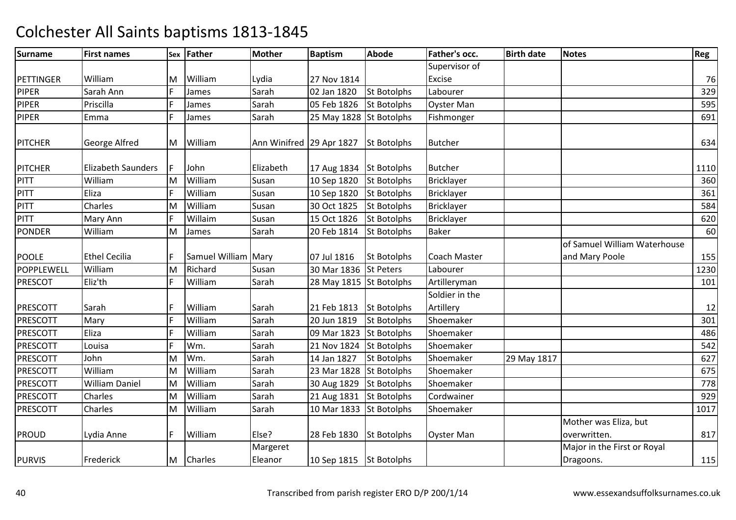| <b>Surname</b>  | <b>First names</b>        |   | Sex Father          | <b>Mother</b>            | <b>Baptism</b>          | <b>Abode</b>       | Father's occ.               | <b>Birth date</b> | <b>Notes</b>                                   | Reg  |
|-----------------|---------------------------|---|---------------------|--------------------------|-------------------------|--------------------|-----------------------------|-------------------|------------------------------------------------|------|
|                 |                           |   |                     |                          |                         |                    | Supervisor of               |                   |                                                |      |
| PETTINGER       | William                   | M | William             | Lydia                    | 27 Nov 1814             |                    | Excise                      |                   |                                                | 76   |
| PIPER           | Sarah Ann                 | F | James               | Sarah                    | 02 Jan 1820             | <b>St Botolphs</b> | Labourer                    |                   |                                                | 329  |
| <b>PIPER</b>    | Priscilla                 | F | James               | Sarah                    | 05 Feb 1826             | <b>St Botolphs</b> | <b>Oyster Man</b>           |                   |                                                | 595  |
| <b>PIPER</b>    | Emma                      | F | James               | Sarah                    | 25 May 1828 St Botolphs |                    | Fishmonger                  |                   |                                                | 691  |
| <b>PITCHER</b>  | George Alfred             |   | M William           | Ann Winifred 29 Apr 1827 |                         | <b>St Botolphs</b> | <b>Butcher</b>              |                   |                                                | 634  |
| <b>PITCHER</b>  | <b>Elizabeth Saunders</b> |   | John                | Elizabeth                | 17 Aug 1834 St Botolphs |                    | <b>Butcher</b>              |                   |                                                | 1110 |
| PITT            | William                   | M | William             | Susan                    | 10 Sep 1820             | <b>St Botolphs</b> | <b>Bricklayer</b>           |                   |                                                | 360  |
| PITT            | Eliza                     | F | William             | Susan                    | 10 Sep 1820             | <b>St Botolphs</b> | <b>Bricklayer</b>           |                   |                                                | 361  |
| PITT            | Charles                   | M | William             | Susan                    | 30 Oct 1825             | <b>St Botolphs</b> | <b>Bricklayer</b>           |                   |                                                | 584  |
| PITT            | Mary Ann                  | F | Willaim             | Susan                    | 15 Oct 1826             | St Botolphs        | <b>Bricklayer</b>           |                   |                                                | 620  |
| <b>PONDER</b>   | William                   | M | James               | Sarah                    | 20 Feb 1814             | <b>St Botolphs</b> | <b>Baker</b>                |                   |                                                | 60   |
| <b>POOLE</b>    | <b>Ethel Cecilia</b>      | F | Samuel William Mary |                          | 07 Jul 1816             | <b>St Botolphs</b> | <b>Coach Master</b>         |                   | of Samuel William Waterhouse<br>and Mary Poole | 155  |
| POPPLEWELL      | William                   | M | Richard             | Susan                    | 30 Mar 1836             | <b>St Peters</b>   | Labourer                    |                   |                                                | 1230 |
| <b>PRESCOT</b>  | Eliz'th                   | F | William             | Sarah                    | 28 May 1815 St Botolphs |                    | Artilleryman                |                   |                                                | 101  |
| <b>PRESCOTT</b> | Sarah                     | F | William             | Sarah                    | 21 Feb 1813             | <b>St Botolphs</b> | Soldier in the<br>Artillery |                   |                                                | 12   |
| <b>PRESCOTT</b> | Mary                      | F | William             | Sarah                    | 20 Jun 1819             | St Botolphs        | Shoemaker                   |                   |                                                | 301  |
| <b>PRESCOTT</b> | Eliza                     | F | William             | Sarah                    | 09 Mar 1823             | <b>St Botolphs</b> | Shoemaker                   |                   |                                                | 486  |
| <b>PRESCOTT</b> | Louisa                    | F | Wm.                 | Sarah                    | 21 Nov 1824             | <b>St Botolphs</b> | Shoemaker                   |                   |                                                | 542  |
| <b>PRESCOTT</b> | John                      | M | Wm.                 | Sarah                    | 14 Jan 1827             | <b>St Botolphs</b> | Shoemaker                   | 29 May 1817       |                                                | 627  |
| <b>PRESCOTT</b> | William                   | M | William             | Sarah                    | 23 Mar 1828             | <b>St Botolphs</b> | Shoemaker                   |                   |                                                | 675  |
| <b>PRESCOTT</b> | <b>William Daniel</b>     | M | William             | Sarah                    | 30 Aug 1829             | <b>St Botolphs</b> | Shoemaker                   |                   |                                                | 778  |
| <b>PRESCOTT</b> | Charles                   | M | William             | Sarah                    | 21 Aug 1831             | <b>St Botolphs</b> | Cordwainer                  |                   |                                                | 929  |
| <b>PRESCOTT</b> | Charles                   | M | William             | Sarah                    | 10 Mar 1833             | <b>St Botolphs</b> | Shoemaker                   |                   |                                                | 1017 |
| <b>PROUD</b>    | Lydia Anne                | F | William             | Else?                    | 28 Feb 1830             | <b>St Botolphs</b> | <b>Oyster Man</b>           |                   | Mother was Eliza, but<br>overwritten.          | 817  |
| <b>PURVIS</b>   | Frederick                 | M | <b>Charles</b>      | Margeret<br>Eleanor      | 10 Sep 1815 St Botolphs |                    |                             |                   | Major in the First or Royal<br>Dragoons.       | 115  |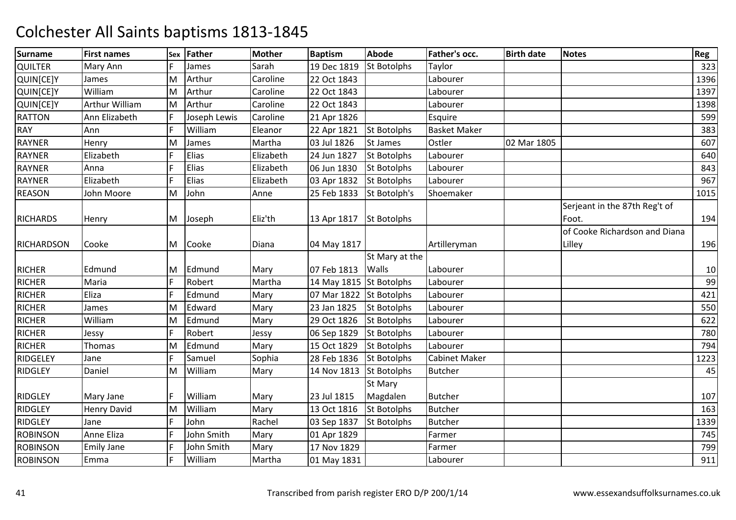| <b>Surname</b>    | <b>First names</b> | Sex | <b>Father</b> | <b>Mother</b> | <b>Baptism</b>          | <b>Abode</b>       | Father's occ.        | <b>Birth date</b> | <b>Notes</b>                            | Reg  |
|-------------------|--------------------|-----|---------------|---------------|-------------------------|--------------------|----------------------|-------------------|-----------------------------------------|------|
| <b>QUILTER</b>    | Mary Ann           |     | James         | Sarah         | 19 Dec 1819             | <b>St Botolphs</b> | Taylor               |                   |                                         | 323  |
| QUIN[CE]Y         | James              | M   | Arthur        | Caroline      | 22 Oct 1843             |                    | Labourer             |                   |                                         | 1396 |
| QUIN[CE]Y         | William            | M   | Arthur        | Caroline      | 22 Oct 1843             |                    | Labourer             |                   |                                         | 1397 |
| QUIN[CE]Y         | Arthur William     | M   | Arthur        | Caroline      | 22 Oct 1843             |                    | Labourer             |                   |                                         | 1398 |
| <b>RATTON</b>     | Ann Elizabeth      | F   | Joseph Lewis  | Caroline      | 21 Apr 1826             |                    | Esquire              |                   |                                         | 599  |
| <b>RAY</b>        | Ann                | F   | William       | Eleanor       | 22 Apr 1821             | <b>St Botolphs</b> | <b>Basket Maker</b>  |                   |                                         | 383  |
| RAYNER            | Henry              | M   | James         | Martha        | 03 Jul 1826             | St James           | Ostler               | 02 Mar 1805       |                                         | 607  |
| <b>RAYNER</b>     | Elizabeth          | F   | Elias         | Elizabeth     | 24 Jun 1827             | <b>St Botolphs</b> | Labourer             |                   |                                         | 640  |
| RAYNER            | Anna               | F   | Elias         | Elizabeth     | 06 Jun 1830             | <b>St Botolphs</b> | Labourer             |                   |                                         | 843  |
| <b>RAYNER</b>     | Elizabeth          | F   | Elias         | Elizabeth     | 03 Apr 1832             | <b>St Botolphs</b> | Labourer             |                   |                                         | 967  |
| <b>REASON</b>     | John Moore         | M   | John          | Anne          | 25 Feb 1833             | St Botolph's       | Shoemaker            |                   |                                         | 1015 |
| <b>RICHARDS</b>   | Henry              | M   | Joseph        | Eliz'th       | 13 Apr 1817             | <b>St Botolphs</b> |                      |                   | Serjeant in the 87th Reg't of<br>Foot.  | 194  |
| <b>RICHARDSON</b> | Cooke              | м   | Cooke         | Diana         | 04 May 1817             |                    | Artilleryman         |                   | of Cooke Richardson and Diana<br>Lilley | 196  |
|                   |                    |     |               |               |                         | St Mary at the     |                      |                   |                                         |      |
| <b>RICHER</b>     | Edmund             | M   | Edmund        | Mary          | 07 Feb 1813             | <b>Walls</b>       | Labourer             |                   |                                         | 10   |
| <b>RICHER</b>     | Maria              | F   | Robert        | Martha        | 14 May 1815 St Botolphs |                    | Labourer             |                   |                                         | 99   |
| <b>RICHER</b>     | Eliza              | F   | Edmund        | Mary          | 07 Mar 1822             | <b>St Botolphs</b> | Labourer             |                   |                                         | 421  |
| <b>RICHER</b>     | James              | M   | Edward        | Mary          | 23 Jan 1825             | <b>St Botolphs</b> | Labourer             |                   |                                         | 550  |
| <b>RICHER</b>     | William            | M   | Edmund        | Mary          | 29 Oct 1826             | <b>St Botolphs</b> | Labourer             |                   |                                         | 622  |
| <b>RICHER</b>     | Jessy              | F   | Robert        | Jessy         | 06 Sep 1829             | <b>St Botolphs</b> | Labourer             |                   |                                         | 780  |
| <b>RICHER</b>     | <b>Thomas</b>      | M   | Edmund        | Mary          | 15 Oct 1829             | <b>St Botolphs</b> | Labourer             |                   |                                         | 794  |
| RIDGELEY          | Jane               | F   | Samuel        | Sophia        | 28 Feb 1836             | <b>St Botolphs</b> | <b>Cabinet Maker</b> |                   |                                         | 1223 |
| <b>RIDGLEY</b>    | Daniel             | M   | William       | Mary          | 14 Nov 1813             | <b>St Botolphs</b> | <b>Butcher</b>       |                   |                                         | 45   |
|                   |                    |     |               |               |                         | St Mary            |                      |                   |                                         |      |
| <b>RIDGLEY</b>    | Mary Jane          | F   | William       | Mary          | 23 Jul 1815             | Magdalen           | <b>Butcher</b>       |                   |                                         | 107  |
| <b>RIDGLEY</b>    | Henry David        | M   | William       | Mary          | 13 Oct 1816             | <b>St Botolphs</b> | <b>Butcher</b>       |                   |                                         | 163  |
| <b>RIDGLEY</b>    | Jane               | F   | John          | Rachel        | 03 Sep 1837             | <b>St Botolphs</b> | <b>Butcher</b>       |                   |                                         | 1339 |
| <b>ROBINSON</b>   | Anne Eliza         | F   | John Smith    | Mary          | 01 Apr 1829             |                    | Farmer               |                   |                                         | 745  |
| <b>ROBINSON</b>   | <b>Emily Jane</b>  | F   | John Smith    | Mary          | 17 Nov 1829             |                    | Farmer               |                   |                                         | 799  |
| <b>ROBINSON</b>   | Emma               | F   | William       | Martha        | 01 May 1831             |                    | Labourer             |                   |                                         | 911  |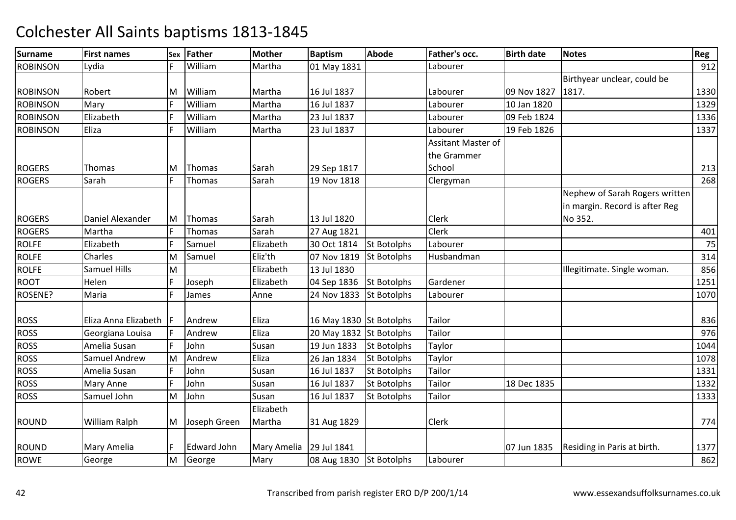| <b>Surname</b>  | <b>First names</b>   | Sex | Father       | <b>Mother</b> | <b>Baptism</b>          | <b>Abode</b>       | <b>Father's occ.</b> | <b>Birth date</b> | <b>Notes</b>                   | Reg  |
|-----------------|----------------------|-----|--------------|---------------|-------------------------|--------------------|----------------------|-------------------|--------------------------------|------|
| <b>ROBINSON</b> | Lydia                | F   | William      | Martha        | 01 May 1831             |                    | Labourer             |                   |                                | 912  |
|                 |                      |     |              |               |                         |                    |                      |                   | Birthyear unclear, could be    |      |
| <b>ROBINSON</b> | Robert               | M   | William      | Martha        | 16 Jul 1837             |                    | Labourer             | 09 Nov 1827       | 1817.                          | 1330 |
| <b>ROBINSON</b> | Mary                 | F   | William      | Martha        | 16 Jul 1837             |                    | Labourer             | 10 Jan 1820       |                                | 1329 |
| <b>ROBINSON</b> | Elizabeth            | E   | William      | Martha        | 23 Jul 1837             |                    | Labourer             | 09 Feb 1824       |                                | 1336 |
| <b>ROBINSON</b> | Eliza                | F   | William      | Martha        | 23 Jul 1837             |                    | Labourer             | 19 Feb 1826       |                                | 1337 |
|                 |                      |     |              |               |                         |                    | Assitant Master of   |                   |                                |      |
|                 |                      |     |              |               |                         |                    | the Grammer          |                   |                                |      |
| <b>ROGERS</b>   | <b>Thomas</b>        | м   | Thomas       | Sarah         | 29 Sep 1817             |                    | School               |                   |                                | 213  |
| <b>ROGERS</b>   | Sarah                | F   | Thomas       | Sarah         | 19 Nov 1818             |                    | Clergyman            |                   |                                | 268  |
|                 |                      |     |              |               |                         |                    |                      |                   | Nephew of Sarah Rogers written |      |
|                 |                      |     |              |               |                         |                    |                      |                   | in margin. Record is after Reg |      |
| <b>ROGERS</b>   | Daniel Alexander     | M   | Thomas       | Sarah         | 13 Jul 1820             |                    | <b>Clerk</b>         |                   | No 352.                        |      |
| <b>ROGERS</b>   | Martha               | E   | Thomas       | Sarah         | 27 Aug 1821             |                    | <b>Clerk</b>         |                   |                                | 401  |
| <b>ROLFE</b>    | Elizabeth            | F   | Samuel       | Elizabeth     | 30 Oct 1814             | <b>St Botolphs</b> | Labourer             |                   |                                | 75   |
| <b>ROLFE</b>    | Charles              | M   | Samuel       | Eliz'th       | 07 Nov 1819             | <b>St Botolphs</b> | Husbandman           |                   |                                | 314  |
| <b>ROLFE</b>    | <b>Samuel Hills</b>  | M   |              | Elizabeth     | 13 Jul 1830             |                    |                      |                   | Illegitimate. Single woman.    | 856  |
| <b>ROOT</b>     | Helen                | F   | Joseph       | Elizabeth     | 04 Sep 1836             | <b>St Botolphs</b> | Gardener             |                   |                                | 1251 |
| ROSENE?         | Maria                | F   | James        | Anne          | 24 Nov 1833             | <b>St Botolphs</b> | Labourer             |                   |                                | 1070 |
|                 |                      |     |              |               |                         |                    |                      |                   |                                |      |
| <b>ROSS</b>     | Eliza Anna Elizabeth | IF  | Andrew       | Eliza         | 16 May 1830 St Botolphs |                    | Tailor               |                   |                                | 836  |
| <b>ROSS</b>     | Georgiana Louisa     | F   | Andrew       | Eliza         | 20 May 1832 St Botolphs |                    | Tailor               |                   |                                | 976  |
| <b>ROSS</b>     | Amelia Susan         | F   | John         | Susan         | 19 Jun 1833             | <b>St Botolphs</b> | Taylor               |                   |                                | 1044 |
| <b>ROSS</b>     | Samuel Andrew        | M   | Andrew       | Eliza         | 26 Jan 1834             | <b>St Botolphs</b> | Taylor               |                   |                                | 1078 |
| <b>ROSS</b>     | Amelia Susan         | F   | John         | Susan         | 16 Jul 1837             | <b>St Botolphs</b> | Tailor               |                   |                                | 1331 |
| <b>ROSS</b>     | Mary Anne            | F   | John         | Susan         | 16 Jul 1837             | <b>St Botolphs</b> | Tailor               | 18 Dec 1835       |                                | 1332 |
| <b>ROSS</b>     | Samuel John          | M   | John         | Susan         | 16 Jul 1837             | <b>St Botolphs</b> | Tailor               |                   |                                | 1333 |
|                 |                      |     |              | Elizabeth     |                         |                    |                      |                   |                                |      |
| <b>ROUND</b>    | William Ralph        | M   | Joseph Green | Martha        | 31 Aug 1829             |                    | <b>Clerk</b>         |                   |                                | 774  |
|                 |                      |     |              |               |                         |                    |                      |                   |                                |      |
| <b>ROUND</b>    | Mary Amelia          | lF. | Edward John  | Mary Amelia   | 29 Jul 1841             |                    |                      | 07 Jun 1835       | Residing in Paris at birth.    | 1377 |
| ROWE            | George               | M   | George       | Mary          | 08 Aug 1830             | St Botolphs        | Labourer             |                   |                                | 862  |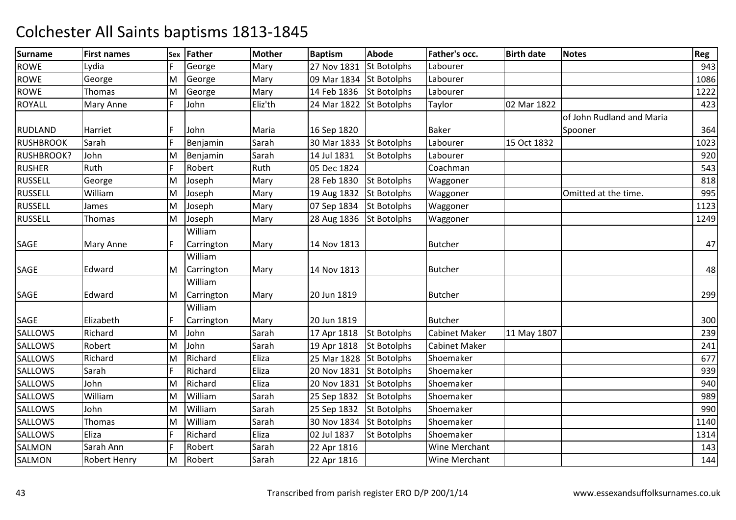| <b>Surname</b>    | <b>First names</b>  |   | Sex Father | <b>Mother</b> | <b>Baptism</b> | <b>Abode</b>       | Father's occ.        | <b>Birth date</b> | <b>Notes</b>              | Reg  |
|-------------------|---------------------|---|------------|---------------|----------------|--------------------|----------------------|-------------------|---------------------------|------|
| <b>ROWE</b>       | Lydia               |   | George     | Mary          | 27 Nov 1831    | <b>St Botolphs</b> | Labourer             |                   |                           | 943  |
| <b>ROWE</b>       | George              | M | George     | Mary          | 09 Mar 1834    | <b>St Botolphs</b> | Labourer             |                   |                           | 1086 |
| <b>ROWE</b>       | Thomas              | M | George     | Mary          | 14 Feb 1836    | <b>St Botolphs</b> | Labourer             |                   |                           | 1222 |
| <b>ROYALL</b>     | Mary Anne           | F | John       | Eliz'th       | 24 Mar 1822    | <b>St Botolphs</b> | Taylor               | 02 Mar 1822       |                           | 423  |
|                   |                     |   |            |               |                |                    |                      |                   | of John Rudland and Maria |      |
| <b>RUDLAND</b>    | Harriet             | F | John       | Maria         | 16 Sep 1820    |                    | <b>Baker</b>         |                   | Spooner                   | 364  |
| <b>RUSHBROOK</b>  | Sarah               | F | Benjamin   | Sarah         | 30 Mar 1833    | <b>St Botolphs</b> | Labourer             | 15 Oct 1832       |                           | 1023 |
| <b>RUSHBROOK?</b> | John                | M | Benjamin   | Sarah         | 14 Jul 1831    | <b>St Botolphs</b> | Labourer             |                   |                           | 920  |
| <b>RUSHER</b>     | Ruth                | F | Robert     | Ruth          | 05 Dec 1824    |                    | Coachman             |                   |                           | 543  |
| <b>RUSSELL</b>    | George              | M | Joseph     | Mary          | 28 Feb 1830    | St Botolphs        | Waggoner             |                   |                           | 818  |
| <b>RUSSELL</b>    | William             | M | Joseph     | Mary          | 19 Aug 1832    | <b>St Botolphs</b> | Waggoner             |                   | Omitted at the time.      | 995  |
| <b>RUSSELL</b>    | James               | M | Joseph     | Mary          | 07 Sep 1834    | <b>St Botolphs</b> | Waggoner             |                   |                           | 1123 |
| <b>RUSSELL</b>    | Thomas              | M | Joseph     | Mary          | 28 Aug 1836    | <b>St Botolphs</b> | Waggoner             |                   |                           | 1249 |
|                   |                     |   | William    |               |                |                    |                      |                   |                           |      |
| SAGE              | Mary Anne           | F | Carrington | Mary          | 14 Nov 1813    |                    | <b>Butcher</b>       |                   |                           | 47   |
|                   |                     |   | William    |               |                |                    |                      |                   |                           |      |
| SAGE              | Edward              | M | Carrington | Mary          | 14 Nov 1813    |                    | <b>Butcher</b>       |                   |                           | 48   |
|                   |                     |   | William    |               |                |                    |                      |                   |                           |      |
| SAGE              | Edward              | M | Carrington | Mary          | 20 Jun 1819    |                    | <b>Butcher</b>       |                   |                           | 299  |
|                   |                     |   | William    |               |                |                    |                      |                   |                           |      |
| SAGE              | Elizabeth           |   | Carrington | Mary          | 20 Jun 1819    |                    | <b>Butcher</b>       |                   |                           | 300  |
| <b>SALLOWS</b>    | Richard             | M | John       | Sarah         | 17 Apr 1818    | <b>St Botolphs</b> | <b>Cabinet Maker</b> | 11 May 1807       |                           | 239  |
| <b>SALLOWS</b>    | Robert              | M | John       | Sarah         | 19 Apr 1818    | <b>St Botolphs</b> | <b>Cabinet Maker</b> |                   |                           | 241  |
| <b>SALLOWS</b>    | Richard             | М | Richard    | Eliza         | 25 Mar 1828    | <b>St Botolphs</b> | Shoemaker            |                   |                           | 677  |
| SALLOWS           | Sarah               | F | Richard    | Eliza         | 20 Nov 1831    | <b>St Botolphs</b> | Shoemaker            |                   |                           | 939  |
| <b>SALLOWS</b>    | John                | M | Richard    | Eliza         | 20 Nov 1831    | <b>St Botolphs</b> | Shoemaker            |                   |                           | 940  |
| <b>SALLOWS</b>    | William             | M | William    | Sarah         | 25 Sep 1832    | <b>St Botolphs</b> | Shoemaker            |                   |                           | 989  |
| <b>SALLOWS</b>    | John                | M | William    | Sarah         | 25 Sep 1832    | <b>St Botolphs</b> | Shoemaker            |                   |                           | 990  |
| <b>SALLOWS</b>    | Thomas              | M | William    | Sarah         | 30 Nov 1834    | <b>St Botolphs</b> | Shoemaker            |                   |                           | 1140 |
| <b>SALLOWS</b>    | Eliza               | F | Richard    | Eliza         | 02 Jul 1837    | <b>St Botolphs</b> | Shoemaker            |                   |                           | 1314 |
| <b>SALMON</b>     | Sarah Ann           | F | Robert     | Sarah         | 22 Apr 1816    |                    | Wine Merchant        |                   |                           | 143  |
| <b>SALMON</b>     | <b>Robert Henry</b> | M | Robert     | Sarah         | 22 Apr 1816    |                    | <b>Wine Merchant</b> |                   |                           | 144  |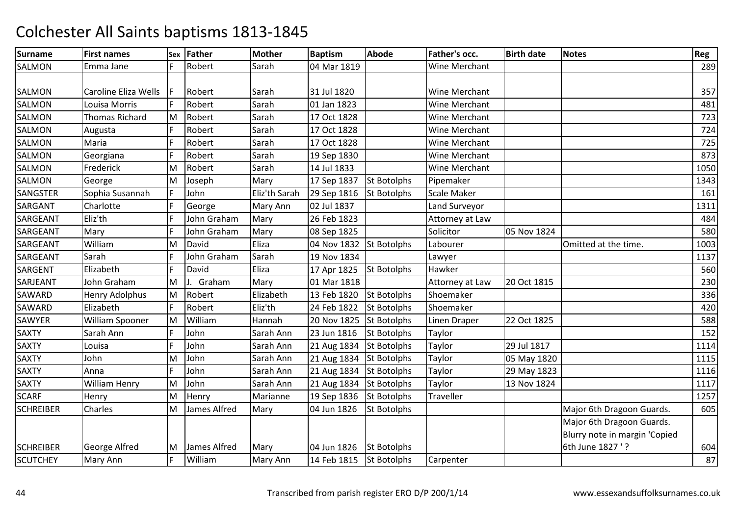| <b>Surname</b>   | <b>First names</b>    | Sex | Father         | <b>Mother</b> | <b>Baptism</b> | <b>Abode</b>       | Father's occ.        | <b>Birth date</b> | <b>Notes</b>                  | Reg  |
|------------------|-----------------------|-----|----------------|---------------|----------------|--------------------|----------------------|-------------------|-------------------------------|------|
| <b>SALMON</b>    | Emma Jane             |     | Robert         | Sarah         | 04 Mar 1819    |                    | Wine Merchant        |                   |                               | 289  |
|                  |                       |     |                |               |                |                    |                      |                   |                               |      |
| SALMON           | Caroline Eliza Wells  |     | Robert         | Sarah         | 31 Jul 1820    |                    | Wine Merchant        |                   |                               | 357  |
| <b>SALMON</b>    | Louisa Morris         |     | Robert         | Sarah         | 01 Jan 1823    |                    | Wine Merchant        |                   |                               | 481  |
| SALMON           | <b>Thomas Richard</b> | M   | Robert         | Sarah         | 17 Oct 1828    |                    | Wine Merchant        |                   |                               | 723  |
| <b>SALMON</b>    | Augusta               | F   | Robert         | Sarah         | 17 Oct 1828    |                    | <b>Wine Merchant</b> |                   |                               | 724  |
| <b>SALMON</b>    | Maria                 | F   | Robert         | Sarah         | 17 Oct 1828    |                    | Wine Merchant        |                   |                               | 725  |
| <b>SALMON</b>    | Georgiana             | F   | Robert         | Sarah         | 19 Sep 1830    |                    | Wine Merchant        |                   |                               | 873  |
| SALMON           | Frederick             | M   | Robert         | Sarah         | 14 Jul 1833    |                    | Wine Merchant        |                   |                               | 1050 |
| <b>SALMON</b>    | George                | M   | Joseph         | Mary          | 17 Sep 1837    | <b>St Botolphs</b> | Pipemaker            |                   |                               | 1343 |
| <b>SANGSTER</b>  | Sophia Susannah       | F   | John           | Eliz'th Sarah | 29 Sep 1816    | <b>St Botolphs</b> | <b>Scale Maker</b>   |                   |                               | 161  |
| SARGANT          | Charlotte             | E   | George         | Mary Ann      | 02 Jul 1837    |                    | Land Surveyor        |                   |                               | 1311 |
| SARGEANT         | Eliz'th               | F   | John Graham    | Mary          | 26 Feb 1823    |                    | Attorney at Law      |                   |                               | 484  |
| SARGEANT         | Mary                  | E   | John Graham    | Mary          | 08 Sep 1825    |                    | Solicitor            | 05 Nov 1824       |                               | 580  |
| SARGEANT         | William               | M   | David          | Eliza         | 04 Nov 1832    | <b>St Botolphs</b> | Labourer             |                   | Omitted at the time.          | 1003 |
| SARGEANT         | Sarah                 | F   | John Graham    | Sarah         | 19 Nov 1834    |                    | Lawyer               |                   |                               | 1137 |
| SARGENT          | Elizabeth             | F   | David          | Eliza         | 17 Apr 1825    | <b>St Botolphs</b> | Hawker               |                   |                               | 560  |
| SARJEANT         | John Graham           | M   | Graham         | Mary          | 01 Mar 1818    |                    | Attorney at Law      | 20 Oct 1815       |                               | 230  |
| <b>SAWARD</b>    | Henry Adolphus        | M   | Robert         | Elizabeth     | 13 Feb 1820    | <b>St Botolphs</b> | Shoemaker            |                   |                               | 336  |
| <b>SAWARD</b>    | Elizabeth             | F   | Robert         | Eliz'th       | 24 Feb 1822    | <b>St Botolphs</b> | Shoemaker            |                   |                               | 420  |
| SAWYER           | William Spooner       | M   | William        | Hannah        | 20 Nov 1825    | <b>St Botolphs</b> | Linen Draper         | 22 Oct 1825       |                               | 588  |
| <b>SAXTY</b>     | Sarah Ann             | E   | John           | Sarah Ann     | 23 Jun 1816    | <b>St Botolphs</b> | Taylor               |                   |                               | 152  |
| <b>SAXTY</b>     | Louisa                | F   | John           | Sarah Ann     | 21 Aug 1834    | <b>St Botolphs</b> | Taylor               | 29 Jul 1817       |                               | 1114 |
| <b>SAXTY</b>     | John                  | M   | John           | Sarah Ann     | 21 Aug 1834    | St Botolphs        | Taylor               | 05 May 1820       |                               | 1115 |
| <b>SAXTY</b>     | Anna                  | F   | John           | Sarah Ann     | 21 Aug 1834    | <b>St Botolphs</b> | Taylor               | 29 May 1823       |                               | 1116 |
| <b>SAXTY</b>     | William Henry         | M   | John           | Sarah Ann     | 21 Aug 1834    | <b>St Botolphs</b> | Taylor               | 13 Nov 1824       |                               | 1117 |
| <b>SCARF</b>     | Henry                 | M   | Henry          | Marianne      | 19 Sep 1836    | <b>St Botolphs</b> | <b>Traveller</b>     |                   |                               | 1257 |
| <b>SCHREIBER</b> | <b>Charles</b>        | M   | James Alfred   | Mary          | 04 Jun 1826    | <b>St Botolphs</b> |                      |                   | Major 6th Dragoon Guards.     | 605  |
|                  |                       |     |                |               |                |                    |                      |                   | Major 6th Dragoon Guards.     |      |
|                  |                       |     |                |               |                |                    |                      |                   | Blurry note in margin 'Copied |      |
| <b>SCHREIBER</b> | George Alfred         |     | M James Alfred | Mary          | 04 Jun 1826    | <b>St Botolphs</b> |                      |                   | 6th June 1827 '?              | 604  |
| <b>SCUTCHEY</b>  | Mary Ann              | F   | William        | Mary Ann      | 14 Feb 1815    | <b>St Botolphs</b> | Carpenter            |                   |                               | 87   |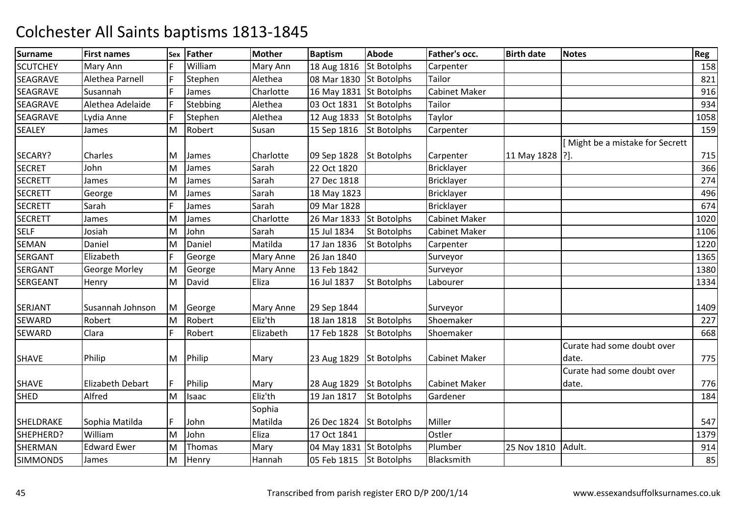| <b>Surname</b>  | <b>First names</b> | Sex | Father   | <b>Mother</b>    | <b>Baptism</b>          | <b>Abode</b>       | Father's occ.        | <b>Birth date</b> | <b>Notes</b>                    | Reg  |
|-----------------|--------------------|-----|----------|------------------|-------------------------|--------------------|----------------------|-------------------|---------------------------------|------|
| <b>SCUTCHEY</b> | Mary Ann           |     | William  | Mary Ann         | 18 Aug 1816             | <b>St Botolphs</b> | Carpenter            |                   |                                 | 158  |
| <b>SEAGRAVE</b> | Alethea Parnell    | F   | Stephen  | Alethea          | 08 Mar 1830             | <b>St Botolphs</b> | Tailor               |                   |                                 | 821  |
| <b>SEAGRAVE</b> | Susannah           | F   | James    | Charlotte        | 16 May 1831 St Botolphs |                    | <b>Cabinet Maker</b> |                   |                                 | 916  |
| SEAGRAVE        | Alethea Adelaide   | F   | Stebbing | Alethea          | 03 Oct 1831             | <b>St Botolphs</b> | Tailor               |                   |                                 | 934  |
| SEAGRAVE        | Lydia Anne         | F   | Stephen  | Alethea          | 12 Aug 1833             | <b>St Botolphs</b> | Taylor               |                   |                                 | 1058 |
| <b>SEALEY</b>   | James              | M   | Robert   | Susan            | 15 Sep 1816             | <b>St Botolphs</b> | Carpenter            |                   |                                 | 159  |
|                 |                    |     |          |                  |                         |                    |                      |                   | [Might be a mistake for Secrett |      |
| SECARY?         | Charles            | M   | James    | Charlotte        | 09 Sep 1828             | <b>St Botolphs</b> | Carpenter            | 11 May 1828 [?].  |                                 | 715  |
| <b>SECRET</b>   | John               | M   | James    | Sarah            | 22 Oct 1820             |                    | <b>Bricklayer</b>    |                   |                                 | 366  |
| <b>SECRETT</b>  | James              | M   | James    | Sarah            | 27 Dec 1818             |                    | <b>Bricklayer</b>    |                   |                                 | 274  |
| <b>SECRETT</b>  | George             | M   | James    | Sarah            | 18 May 1823             |                    | Bricklayer           |                   |                                 | 496  |
| <b>SECRETT</b>  | Sarah              | F   | James    | Sarah            | 09 Mar 1828             |                    | <b>Bricklayer</b>    |                   |                                 | 674  |
| <b>SECRETT</b>  | James              | M   | James    | Charlotte        | 26 Mar 1833             | <b>St Botolphs</b> | Cabinet Maker        |                   |                                 | 1020 |
| <b>SELF</b>     | Josiah             | M   | John     | Sarah            | 15 Jul 1834             | <b>St Botolphs</b> | <b>Cabinet Maker</b> |                   |                                 | 1106 |
| SEMAN           | Daniel             | M   | Daniel   | Matilda          | 17 Jan 1836             | <b>St Botolphs</b> | Carpenter            |                   |                                 | 1220 |
| SERGANT         | Elizabeth          | F   | George   | <b>Mary Anne</b> | 26 Jan 1840             |                    | Surveyor             |                   |                                 | 1365 |
| SERGANT         | George Morley      | M   | George   | <b>Mary Anne</b> | 13 Feb 1842             |                    | Surveyor             |                   |                                 | 1380 |
| <b>SERGEANT</b> | Henry              | M   | David    | Eliza            | 16 Jul 1837             | <b>St Botolphs</b> | Labourer             |                   |                                 | 1334 |
|                 |                    |     |          |                  |                         |                    |                      |                   |                                 |      |
| <b>SERJANT</b>  | Susannah Johnson   | M   | George   | <b>Mary Anne</b> | 29 Sep 1844             |                    | Surveyor             |                   |                                 | 1409 |
| SEWARD          | Robert             | M   | Robert   | Eliz'th          | 18 Jan 1818             | <b>St Botolphs</b> | Shoemaker            |                   |                                 | 227  |
| <b>SEWARD</b>   | Clara              | F   | Robert   | Elizabeth        | 17 Feb 1828             | <b>St Botolphs</b> | Shoemaker            |                   |                                 | 668  |
|                 |                    |     |          |                  |                         |                    |                      |                   | Curate had some doubt over      |      |
| <b>SHAVE</b>    | Philip             | M   | Philip   | Mary             | 23 Aug 1829             | <b>St Botolphs</b> | <b>Cabinet Maker</b> |                   | date.                           | 775  |
|                 |                    |     |          |                  |                         |                    |                      |                   | Curate had some doubt over      |      |
| <b>SHAVE</b>    | Elizabeth Debart   | F   | Philip   | Mary             | 28 Aug 1829 St Botolphs |                    | <b>Cabinet Maker</b> |                   | date.                           | 776  |
| <b>SHED</b>     | Alfred             | M   | Isaac    | Eliz'th          | 19 Jan 1817             | <b>St Botolphs</b> | Gardener             |                   |                                 | 184  |
|                 |                    |     |          | Sophia           |                         |                    |                      |                   |                                 |      |
| SHELDRAKE       | Sophia Matilda     | F   | John     | Matilda          | 26 Dec 1824             | <b>St Botolphs</b> | Miller               |                   |                                 | 547  |
| SHEPHERD?       | William            | M   | John     | Eliza            | 17 Oct 1841             |                    | Ostler               |                   |                                 | 1379 |
| <b>SHERMAN</b>  | <b>Edward Ewer</b> | M   | Thomas   | Mary             | 04 May 1831 St Botolphs |                    | Plumber              | 25 Nov 1810       | Adult.                          | 914  |
| <b>SIMMONDS</b> | James              | M   | Henry    | Hannah           | 05 Feb 1815             | <b>St Botolphs</b> | Blacksmith           |                   |                                 | 85   |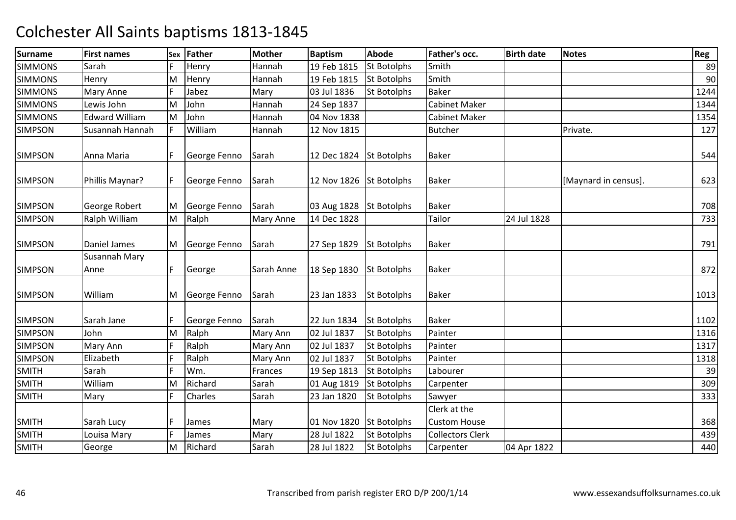| <b>Surname</b> | <b>First names</b>    | Sex | Father         | <b>Mother</b>    | <b>Baptism</b>          | <b>Abode</b>       | <b>Father's occ.</b>    | <b>Birth date</b> | <b>Notes</b>         | Reg  |
|----------------|-----------------------|-----|----------------|------------------|-------------------------|--------------------|-------------------------|-------------------|----------------------|------|
| <b>SIMMONS</b> | Sarah                 | F   | Henry          | Hannah           | 19 Feb 1815             | <b>St Botolphs</b> | Smith                   |                   |                      | 89   |
| <b>SIMMONS</b> | Henry                 | M   | Henry          | Hannah           | 19 Feb 1815             | <b>St Botolphs</b> | Smith                   |                   |                      | 90   |
| <b>SIMMONS</b> | Mary Anne             | F   | Jabez          | Mary             | 03 Jul 1836             | <b>St Botolphs</b> | <b>Baker</b>            |                   |                      | 1244 |
| <b>SIMMONS</b> | Lewis John            | M   | John           | Hannah           | 24 Sep 1837             |                    | <b>Cabinet Maker</b>    |                   |                      | 1344 |
| <b>SIMMONS</b> | <b>Edward William</b> | M   | John           | Hannah           | 04 Nov 1838             |                    | <b>Cabinet Maker</b>    |                   |                      | 1354 |
| <b>SIMPSON</b> | Susannah Hannah       | F   | William        | Hannah           | 12 Nov 1815             |                    | <b>Butcher</b>          |                   | Private.             | 127  |
| <b>SIMPSON</b> | Anna Maria            | IF  | George Fenno   | Sarah            | 12 Dec 1824             | <b>St Botolphs</b> | <b>Baker</b>            |                   |                      | 544  |
| <b>SIMPSON</b> | Phillis Maynar?       | F   | George Fenno   | Sarah            | 12 Nov 1826 St Botolphs |                    | <b>Baker</b>            |                   | [Maynard in census]. | 623  |
| <b>SIMPSON</b> | George Robert         | M   | George Fenno   | Sarah            | 03 Aug 1828             | <b>St Botolphs</b> | <b>Baker</b>            |                   |                      | 708  |
| <b>SIMPSON</b> | Ralph William         | M   | Ralph          | <b>Mary Anne</b> | 14 Dec 1828             |                    | Tailor                  | 24 Jul 1828       |                      | 733  |
| <b>SIMPSON</b> | Daniel James          |     | M George Fenno | Sarah            | 27 Sep 1829             | <b>St Botolphs</b> | <b>Baker</b>            |                   |                      | 791  |
| <b>SIMPSON</b> | Susannah Mary<br>Anne | F   | George         | Sarah Anne       | 18 Sep 1830             | <b>St Botolphs</b> | <b>Baker</b>            |                   |                      | 872  |
| <b>SIMPSON</b> | William               | M   | George Fenno   | Sarah            | 23 Jan 1833             | <b>St Botolphs</b> | <b>Baker</b>            |                   |                      | 1013 |
| <b>SIMPSON</b> | Sarah Jane            | F   | George Fenno   | Sarah            | 22 Jun 1834             | <b>St Botolphs</b> | <b>Baker</b>            |                   |                      | 1102 |
| <b>SIMPSON</b> | John                  | M   | Ralph          | Mary Ann         | 02 Jul 1837             | <b>St Botolphs</b> | Painter                 |                   |                      | 1316 |
| <b>SIMPSON</b> | Mary Ann              | F   | Ralph          | Mary Ann         | 02 Jul 1837             | <b>St Botolphs</b> | Painter                 |                   |                      | 1317 |
| <b>SIMPSON</b> | Elizabeth             | F   | Ralph          | Mary Ann         | 02 Jul 1837             | <b>St Botolphs</b> | Painter                 |                   |                      | 1318 |
| <b>SMITH</b>   | Sarah                 | F   | Wm.            | Frances          | 19 Sep 1813             | <b>St Botolphs</b> | Labourer                |                   |                      | 39   |
| <b>SMITH</b>   | William               | M   | Richard        | Sarah            | 01 Aug 1819             | <b>St Botolphs</b> | Carpenter               |                   |                      | 309  |
| <b>SMITH</b>   | Mary                  | F   | Charles        | Sarah            | 23 Jan 1820             | <b>St Botolphs</b> | Sawyer                  |                   |                      | 333  |
|                |                       |     |                |                  |                         |                    | Clerk at the            |                   |                      |      |
| <b>SMITH</b>   | Sarah Lucy            | F   | James          | Mary             | 01 Nov 1820             | <b>St Botolphs</b> | <b>Custom House</b>     |                   |                      | 368  |
| <b>SMITH</b>   | Louisa Mary           | F   | James          | Mary             | 28 Jul 1822             | St Botolphs        | <b>Collectors Clerk</b> |                   |                      | 439  |
| <b>SMITH</b>   | George                | M   | Richard        | Sarah            | 28 Jul 1822             | <b>St Botolphs</b> | Carpenter               | 04 Apr 1822       |                      | 440  |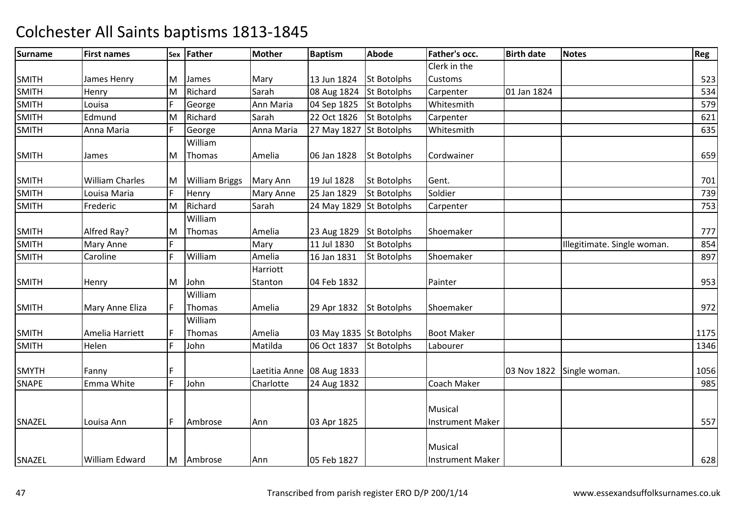| <b>Surname</b> | <b>First names</b>     |    | Sex Father       | <b>Mother</b>             | <b>Baptism</b>          | <b>Abode</b>       | Father's occ.           | <b>Birth date</b> | <b>Notes</b>                | Reg  |
|----------------|------------------------|----|------------------|---------------------------|-------------------------|--------------------|-------------------------|-------------------|-----------------------------|------|
|                |                        |    |                  |                           |                         |                    | Clerk in the            |                   |                             |      |
| <b>SMITH</b>   | James Henry            | M  | James            | Mary                      | 13 Jun 1824             | <b>St Botolphs</b> | <b>Customs</b>          |                   |                             | 523  |
| <b>SMITH</b>   | Henry                  | M  | Richard          | Sarah                     | 08 Aug 1824             | <b>St Botolphs</b> | Carpenter               | 01 Jan 1824       |                             | 534  |
| <b>SMITH</b>   | Louisa                 |    | George           | Ann Maria                 | 04 Sep 1825             | <b>St Botolphs</b> | Whitesmith              |                   |                             | 579  |
| <b>SMITH</b>   | Edmund                 | M  | Richard          | Sarah                     | 22 Oct 1826             | <b>St Botolphs</b> | Carpenter               |                   |                             | 621  |
| <b>SMITH</b>   | Anna Maria             | F  | George           | Anna Maria                | 27 May 1827 St Botolphs |                    | Whitesmith              |                   |                             | 635  |
|                |                        |    | William          |                           |                         |                    |                         |                   |                             |      |
| <b>SMITH</b>   | James                  | M  | Thomas           | Amelia                    | 06 Jan 1828             | <b>St Botolphs</b> | Cordwainer              |                   |                             | 659  |
| <b>SMITH</b>   | <b>William Charles</b> |    | M William Briggs | Mary Ann                  | 19 Jul 1828             | <b>St Botolphs</b> | Gent.                   |                   |                             | 701  |
| <b>SMITH</b>   | Louisa Maria           | F  | Henry            | <b>Mary Anne</b>          | 25 Jan 1829             | <b>St Botolphs</b> | Soldier                 |                   |                             | 739  |
| <b>SMITH</b>   | Frederic               | M  | Richard          | Sarah                     | 24 May 1829             | <b>St Botolphs</b> | Carpenter               |                   |                             | 753  |
|                |                        |    | William          |                           |                         |                    |                         |                   |                             |      |
| <b>SMITH</b>   | Alfred Ray?            | M  | Thomas           | Amelia                    | 23 Aug 1829             | <b>St Botolphs</b> | Shoemaker               |                   |                             | 777  |
| <b>SMITH</b>   | Mary Anne              | F  |                  | Mary                      | 11 Jul 1830             | St Botolphs        |                         |                   | Illegitimate. Single woman. | 854  |
| <b>SMITH</b>   | Caroline               | F  | William          | Amelia                    | 16 Jan 1831             | <b>St Botolphs</b> | Shoemaker               |                   |                             | 897  |
|                |                        |    |                  | Harriott                  |                         |                    |                         |                   |                             |      |
| <b>SMITH</b>   | Henry                  | M  | John             | Stanton                   | 04 Feb 1832             |                    | Painter                 |                   |                             | 953  |
|                |                        |    | William          |                           |                         |                    |                         |                   |                             |      |
| <b>SMITH</b>   | Mary Anne Eliza        | F  | Thomas           | Amelia                    | 29 Apr 1832             | <b>St Botolphs</b> | Shoemaker               |                   |                             | 972  |
|                |                        |    | William          |                           |                         |                    |                         |                   |                             |      |
| <b>SMITH</b>   | Amelia Harriett        | IF | Thomas           | Amelia                    | 03 May 1835 St Botolphs |                    | <b>Boot Maker</b>       |                   |                             | 1175 |
| <b>SMITH</b>   | Helen                  | F  | John             | Matilda                   | 06 Oct 1837             | <b>St Botolphs</b> | Labourer                |                   |                             | 1346 |
|                |                        |    |                  |                           |                         |                    |                         |                   |                             |      |
| <b>SMYTH</b>   | Fanny                  | F  |                  | Laetitia Anne 08 Aug 1833 |                         |                    |                         |                   | 03 Nov 1822 Single woman.   | 1056 |
| <b>SNAPE</b>   | Emma White             | F  | John             | Charlotte                 | 24 Aug 1832             |                    | Coach Maker             |                   |                             | 985  |
|                |                        |    |                  |                           |                         |                    |                         |                   |                             |      |
|                |                        |    |                  |                           |                         |                    | Musical                 |                   |                             |      |
| SNAZEL         | Louisa Ann             | F  | Ambrose          | Ann                       | 03 Apr 1825             |                    | <b>Instrument Maker</b> |                   |                             | 557  |
|                |                        |    |                  |                           |                         |                    |                         |                   |                             |      |
|                |                        |    |                  |                           |                         |                    | Musical                 |                   |                             |      |
| SNAZEL         | William Edward         |    | M Ambrose        | Ann                       | 05 Feb 1827             |                    | <b>Instrument Maker</b> |                   |                             | 628  |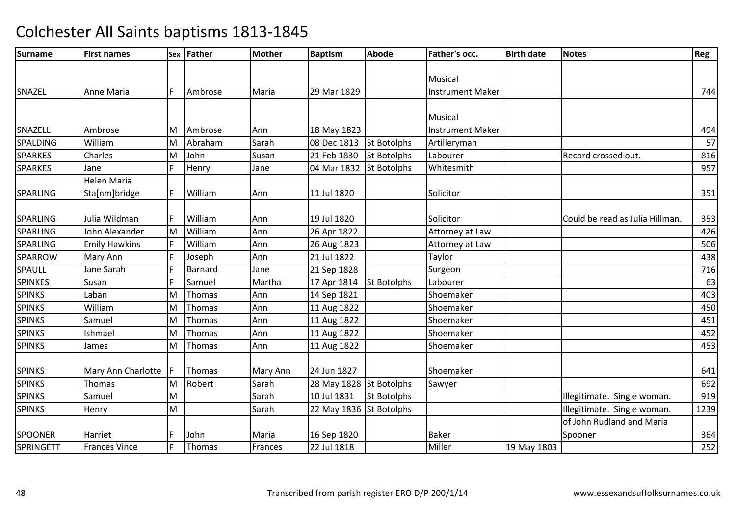| <b>Surname</b>  | <b>First names</b>   |    | Sex Father | <b>Mother</b> | <b>Baptism</b>          | <b>Abode</b>       | Father's occ.           | <b>Birth date</b> | <b>Notes</b>                    | Reg  |
|-----------------|----------------------|----|------------|---------------|-------------------------|--------------------|-------------------------|-------------------|---------------------------------|------|
|                 |                      |    |            |               |                         |                    |                         |                   |                                 |      |
|                 |                      |    |            |               |                         |                    | Musical                 |                   |                                 |      |
| SNAZEL          | Anne Maria           | F  | Ambrose    | Maria         | 29 Mar 1829             |                    | <b>Instrument Maker</b> |                   |                                 | 744  |
|                 |                      |    |            |               |                         |                    |                         |                   |                                 |      |
|                 |                      |    |            |               |                         |                    | Musical                 |                   |                                 |      |
| SNAZELL         | Ambrose              | M  | Ambrose    | Ann           | 18 May 1823             |                    | <b>Instrument Maker</b> |                   |                                 | 494  |
| SPALDING        | William              | M  | Abraham    | Sarah         | 08 Dec 1813             | <b>St Botolphs</b> | Artilleryman            |                   |                                 | 57   |
| <b>SPARKES</b>  | Charles              | M  | John       | Susan         | 21 Feb 1830             | <b>St Botolphs</b> | Labourer                |                   | Record crossed out.             | 816  |
| <b>SPARKES</b>  | Jane                 | F  | Henry      | Jane          | 04 Mar 1832             | <b>St Botolphs</b> | Whitesmith              |                   |                                 | 957  |
|                 | <b>Helen Maria</b>   |    |            |               |                         |                    |                         |                   |                                 |      |
| <b>SPARLING</b> | Sta[nm]bridge        | F  | William    | Ann           | 11 Jul 1820             |                    | Solicitor               |                   |                                 | 351  |
|                 |                      |    |            |               |                         |                    |                         |                   |                                 |      |
| <b>SPARLING</b> | Julia Wildman        | F  | William    | Ann           | 19 Jul 1820             |                    | Solicitor               |                   | Could be read as Julia Hillman. | 353  |
| SPARLING        | John Alexander       | M  | William    | Ann           | 26 Apr 1822             |                    | Attorney at Law         |                   |                                 | 426  |
| <b>SPARLING</b> | <b>Emily Hawkins</b> | F  | William    | Ann           | 26 Aug 1823             |                    | Attorney at Law         |                   |                                 | 506  |
| SPARROW         | Mary Ann             | F  | Joseph     | Ann           | 21 Jul 1822             |                    | Taylor                  |                   |                                 | 438  |
| SPAULL          | Jane Sarah           | F  | Barnard    | Jane          | 21 Sep 1828             |                    | Surgeon                 |                   |                                 | 716  |
| <b>SPINKES</b>  | Susan                | F  | Samuel     | Martha        | 17 Apr 1814             | <b>St Botolphs</b> | Labourer                |                   |                                 | 63   |
| <b>SPINKS</b>   | Laban                | M  | Thomas     | Ann           | 14 Sep 1821             |                    | Shoemaker               |                   |                                 | 403  |
| <b>SPINKS</b>   | William              | M  | Thomas     | Ann           | 11 Aug 1822             |                    | Shoemaker               |                   |                                 | 450  |
| <b>SPINKS</b>   | Samuel               | M  | Thomas     | Ann           | 11 Aug 1822             |                    | Shoemaker               |                   |                                 | 451  |
| <b>SPINKS</b>   | Ishmael              | M  | Thomas     | Ann           | 11 Aug 1822             |                    | Shoemaker               |                   |                                 | 452  |
| <b>SPINKS</b>   | James                | M  | Thomas     | Ann           | 11 Aug 1822             |                    | Shoemaker               |                   |                                 | 453  |
|                 |                      |    |            |               |                         |                    |                         |                   |                                 |      |
| <b>SPINKS</b>   | Mary Ann Charlotte   | F  | Thomas     | Mary Ann      | 24 Jun 1827             |                    | Shoemaker               |                   |                                 | 641  |
| <b>SPINKS</b>   | Thomas               | M  | Robert     | Sarah         | 28 May 1828 St Botolphs |                    | Sawyer                  |                   |                                 | 692  |
| <b>SPINKS</b>   | Samuel               | M  |            | Sarah         | 10 Jul 1831             | St Botolphs        |                         |                   | Illegitimate. Single woman.     | 919  |
| <b>SPINKS</b>   | Henry                | M  |            | Sarah         | 22 May 1836 St Botolphs |                    |                         |                   | Illegitimate. Single woman.     | 1239 |
|                 |                      |    |            |               |                         |                    |                         |                   | of John Rudland and Maria       |      |
| <b>SPOONER</b>  | Harriet              |    | John       | Maria         | 16 Sep 1820             |                    | <b>Baker</b>            |                   | Spooner                         | 364  |
| SPRINGETT       | <b>Frances Vince</b> | ΙF | Thomas     | Frances       | 22 Jul 1818             |                    | Miller                  | 19 May 1803       |                                 | 252  |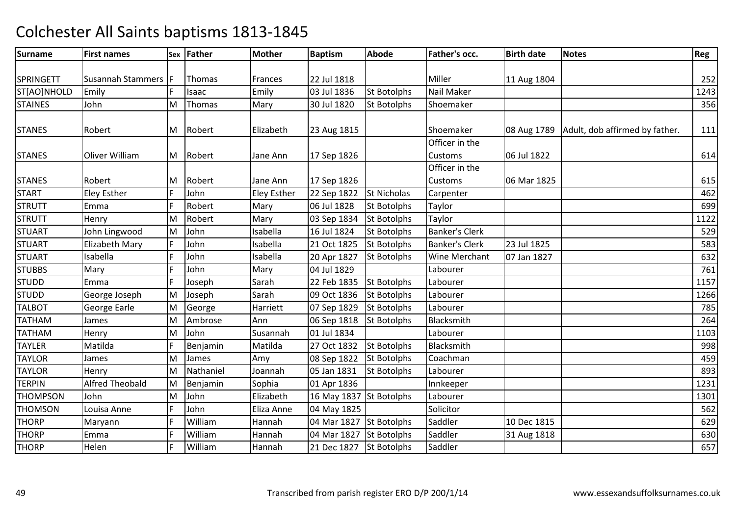| <b>Surname</b>   | <b>First names</b>     |   | Sex Father | Mother             | <b>Baptism</b>          | Abode              | Father's occ.         | <b>Birth date</b> | <b>Notes</b>                   | Reg  |
|------------------|------------------------|---|------------|--------------------|-------------------------|--------------------|-----------------------|-------------------|--------------------------------|------|
|                  |                        |   |            |                    |                         |                    |                       |                   |                                |      |
| <b>SPRINGETT</b> | Susannah Stammers   F  |   | Thomas     | Frances            | 22 Jul 1818             |                    | Miller                | 11 Aug 1804       |                                | 252  |
| ST[AO]NHOLD      | Emily                  |   | Isaac      | Emily              | 03 Jul 1836             | <b>St Botolphs</b> | Nail Maker            |                   |                                | 1243 |
| <b>STAINES</b>   | John                   | M | Thomas     | Mary               | 30 Jul 1820             | <b>St Botolphs</b> | Shoemaker             |                   |                                | 356  |
|                  |                        |   |            |                    |                         |                    |                       |                   |                                |      |
| <b>STANES</b>    | Robert                 |   | M Robert   | Elizabeth          | 23 Aug 1815             |                    | Shoemaker             | 08 Aug 1789       | Adult, dob affirmed by father. | 111  |
|                  |                        |   |            |                    |                         |                    | Officer in the        |                   |                                |      |
| <b>STANES</b>    | Oliver William         |   | M Robert   | Jane Ann           | 17 Sep 1826             |                    | <b>Customs</b>        | 06 Jul 1822       |                                | 614  |
|                  |                        |   |            |                    |                         |                    | Officer in the        |                   |                                |      |
| <b>STANES</b>    | Robert                 | M | Robert     | Jane Ann           | 17 Sep 1826             |                    | Customs               | 06 Mar 1825       |                                | 615  |
| <b>START</b>     | Eley Esther            | F | John       | <b>Eley Esther</b> | 22 Sep 1822             | <b>St Nicholas</b> | Carpenter             |                   |                                | 462  |
| <b>STRUTT</b>    | Emma                   | F | Robert     | Mary               | 06 Jul 1828             | <b>St Botolphs</b> | Taylor                |                   |                                | 699  |
| <b>STRUTT</b>    | Henry                  | M | Robert     | Mary               | 03 Sep 1834             | <b>St Botolphs</b> | Taylor                |                   |                                | 1122 |
| <b>STUART</b>    | John Lingwood          | M | John       | Isabella           | 16 Jul 1824             | <b>St Botolphs</b> | <b>Banker's Clerk</b> |                   |                                | 529  |
| <b>STUART</b>    | Elizabeth Mary         | F | John       | Isabella           | 21 Oct 1825             | <b>St Botolphs</b> | <b>Banker's Clerk</b> | 23 Jul 1825       |                                | 583  |
| <b>STUART</b>    | Isabella               | F | John       | Isabella           | 20 Apr 1827             | <b>St Botolphs</b> | Wine Merchant         | 07 Jan 1827       |                                | 632  |
| <b>STUBBS</b>    | Mary                   | F | John       | Mary               | 04 Jul 1829             |                    | Labourer              |                   |                                | 761  |
| <b>STUDD</b>     | Emma                   | Ē | Joseph     | Sarah              | 22 Feb 1835             | <b>St Botolphs</b> | Labourer              |                   |                                | 1157 |
| <b>STUDD</b>     | George Joseph          | M | Joseph     | Sarah              | 09 Oct 1836             | <b>St Botolphs</b> | Labourer              |                   |                                | 1266 |
| <b>TALBOT</b>    | George Earle           | M | George     | Harriett           | 07 Sep 1829             | <b>St Botolphs</b> | Labourer              |                   |                                | 785  |
| <b>TATHAM</b>    | James                  | M | Ambrose    | Ann                | 06 Sep 1818             | <b>St Botolphs</b> | Blacksmith            |                   |                                | 264  |
| <b>TATHAM</b>    | Henry                  | M | John       | Susannah           | 01 Jul 1834             |                    | Labourer              |                   |                                | 1103 |
| <b>TAYLER</b>    | Matilda                | F | Benjamin   | Matilda            | 27 Oct 1832             | <b>St Botolphs</b> | Blacksmith            |                   |                                | 998  |
| <b>TAYLOR</b>    | James                  | M | James      | Amy                | 08 Sep 1822             | <b>St Botolphs</b> | Coachman              |                   |                                | 459  |
| <b>TAYLOR</b>    | Henry                  | M | Nathaniel  | Joannah            | 05 Jan 1831             | St Botolphs        | Labourer              |                   |                                | 893  |
| <b>TERPIN</b>    | <b>Alfred Theobald</b> | M | Benjamin   | Sophia             | 01 Apr 1836             |                    | Innkeeper             |                   |                                | 1231 |
| <b>THOMPSON</b>  | John                   | M | John       | Elizabeth          | 16 May 1837 St Botolphs |                    | Labourer              |                   |                                | 1301 |
| <b>THOMSON</b>   | Louisa Anne            | F | John       | Eliza Anne         | 04 May 1825             |                    | Solicitor             |                   |                                | 562  |
| <b>THORP</b>     | Maryann                | F | William    | Hannah             | 04 Mar 1827             | <b>St Botolphs</b> | Saddler               | 10 Dec 1815       |                                | 629  |
| <b>THORP</b>     | Emma                   | F | William    | Hannah             | 04 Mar 1827             | <b>St Botolphs</b> | Saddler               | 31 Aug 1818       |                                | 630  |
| <b>THORP</b>     | Helen                  | F | William    | Hannah             | 21 Dec 1827             | <b>St Botolphs</b> | Saddler               |                   |                                | 657  |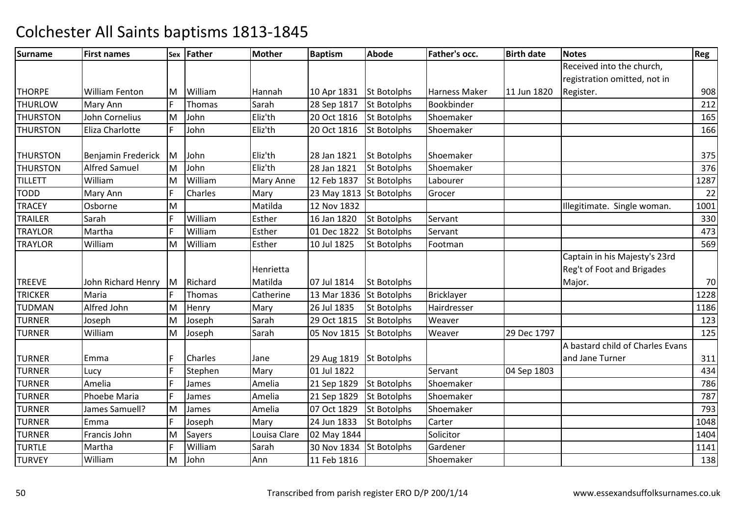| <b>Surname</b>  | <b>First names</b>    |   | Sex Father | <b>Mother</b>    | <b>Baptism</b>          | Abode              | <b>Father's occ.</b> | <b>Birth date</b> | <b>Notes</b>                     | Reg  |
|-----------------|-----------------------|---|------------|------------------|-------------------------|--------------------|----------------------|-------------------|----------------------------------|------|
|                 |                       |   |            |                  |                         |                    |                      |                   | Received into the church,        |      |
|                 |                       |   |            |                  |                         |                    |                      |                   | registration omitted, not in     |      |
| <b>THORPE</b>   | <b>William Fenton</b> | M | William    | Hannah           | 10 Apr 1831             | <b>St Botolphs</b> | Harness Maker        | 11 Jun 1820       | Register.                        | 908  |
| <b>THURLOW</b>  | Mary Ann              | F | Thomas     | Sarah            | 28 Sep 1817             | <b>St Botolphs</b> | Bookbinder           |                   |                                  | 212  |
| <b>THURSTON</b> | John Cornelius        | M | John       | Eliz'th          | 20 Oct 1816             | <b>St Botolphs</b> | Shoemaker            |                   |                                  | 165  |
| <b>THURSTON</b> | Eliza Charlotte       | F | John       | Eliz'th          | 20 Oct 1816             | <b>St Botolphs</b> | Shoemaker            |                   |                                  | 166  |
|                 |                       |   |            |                  |                         |                    |                      |                   |                                  |      |
| <b>THURSTON</b> | Benjamin Frederick    | M | John       | Eliz'th          | 28 Jan 1821             | <b>St Botolphs</b> | Shoemaker            |                   |                                  | 375  |
| <b>THURSTON</b> | <b>Alfred Samuel</b>  | M | John       | Eliz'th          | 28 Jan 1821             | <b>St Botolphs</b> | Shoemaker            |                   |                                  | 376  |
| <b>TILLETT</b>  | William               | M | William    | <b>Mary Anne</b> | 12 Feb 1837             | <b>St Botolphs</b> | Labourer             |                   |                                  | 1287 |
| <b>TODD</b>     | Mary Ann              | F | Charles    | Mary             | 23 May 1813 St Botolphs |                    | Grocer               |                   |                                  | 22   |
| <b>TRACEY</b>   | Osborne               | M |            | Matilda          | 12 Nov 1832             |                    |                      |                   | Illegitimate. Single woman.      | 1001 |
| <b>TRAILER</b>  | Sarah                 | F | William    | Esther           | 16 Jan 1820             | <b>St Botolphs</b> | Servant              |                   |                                  | 330  |
| <b>TRAYLOR</b>  | Martha                | F | William    | Esther           | 01 Dec 1822             | <b>St Botolphs</b> | Servant              |                   |                                  | 473  |
| <b>TRAYLOR</b>  | William               | M | William    | Esther           | 10 Jul 1825             | <b>St Botolphs</b> | Footman              |                   |                                  | 569  |
|                 |                       |   |            |                  |                         |                    |                      |                   | Captain in his Majesty's 23rd    |      |
|                 |                       |   |            | Henrietta        |                         |                    |                      |                   | Reg't of Foot and Brigades       |      |
| <b>TREEVE</b>   | John Richard Henry    |   | M Richard  | Matilda          | 07 Jul 1814             | St Botolphs        |                      |                   | Major.                           | 70   |
| <b>TRICKER</b>  | Maria                 | F | Thomas     | Catherine        | 13 Mar 1836             | <b>St Botolphs</b> | <b>Bricklayer</b>    |                   |                                  | 1228 |
| <b>TUDMAN</b>   | Alfred John           | M | Henry      | Mary             | 26 Jul 1835             | <b>St Botolphs</b> | Hairdresser          |                   |                                  | 1186 |
| <b>TURNER</b>   | Joseph                | M | Joseph     | Sarah            | 29 Oct 1815             | <b>St Botolphs</b> | Weaver               |                   |                                  | 123  |
| <b>TURNER</b>   | William               | M | Joseph     | Sarah            | 05 Nov 1815             | <b>St Botolphs</b> | Weaver               | 29 Dec 1797       |                                  | 125  |
|                 |                       |   |            |                  |                         |                    |                      |                   | A bastard child of Charles Evans |      |
| <b>TURNER</b>   | Emma                  | F | Charles    | Jane             | 29 Aug 1819             | <b>St Botolphs</b> |                      |                   | and Jane Turner                  | 311  |
| <b>TURNER</b>   | Lucy                  | F | Stephen    | Mary             | 01 Jul 1822             |                    | Servant              | 04 Sep 1803       |                                  | 434  |
| <b>TURNER</b>   | Amelia                | F | James      | Amelia           | 21 Sep 1829             | <b>St Botolphs</b> | Shoemaker            |                   |                                  | 786  |
| <b>TURNER</b>   | Phoebe Maria          | F | James      | Amelia           | 21 Sep 1829             | <b>St Botolphs</b> | Shoemaker            |                   |                                  | 787  |
| <b>TURNER</b>   | James Samuell?        | M | James      | Amelia           | 07 Oct 1829             | <b>St Botolphs</b> | Shoemaker            |                   |                                  | 793  |
| <b>TURNER</b>   | Emma                  |   | Joseph     | Mary             | 24 Jun 1833             | <b>St Botolphs</b> | Carter               |                   |                                  | 1048 |
| <b>TURNER</b>   | Francis John          | М | Sayers     | Louisa Clare     | 02 May 1844             |                    | Solicitor            |                   |                                  | 1404 |
| <b>TURTLE</b>   | Martha                | F | William    | Sarah            | 30 Nov 1834             | <b>St Botolphs</b> | Gardener             |                   |                                  | 1141 |
| <b>TURVEY</b>   | William               | M | John       | Ann              | 11 Feb 1816             |                    | Shoemaker            |                   |                                  | 138  |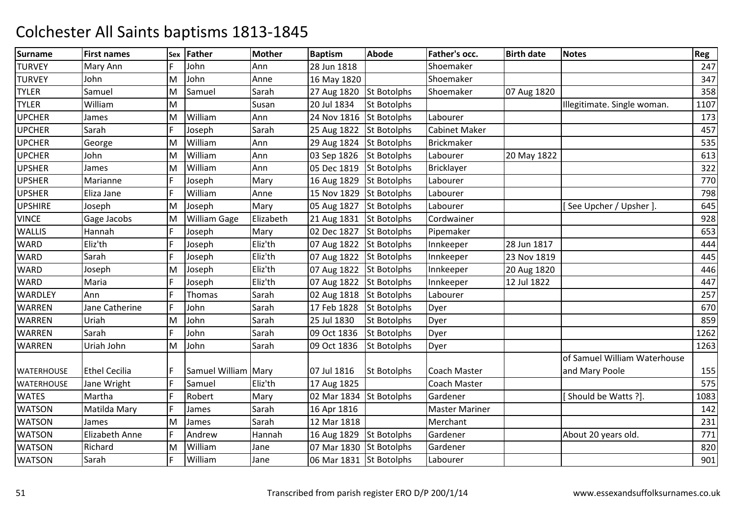| <b>Surname</b>    | <b>First names</b>   |   | Sex Father          | <b>Mother</b> | <b>Baptism</b>          | <b>Abode</b>       | Father's occ.         | <b>Birth date</b> | <b>Notes</b>                 | Reg  |
|-------------------|----------------------|---|---------------------|---------------|-------------------------|--------------------|-----------------------|-------------------|------------------------------|------|
| <b>TURVEY</b>     | Mary Ann             |   | John                | Ann           | 28 Jun 1818             |                    | Shoemaker             |                   |                              | 247  |
| <b>TURVEY</b>     | John                 | M | John                | Anne          | 16 May 1820             |                    | Shoemaker             |                   |                              | 347  |
| <b>TYLER</b>      | Samuel               | M | Samuel              | Sarah         | 27 Aug 1820             | <b>St Botolphs</b> | Shoemaker             | 07 Aug 1820       |                              | 358  |
| <b>TYLER</b>      | William              | M |                     | Susan         | 20 Jul 1834             | <b>St Botolphs</b> |                       |                   | Illegitimate. Single woman.  | 1107 |
| <b>UPCHER</b>     | James                | M | William             | Ann           | 24 Nov 1816             | <b>St Botolphs</b> | Labourer              |                   |                              | 173  |
| <b>UPCHER</b>     | Sarah                | F | Joseph              | Sarah         | 25 Aug 1822 St Botolphs |                    | <b>Cabinet Maker</b>  |                   |                              | 457  |
| <b>UPCHER</b>     | George               | M | William             | Ann           | 29 Aug 1824             | <b>St Botolphs</b> | <b>Brickmaker</b>     |                   |                              | 535  |
| <b>UPCHER</b>     | John                 | M | William             | Ann           | 03 Sep 1826             | <b>St Botolphs</b> | Labourer              | 20 May 1822       |                              | 613  |
| <b>UPSHER</b>     | James                | M | William             | Ann           | 05 Dec 1819             | <b>St Botolphs</b> | <b>Bricklayer</b>     |                   |                              | 322  |
| <b>UPSHER</b>     | Marianne             | F | Joseph              | Mary          | 16 Aug 1829             | <b>St Botolphs</b> | Labourer              |                   |                              | 770  |
| <b>UPSHER</b>     | Eliza Jane           | E | William             | Anne          | 15 Nov 1829             | <b>St Botolphs</b> | Labourer              |                   |                              | 798  |
| <b>UPSHIRE</b>    | Joseph               | M | Joseph              | Mary          | 05 Aug 1827             | <b>St Botolphs</b> | Labourer              |                   | [See Upcher / Upsher ].      | 645  |
| <b>VINCE</b>      | Gage Jacobs          | M | <b>William Gage</b> | Elizabeth     | 21 Aug 1831             | <b>St Botolphs</b> | Cordwainer            |                   |                              | 928  |
| WALLIS            | Hannah               | F | Joseph              | Mary          | 02 Dec 1827             | <b>St Botolphs</b> | Pipemaker             |                   |                              | 653  |
| <b>WARD</b>       | Eliz'th              | F | Joseph              | Eliz'th       | 07 Aug 1822             | <b>St Botolphs</b> | Innkeeper             | 28 Jun 1817       |                              | 444  |
| WARD              | Sarah                | F | Joseph              | Eliz'th       | 07 Aug 1822 St Botolphs |                    | Innkeeper             | 23 Nov 1819       |                              | 445  |
| <b>WARD</b>       | Joseph               | M | Joseph              | Eliz'th       | 07 Aug 1822             | <b>St Botolphs</b> | Innkeeper             | 20 Aug 1820       |                              | 446  |
| WARD              | Maria                | F | Joseph              | Eliz'th       | 07 Aug 1822 St Botolphs |                    | Innkeeper             | 12 Jul 1822       |                              | 447  |
| <b>WARDLEY</b>    | Ann                  | E | Thomas              | Sarah         | 02 Aug 1818             | <b>St Botolphs</b> | Labourer              |                   |                              | 257  |
| WARREN            | Jane Catherine       | F | John                | Sarah         | 17 Feb 1828             | <b>St Botolphs</b> | Dyer                  |                   |                              | 670  |
| WARREN            | Uriah                | M | John                | Sarah         | 25 Jul 1830             | St Botolphs        | Dyer                  |                   |                              | 859  |
| <b>WARREN</b>     | Sarah                | E | John                | Sarah         | 09 Oct 1836             | St Botolphs        | Dyer                  |                   |                              | 1262 |
| <b>WARREN</b>     | Uriah John           | M | John                | Sarah         | 09 Oct 1836             | <b>St Botolphs</b> | Dyer                  |                   |                              | 1263 |
|                   |                      |   |                     |               |                         |                    |                       |                   | of Samuel William Waterhouse |      |
| <b>WATERHOUSE</b> | <b>Ethel Cecilia</b> |   | Samuel William Mary |               | 07 Jul 1816             | St Botolphs        | <b>Coach Master</b>   |                   | and Mary Poole               | 155  |
| <b>WATERHOUSE</b> | Jane Wright          | F | Samuel              | Eliz'th       | 17 Aug 1825             |                    | Coach Master          |                   |                              | 575  |
| <b>WATES</b>      | Martha               | F | Robert              | Mary          | 02 Mar 1834             | <b>St Botolphs</b> | Gardener              |                   | [Should be Watts ?]          | 1083 |
| <b>WATSON</b>     | Matilda Mary         | E | James               | Sarah         | 16 Apr 1816             |                    | <b>Master Mariner</b> |                   |                              | 142  |
| <b>WATSON</b>     | James                | M | James               | Sarah         | 12 Mar 1818             |                    | Merchant              |                   |                              | 231  |
| <b>WATSON</b>     | Elizabeth Anne       | F | Andrew              | Hannah        | 16 Aug 1829             | <b>St Botolphs</b> | Gardener              |                   | About 20 years old.          | 771  |
| <b>WATSON</b>     | Richard              | M | William             | Jane          | 07 Mar 1830             | <b>St Botolphs</b> | Gardener              |                   |                              | 820  |
| <b>WATSON</b>     | Sarah                | F | William             | Jane          | 06 Mar 1831 St Botolphs |                    | Labourer              |                   |                              | 901  |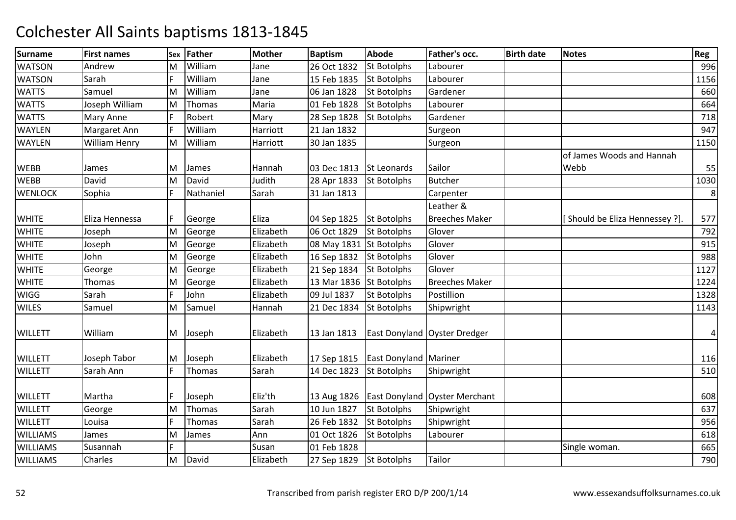| <b>Surname</b>  | <b>First names</b> | Sex | Father        | <b>Mother</b> | <b>Baptism</b> | <b>Abode</b>                 | Father's occ.                 | <b>Birth date</b> | <b>Notes</b>                   | Reg  |
|-----------------|--------------------|-----|---------------|---------------|----------------|------------------------------|-------------------------------|-------------------|--------------------------------|------|
| <b>WATSON</b>   | Andrew             | M   | William       | Jane          | 26 Oct 1832    | <b>St Botolphs</b>           | Labourer                      |                   |                                | 996  |
| <b>WATSON</b>   | Sarah              | F   | William       | Jane          | 15 Feb 1835    | <b>St Botolphs</b>           | Labourer                      |                   |                                | 1156 |
| <b>WATTS</b>    | Samuel             | M   | William       | Jane          | 06 Jan 1828    | <b>St Botolphs</b>           | Gardener                      |                   |                                | 660  |
| <b>WATTS</b>    | Joseph William     | M   | <b>Thomas</b> | Maria         | 01 Feb 1828    | <b>St Botolphs</b>           | Labourer                      |                   |                                | 664  |
| <b>WATTS</b>    | Mary Anne          | F   | Robert        | Mary          | 28 Sep 1828    | St Botolphs                  | Gardener                      |                   |                                | 718  |
| WAYLEN          | Margaret Ann       | F   | William       | Harriott      | 21 Jan 1832    |                              | Surgeon                       |                   |                                | 947  |
| WAYLEN          | William Henry      | M   | William       | Harriott      | 30 Jan 1835    |                              | Surgeon                       |                   |                                | 1150 |
|                 |                    |     |               |               |                |                              |                               |                   | of James Woods and Hannah      |      |
| <b>WEBB</b>     | James              | M   | James         | Hannah        | 03 Dec 1813    | St Leonards                  | Sailor                        |                   | Webb                           | 55   |
| <b>WEBB</b>     | David              | M   | David         | Judith        | 28 Apr 1833    | <b>St Botolphs</b>           | <b>Butcher</b>                |                   |                                | 1030 |
| <b>WENLOCK</b>  | Sophia             | F   | Nathaniel     | Sarah         | 31 Jan 1813    |                              | Carpenter                     |                   |                                | 8    |
|                 |                    |     |               |               |                |                              | Leather &                     |                   |                                |      |
| <b>WHITE</b>    | Eliza Hennessa     | F   | George        | Eliza         | 04 Sep 1825    | <b>St Botolphs</b>           | <b>Breeches Maker</b>         |                   | [Should be Eliza Hennessey ?]. | 577  |
| <b>WHITE</b>    | Joseph             | M   | George        | Elizabeth     | 06 Oct 1829    | <b>St Botolphs</b>           | Glover                        |                   |                                | 792  |
| <b>WHITE</b>    | Joseph             | M   | George        | Elizabeth     | 08 May 1831    | <b>St Botolphs</b>           | Glover                        |                   |                                | 915  |
| <b>WHITE</b>    | John               | M   | George        | Elizabeth     | 16 Sep 1832    | <b>St Botolphs</b>           | Glover                        |                   |                                | 988  |
| <b>WHITE</b>    | George             | M   | George        | Elizabeth     | 21 Sep 1834    | <b>St Botolphs</b>           | Glover                        |                   |                                | 1127 |
| <b>WHITE</b>    | Thomas             | M   | George        | Elizabeth     | 13 Mar 1836    | <b>St Botolphs</b>           | <b>Breeches Maker</b>         |                   |                                | 1224 |
| <b>WIGG</b>     | Sarah              | F   | John          | Elizabeth     | 09 Jul 1837    | <b>St Botolphs</b>           | Postillion                    |                   |                                | 1328 |
| <b>WILES</b>    | Samuel             | M   | Samuel        | Hannah        | 21 Dec 1834    | <b>St Botolphs</b>           | Shipwright                    |                   |                                | 1143 |
| <b>WILLETT</b>  | William            |     | M Joseph      | Elizabeth     | 13 Jan 1813    |                              | East Donyland Oyster Dredger  |                   |                                | 4    |
| <b>WILLETT</b>  | Joseph Tabor       | M   | Joseph        | Elizabeth     | 17 Sep 1815    | <b>East Donyland Mariner</b> |                               |                   |                                | 116  |
| <b>WILLETT</b>  | Sarah Ann          | F   | Thomas        | Sarah         | 14 Dec 1823    | <b>St Botolphs</b>           | Shipwright                    |                   |                                | 510  |
| <b>WILLETT</b>  | Martha             | E   | Joseph        | Eliz'th       | 13 Aug 1826    |                              | East Donyland Oyster Merchant |                   |                                | 608  |
| <b>WILLETT</b>  | George             | M   | Thomas        | Sarah         | 10 Jun 1827    | <b>St Botolphs</b>           | Shipwright                    |                   |                                | 637  |
| <b>WILLETT</b>  | Louisa             | F   | <b>Thomas</b> | Sarah         | 26 Feb 1832    | <b>St Botolphs</b>           | Shipwright                    |                   |                                | 956  |
| <b>WILLIAMS</b> | James              | M   | James         | Ann           | 01 Oct 1826    | <b>St Botolphs</b>           | Labourer                      |                   |                                | 618  |
| <b>WILLIAMS</b> | Susannah           | F   |               | Susan         | 01 Feb 1828    |                              |                               |                   | Single woman.                  | 665  |
| <b>WILLIAMS</b> | Charles            | M   | David         | Elizabeth     | 27 Sep 1829    | <b>St Botolphs</b>           | Tailor                        |                   |                                | 790  |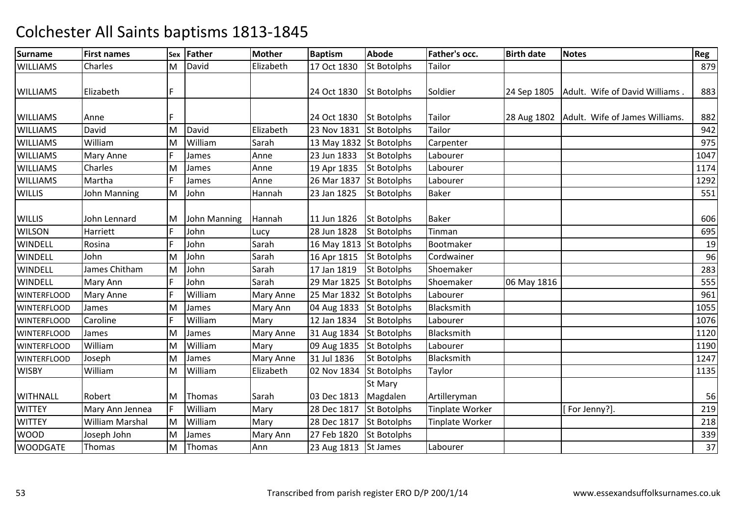| <b>Surname</b>     | <b>First names</b> | Sex | Father       | <b>Mother</b>    | <b>Baptism</b>          | <b>Abode</b>       | Father's occ.          | <b>Birth date</b> | <b>Notes</b>                                 | Reg  |
|--------------------|--------------------|-----|--------------|------------------|-------------------------|--------------------|------------------------|-------------------|----------------------------------------------|------|
| <b>WILLIAMS</b>    | Charles            | M   | David        | Elizabeth        | 17 Oct 1830             | <b>St Botolphs</b> | Tailor                 |                   |                                              | 879  |
|                    |                    |     |              |                  |                         |                    |                        |                   |                                              |      |
| <b>WILLIAMS</b>    | Elizabeth          | F   |              |                  | 24 Oct 1830             | <b>St Botolphs</b> | Soldier                | 24 Sep 1805       | Adult. Wife of David Williams                | 883  |
|                    |                    |     |              |                  |                         |                    |                        |                   |                                              |      |
| <b>WILLIAMS</b>    | Anne               | F   |              |                  | 24 Oct 1830             | <b>St Botolphs</b> | Tailor                 |                   | 28 Aug 1802   Adult. Wife of James Williams. | 882  |
| <b>WILLIAMS</b>    | David              | M   | David        | Elizabeth        | 23 Nov 1831             | <b>St Botolphs</b> | Tailor                 |                   |                                              | 942  |
| <b>WILLIAMS</b>    | William            | M   | William      | Sarah            | 13 May 1832 St Botolphs |                    | Carpenter              |                   |                                              | 975  |
| <b>WILLIAMS</b>    | Mary Anne          | F   | James        | Anne             | 23 Jun 1833             | <b>St Botolphs</b> | Labourer               |                   |                                              | 1047 |
| <b>WILLIAMS</b>    | Charles            | M   | James        | Anne             | 19 Apr 1835             | <b>St Botolphs</b> | Labourer               |                   |                                              | 1174 |
| <b>WILLIAMS</b>    | Martha             | F   | James        | Anne             | 26 Mar 1837             | <b>St Botolphs</b> | Labourer               |                   |                                              | 1292 |
| <b>WILLIS</b>      | John Manning       | M   | John         | Hannah           | 23 Jan 1825             | <b>St Botolphs</b> | <b>Baker</b>           |                   |                                              | 551  |
|                    |                    |     |              |                  |                         |                    |                        |                   |                                              |      |
| <b>WILLIS</b>      | John Lennard       | M   | John Manning | Hannah           | 11 Jun 1826             | <b>St Botolphs</b> | <b>Baker</b>           |                   |                                              | 606  |
| <b>WILSON</b>      | Harriett           | F   | John         | Lucy             | 28 Jun 1828             | <b>St Botolphs</b> | <b>Tinman</b>          |                   |                                              | 695  |
| WINDELL            | Rosina             | F   | John         | Sarah            | 16 May 1813 St Botolphs |                    | Bootmaker              |                   |                                              | 19   |
| <b>WINDELL</b>     | John               | M   | John         | Sarah            | 16 Apr 1815             | <b>St Botolphs</b> | Cordwainer             |                   |                                              | 96   |
| <b>WINDELL</b>     | James Chitham      | M   | John         | Sarah            | 17 Jan 1819             | <b>St Botolphs</b> | Shoemaker              |                   |                                              | 283  |
| <b>WINDELL</b>     | Mary Ann           | F   | John         | Sarah            | 29 Mar 1825             | <b>St Botolphs</b> | Shoemaker              | 06 May 1816       |                                              | 555  |
| <b>WINTERFLOOD</b> | Mary Anne          |     | William      | <b>Mary Anne</b> | 25 Mar 1832             | <b>St Botolphs</b> | Labourer               |                   |                                              | 961  |
| <b>WINTERFLOOD</b> | James              | M   | James        | Mary Ann         | 04 Aug 1833             | St Botolphs        | Blacksmith             |                   |                                              | 1055 |
| <b>WINTERFLOOD</b> | Caroline           | F   | William      | Mary             | 12 Jan 1834             | <b>St Botolphs</b> | Labourer               |                   |                                              | 1076 |
| <b>WINTERFLOOD</b> | James              | M   | James        | <b>Mary Anne</b> | 31 Aug 1834             | <b>St Botolphs</b> | Blacksmith             |                   |                                              | 1120 |
| <b>WINTERFLOOD</b> | William            | M   | William      | Mary             | 09 Aug 1835             | <b>St Botolphs</b> | Labourer               |                   |                                              | 1190 |
| <b>WINTERFLOOD</b> | Joseph             | M   | James        | <b>Mary Anne</b> | 31 Jul 1836             | <b>St Botolphs</b> | Blacksmith             |                   |                                              | 1247 |
| <b>WISBY</b>       | William            | M   | William      | Elizabeth        | 02 Nov 1834             | <b>St Botolphs</b> | Taylor                 |                   |                                              | 1135 |
|                    |                    |     |              |                  |                         | <b>St Mary</b>     |                        |                   |                                              |      |
| <b>WITHNALL</b>    | Robert             | M   | Thomas       | Sarah            | 03 Dec 1813             | Magdalen           | Artilleryman           |                   |                                              | 56   |
| <b>WITTEY</b>      | Mary Ann Jennea    | IF  | William      | Mary             | 28 Dec 1817             | <b>St Botolphs</b> | <b>Tinplate Worker</b> |                   | [For Jenny?].                                | 219  |
| <b>WITTEY</b>      | William Marshal    | M   | William      | Mary             | 28 Dec 1817             | <b>St Botolphs</b> | Tinplate Worker        |                   |                                              | 218  |
| <b>WOOD</b>        | Joseph John        | M   | James        | Mary Ann         | 27 Feb 1820             | <b>St Botolphs</b> |                        |                   |                                              | 339  |
| <b>WOODGATE</b>    | Thomas             | M   | Thomas       | Ann              | 23 Aug 1813             | <b>St James</b>    | Labourer               |                   |                                              | 37   |